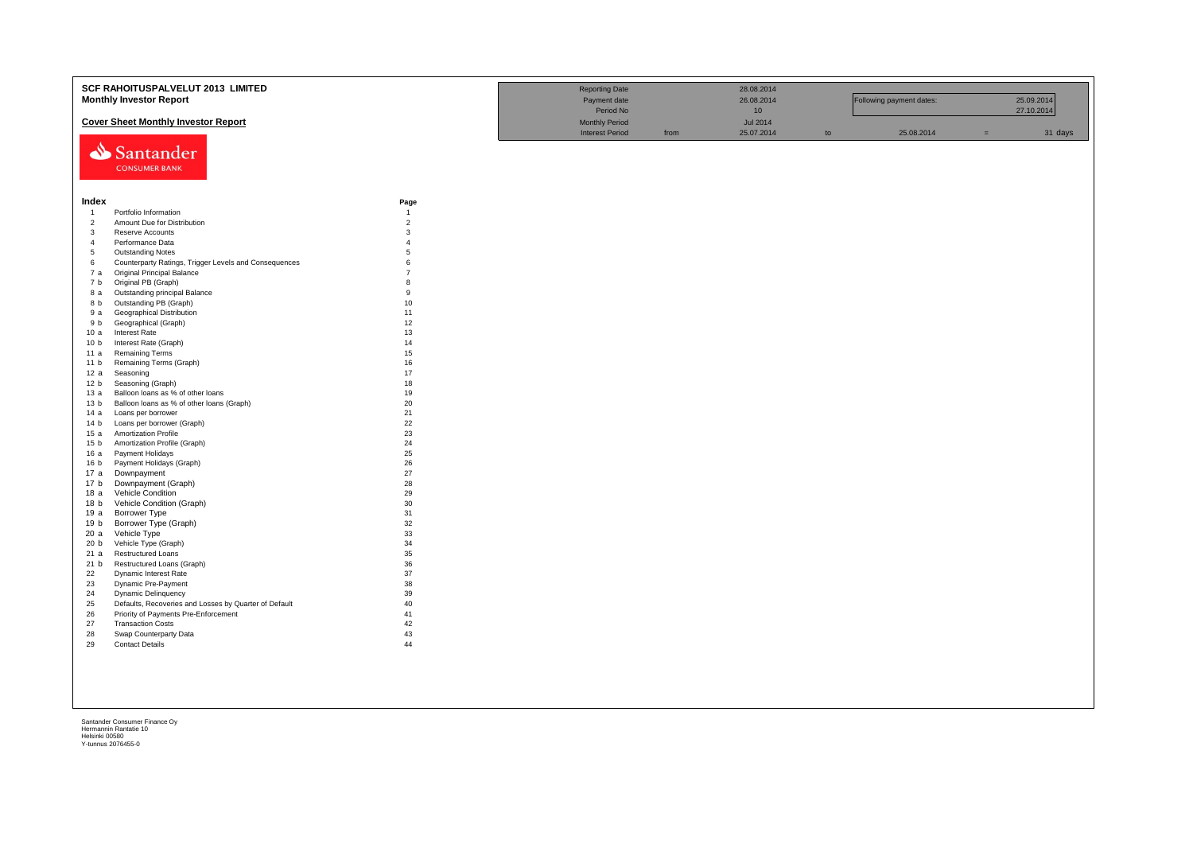|                 | SCF RAHOITUSPALVELUT 2013 LIMITED                     |                        | <b>Reporting Date</b>  |      | 28.08.2014      |    |                          |     |            |
|-----------------|-------------------------------------------------------|------------------------|------------------------|------|-----------------|----|--------------------------|-----|------------|
|                 | <b>Monthly Investor Report</b>                        |                        | Payment date           |      | 26.08.2014      |    | Following payment dates: |     | 25.09.2014 |
|                 |                                                       |                        | Period No              |      | 10 <sup>°</sup> |    |                          |     | 27.10.2014 |
|                 | <b>Cover Sheet Monthly Investor Report</b>            |                        | <b>Monthly Period</b>  |      | <b>Jul 2014</b> |    |                          |     |            |
|                 |                                                       |                        | <b>Interest Period</b> | from | 25.07.2014      | to | 25.08.2014               | $=$ | 31 days    |
|                 |                                                       |                        |                        |      |                 |    |                          |     |            |
|                 | Santander                                             |                        |                        |      |                 |    |                          |     |            |
|                 | <b>CONSUMER BANK</b>                                  |                        |                        |      |                 |    |                          |     |            |
|                 |                                                       |                        |                        |      |                 |    |                          |     |            |
|                 |                                                       |                        |                        |      |                 |    |                          |     |            |
| Index           |                                                       |                        |                        |      |                 |    |                          |     |            |
| $\overline{1}$  | Portfolio Information                                 | Page<br>$\overline{1}$ |                        |      |                 |    |                          |     |            |
| $\overline{2}$  | Amount Due for Distribution                           | $\overline{2}$         |                        |      |                 |    |                          |     |            |
| $\overline{3}$  | Reserve Accounts                                      | 3                      |                        |      |                 |    |                          |     |            |
| $\overline{4}$  | Performance Data                                      | $\overline{4}$         |                        |      |                 |    |                          |     |            |
| $\sqrt{5}$      | <b>Outstanding Notes</b>                              | 5                      |                        |      |                 |    |                          |     |            |
| 6               | Counterparty Ratings, Trigger Levels and Consequences | 6                      |                        |      |                 |    |                          |     |            |
| 7 a             | <b>Original Principal Balance</b>                     | $\overline{7}$         |                        |      |                 |    |                          |     |            |
| 7 b             | Original PB (Graph)                                   | 8                      |                        |      |                 |    |                          |     |            |
| 8 a             | Outstanding principal Balance                         | 9                      |                        |      |                 |    |                          |     |            |
| 8 b             | Outstanding PB (Graph)                                | 10                     |                        |      |                 |    |                          |     |            |
| 9 a             | <b>Geographical Distribution</b>                      | 11                     |                        |      |                 |    |                          |     |            |
| 9 b             | Geographical (Graph)                                  | 12                     |                        |      |                 |    |                          |     |            |
| 10a             | <b>Interest Rate</b>                                  | 13                     |                        |      |                 |    |                          |     |            |
| 10 <sub>b</sub> | Interest Rate (Graph)                                 | 14                     |                        |      |                 |    |                          |     |            |
| 11a             | <b>Remaining Terms</b>                                | 15                     |                        |      |                 |    |                          |     |            |
| 11 <sub>b</sub> | Remaining Terms (Graph)                               | 16                     |                        |      |                 |    |                          |     |            |
| 12 a            | Seasoning                                             | 17                     |                        |      |                 |    |                          |     |            |
| 12 <sub>b</sub> | Seasoning (Graph)                                     | 18                     |                        |      |                 |    |                          |     |            |
| 13a             | Balloon loans as % of other loans                     | 19                     |                        |      |                 |    |                          |     |            |
| 13 <sub>b</sub> | Balloon loans as % of other loans (Graph)             | 20<br>21               |                        |      |                 |    |                          |     |            |
| 14 a            | Loans per borrower<br>Loans per borrower (Graph)      | 22                     |                        |      |                 |    |                          |     |            |
| 14 b<br>15a     | Amortization Profile                                  | 23                     |                        |      |                 |    |                          |     |            |
| 15 <sub>b</sub> | Amortization Profile (Graph)                          | 24                     |                        |      |                 |    |                          |     |            |
| 16 a            | Payment Holidays                                      | 25                     |                        |      |                 |    |                          |     |            |
| 16 <sub>b</sub> | Payment Holidays (Graph)                              | 26                     |                        |      |                 |    |                          |     |            |
| 17a             | Downpayment                                           | 27                     |                        |      |                 |    |                          |     |            |
| 17 <sub>b</sub> | Downpayment (Graph)                                   | 28                     |                        |      |                 |    |                          |     |            |
| 18a             | Vehicle Condition                                     | 29                     |                        |      |                 |    |                          |     |            |
| 18 b            | Vehicle Condition (Graph)                             | 30                     |                        |      |                 |    |                          |     |            |
| 19 a            | <b>Borrower Type</b>                                  | 31                     |                        |      |                 |    |                          |     |            |
| 19 b            | Borrower Type (Graph)                                 | 32                     |                        |      |                 |    |                          |     |            |
| 20a             | Vehicle Type                                          | 33                     |                        |      |                 |    |                          |     |            |
| 20 <sub>b</sub> | Vehicle Type (Graph)                                  | 34                     |                        |      |                 |    |                          |     |            |
| 21a             | <b>Restructured Loans</b>                             | 35                     |                        |      |                 |    |                          |     |            |
| 21 b            | Restructured Loans (Graph)                            | 36                     |                        |      |                 |    |                          |     |            |
| 22              | Dynamic Interest Rate                                 | 37                     |                        |      |                 |    |                          |     |            |
| 23              | Dynamic Pre-Payment                                   | 38                     |                        |      |                 |    |                          |     |            |
| 24              | <b>Dynamic Delinquency</b>                            | 39                     |                        |      |                 |    |                          |     |            |
| 25              | Defaults, Recoveries and Losses by Quarter of Default | 40                     |                        |      |                 |    |                          |     |            |
| 26              | Priority of Payments Pre-Enforcement                  | 41                     |                        |      |                 |    |                          |     |            |
| 27<br>28        | <b>Transaction Costs</b>                              | 42<br>43               |                        |      |                 |    |                          |     |            |
| 29              | Swap Counterparty Data<br><b>Contact Details</b>      | 44                     |                        |      |                 |    |                          |     |            |
|                 |                                                       |                        |                        |      |                 |    |                          |     |            |
|                 |                                                       |                        |                        |      |                 |    |                          |     |            |
|                 |                                                       |                        |                        |      |                 |    |                          |     |            |
|                 |                                                       |                        |                        |      |                 |    |                          |     |            |
|                 |                                                       |                        |                        |      |                 |    |                          |     |            |
|                 |                                                       |                        |                        |      |                 |    |                          |     |            |
|                 |                                                       |                        |                        |      |                 |    |                          |     |            |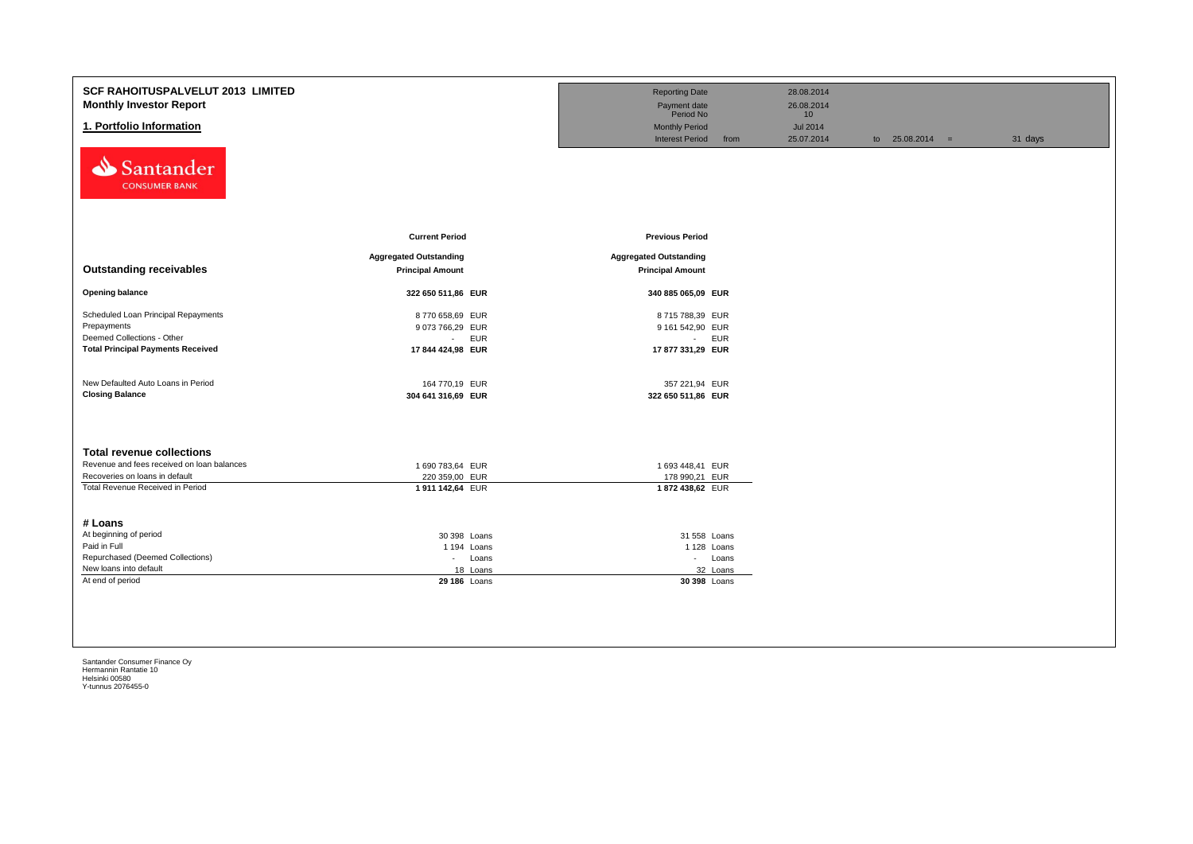| <b>SCF RAHOITUSPALVELUT 2013 LIMITED</b><br><b>Monthly Investor Report</b><br>1. Portfolio Information<br>Santander<br><b>CONSUMER BANK</b>                        |                                                                                     | <b>Reporting Date</b><br>Payment date<br>Period No<br><b>Monthly Period</b><br><b>Interest Period</b> | 28.08.2014<br>26.08.2014<br>10 <sup>1</sup><br><b>Jul 2014</b><br>from<br>25.07.2014 | to $25.08.2014 =$ | 31 days |
|--------------------------------------------------------------------------------------------------------------------------------------------------------------------|-------------------------------------------------------------------------------------|-------------------------------------------------------------------------------------------------------|--------------------------------------------------------------------------------------|-------------------|---------|
| <b>Outstanding receivables</b>                                                                                                                                     | <b>Current Period</b><br><b>Aggregated Outstanding</b><br><b>Principal Amount</b>   | <b>Previous Period</b><br><b>Aggregated Outstanding</b><br><b>Principal Amount</b>                    |                                                                                      |                   |         |
| <b>Opening balance</b>                                                                                                                                             | 322 650 511,86 EUR                                                                  | 340 885 065,09 EUR                                                                                    |                                                                                      |                   |         |
| Scheduled Loan Principal Repayments<br>Prepayments<br>Deemed Collections - Other<br><b>Total Principal Payments Received</b><br>New Defaulted Auto Loans in Period | 8770 658,69 EUR<br>9 073 766,29 EUR<br>- EUR<br>17 844 424,98 EUR<br>164 770,19 EUR | 8715788,39 EUR<br>9 161 542,90 EUR<br>- EUR<br>17 877 331,29 EUR<br>357 221,94 EUR                    |                                                                                      |                   |         |
| <b>Closing Balance</b>                                                                                                                                             | 304 641 316,69 EUR                                                                  | 322 650 511,86 EUR                                                                                    |                                                                                      |                   |         |
| <b>Total revenue collections</b><br>Revenue and fees received on loan balances<br>Recoveries on loans in default<br>Total Revenue Received in Period               | 1 690 783,64 EUR<br>220 359,00 EUR<br>1911 142,64 EUR                               | 1 693 448,41 EUR<br>178 990,21 EUR<br>1872 438,62 EUR                                                 |                                                                                      |                   |         |
| # Loans<br>At beginning of period<br>Paid in Full<br>Repurchased (Deemed Collections)<br>New loans into default<br>At end of period                                | 30 398 Loans<br>1 194 Loans<br>- Loans<br>18 Loans<br>29 186 Loans                  | 31 558 Loans<br>1 128 Loans<br>- Loans<br>32 Loans<br>30 398 Loans                                    |                                                                                      |                   |         |
|                                                                                                                                                                    |                                                                                     |                                                                                                       |                                                                                      |                   |         |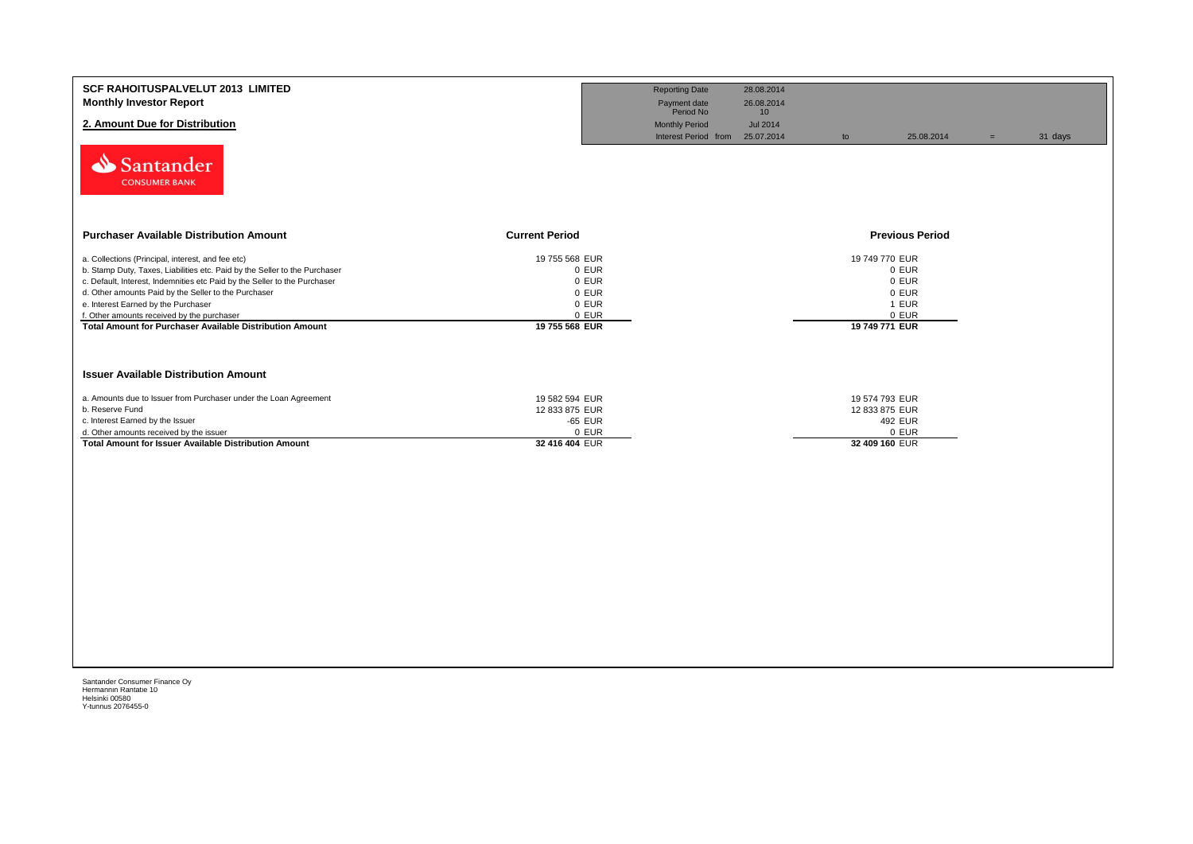| <b>SCF RAHOITUSPALVELUT 2013 LIMITED</b><br><b>Monthly Investor Report</b><br>2. Amount Due for Distribution<br>Santander<br><b>CONSUMER BANK</b>                                                                                                                                                                                                                                                                            |                                                                               | <b>Reporting Date</b><br>Payment date<br>Period No<br><b>Monthly Period</b><br>Interest Period from 25.07.2014 | 28.08.2014<br>26.08.2014<br>10 <sup>°</sup><br><b>Jul 2014</b> | to                                                 | 25.08.2014                                | $=$ | 31 days |
|------------------------------------------------------------------------------------------------------------------------------------------------------------------------------------------------------------------------------------------------------------------------------------------------------------------------------------------------------------------------------------------------------------------------------|-------------------------------------------------------------------------------|----------------------------------------------------------------------------------------------------------------|----------------------------------------------------------------|----------------------------------------------------|-------------------------------------------|-----|---------|
| <b>Purchaser Available Distribution Amount</b>                                                                                                                                                                                                                                                                                                                                                                               | <b>Current Period</b>                                                         |                                                                                                                |                                                                |                                                    | <b>Previous Period</b>                    |     |         |
| a. Collections (Principal, interest, and fee etc)<br>b. Stamp Duty, Taxes, Liabilities etc. Paid by the Seller to the Purchaser<br>c. Default, Interest, Indemnities etc Paid by the Seller to the Purchaser<br>d. Other amounts Paid by the Seller to the Purchaser<br>e. Interest Earned by the Purchaser<br>f. Other amounts received by the purchaser<br><b>Total Amount for Purchaser Available Distribution Amount</b> | 19 755 568 EUR<br>0 EUR<br>0 EUR<br>0 EUR<br>0 EUR<br>0 EUR<br>19 755 568 EUR |                                                                                                                |                                                                | 19 749 770 EUR<br>19 749 771 EUR                   | 0 EUR<br>0 EUR<br>0 EUR<br>1 EUR<br>0 EUR |     |         |
| <b>Issuer Available Distribution Amount</b>                                                                                                                                                                                                                                                                                                                                                                                  |                                                                               |                                                                                                                |                                                                |                                                    |                                           |     |         |
| a. Amounts due to Issuer from Purchaser under the Loan Agreement<br>b. Reserve Fund<br>c. Interest Earned by the Issuer<br>d. Other amounts received by the issuer<br><b>Total Amount for Issuer Available Distribution Amount</b>                                                                                                                                                                                           | 19 582 594 EUR<br>12 833 875 EUR<br>-65 EUR<br>0 EUR<br>32 416 404 EUR        |                                                                                                                |                                                                | 19 574 793 EUR<br>12 833 875 EUR<br>32 409 160 EUR | 492 EUR<br>0 EUR                          |     |         |
|                                                                                                                                                                                                                                                                                                                                                                                                                              |                                                                               |                                                                                                                |                                                                |                                                    |                                           |     |         |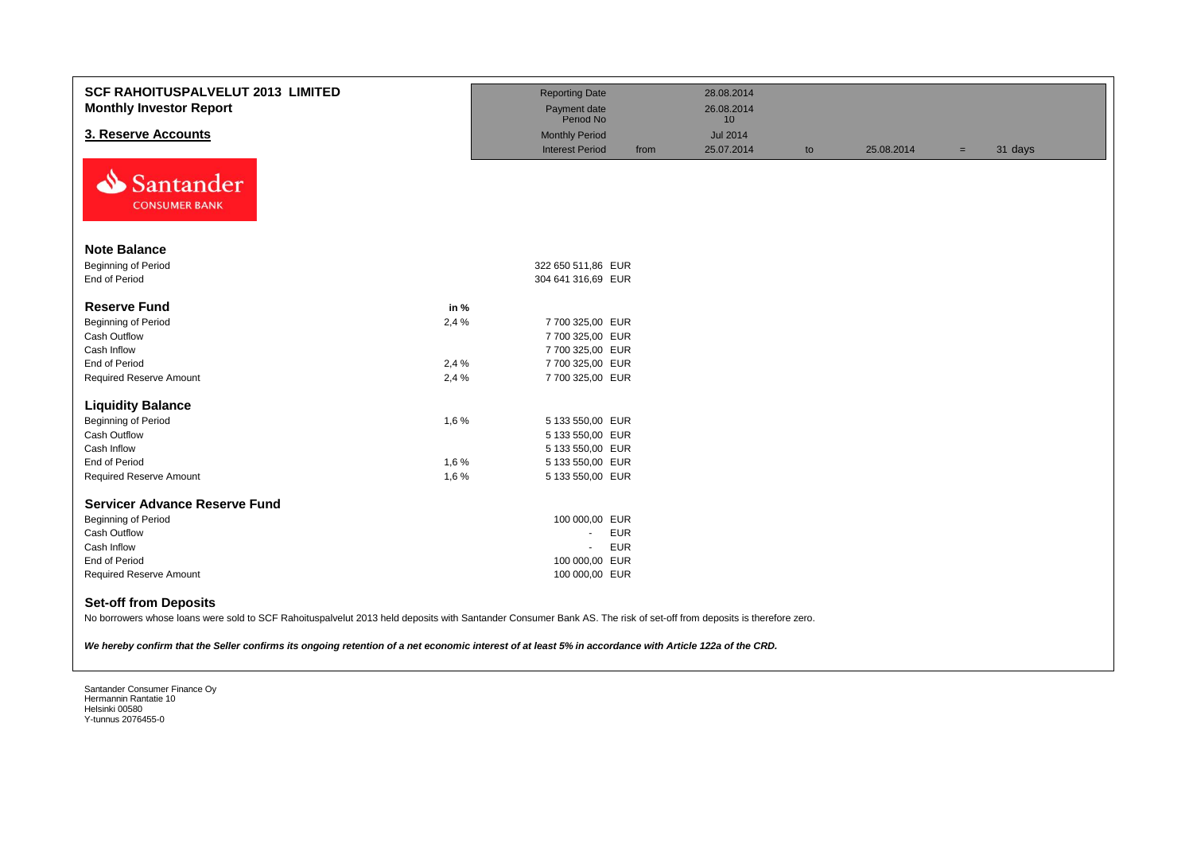| <b>SCF RAHOITUSPALVELUT 2013 LIMITED</b><br><b>Monthly Investor Report</b>                                                                                                                                                                                                                                                                                    |       | <b>Reporting Date</b><br>Payment date<br>Period No |            | 28.08.2014<br>26.08.2014<br>10 <sup>1</sup> |    |            |     |         |
|---------------------------------------------------------------------------------------------------------------------------------------------------------------------------------------------------------------------------------------------------------------------------------------------------------------------------------------------------------------|-------|----------------------------------------------------|------------|---------------------------------------------|----|------------|-----|---------|
| 3. Reserve Accounts                                                                                                                                                                                                                                                                                                                                           |       | <b>Monthly Period</b>                              |            | <b>Jul 2014</b>                             |    |            |     |         |
|                                                                                                                                                                                                                                                                                                                                                               |       | <b>Interest Period</b>                             | from       | 25.07.2014                                  | to | 25.08.2014 | $=$ | 31 days |
| Santander<br>N<br><b>CONSUMER BANK</b>                                                                                                                                                                                                                                                                                                                        |       |                                                    |            |                                             |    |            |     |         |
| <b>Note Balance</b>                                                                                                                                                                                                                                                                                                                                           |       |                                                    |            |                                             |    |            |     |         |
| Beginning of Period                                                                                                                                                                                                                                                                                                                                           |       | 322 650 511,86 EUR                                 |            |                                             |    |            |     |         |
| End of Period                                                                                                                                                                                                                                                                                                                                                 |       | 304 641 316,69 EUR                                 |            |                                             |    |            |     |         |
|                                                                                                                                                                                                                                                                                                                                                               |       |                                                    |            |                                             |    |            |     |         |
| <b>Reserve Fund</b>                                                                                                                                                                                                                                                                                                                                           | in %  |                                                    |            |                                             |    |            |     |         |
| Beginning of Period                                                                                                                                                                                                                                                                                                                                           | 2,4 % | 7 700 325,00 EUR                                   |            |                                             |    |            |     |         |
| Cash Outflow                                                                                                                                                                                                                                                                                                                                                  |       | 7 700 325,00 EUR                                   |            |                                             |    |            |     |         |
| Cash Inflow                                                                                                                                                                                                                                                                                                                                                   |       | 7 700 325,00 EUR                                   |            |                                             |    |            |     |         |
| End of Period                                                                                                                                                                                                                                                                                                                                                 | 2,4%  | 7 700 325,00 EUR                                   |            |                                             |    |            |     |         |
| <b>Required Reserve Amount</b>                                                                                                                                                                                                                                                                                                                                | 2,4 % | 7 700 325,00 EUR                                   |            |                                             |    |            |     |         |
| <b>Liquidity Balance</b>                                                                                                                                                                                                                                                                                                                                      |       |                                                    |            |                                             |    |            |     |         |
| Beginning of Period                                                                                                                                                                                                                                                                                                                                           | 1,6%  | 5 133 550,00 EUR                                   |            |                                             |    |            |     |         |
| Cash Outflow                                                                                                                                                                                                                                                                                                                                                  |       | 5 133 550,00 EUR                                   |            |                                             |    |            |     |         |
| Cash Inflow                                                                                                                                                                                                                                                                                                                                                   |       | 5 133 550,00 EUR                                   |            |                                             |    |            |     |         |
| <b>End of Period</b>                                                                                                                                                                                                                                                                                                                                          | 1,6%  | 5 133 550,00 EUR                                   |            |                                             |    |            |     |         |
| <b>Required Reserve Amount</b>                                                                                                                                                                                                                                                                                                                                | 1,6%  | 5 133 550,00 EUR                                   |            |                                             |    |            |     |         |
|                                                                                                                                                                                                                                                                                                                                                               |       |                                                    |            |                                             |    |            |     |         |
| <b>Servicer Advance Reserve Fund</b>                                                                                                                                                                                                                                                                                                                          |       |                                                    |            |                                             |    |            |     |         |
| Beginning of Period                                                                                                                                                                                                                                                                                                                                           |       | 100 000,00 EUR                                     |            |                                             |    |            |     |         |
| Cash Outflow                                                                                                                                                                                                                                                                                                                                                  |       | $\blacksquare$                                     | <b>EUR</b> |                                             |    |            |     |         |
| Cash Inflow                                                                                                                                                                                                                                                                                                                                                   |       | $\omega$                                           | <b>EUR</b> |                                             |    |            |     |         |
| End of Period                                                                                                                                                                                                                                                                                                                                                 |       | 100 000,00 EUR                                     |            |                                             |    |            |     |         |
| <b>Required Reserve Amount</b>                                                                                                                                                                                                                                                                                                                                |       | 100 000,00 EUR                                     |            |                                             |    |            |     |         |
| <b>Set-off from Deposits</b><br>No borrowers whose loans were sold to SCF Rahoituspalvelut 2013 held deposits with Santander Consumer Bank AS. The risk of set-off from deposits is therefore zero.<br>We hereby confirm that the Seller confirms its ongoing retention of a net economic interest of at least 5% in accordance with Article 122a of the CRD. |       |                                                    |            |                                             |    |            |     |         |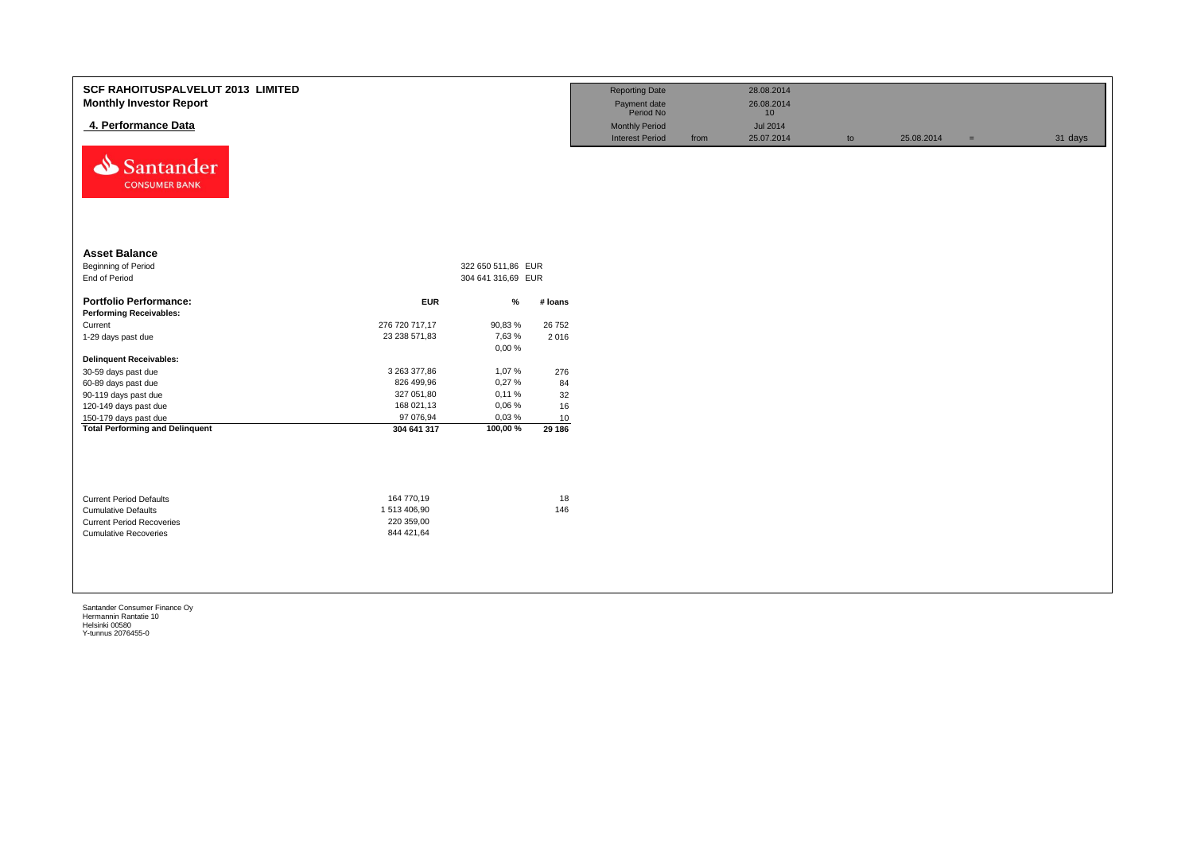| <b>SCF RAHOITUSPALVELUT 2013 LIMITED</b><br><b>Monthly Investor Report</b><br>4. Performance Data<br>⇘<br>Santander<br><b>CONSUMER BANK</b> |                                                       |                    |           | <b>Reporting Date</b><br>Payment date<br>Period No<br><b>Monthly Period</b><br><b>Interest Period</b> | from | 28.08.2014<br>26.08.2014<br>10<br><b>Jul 2014</b><br>25.07.2014 | to | 25.08.2014 | $=$ | 31 days |
|---------------------------------------------------------------------------------------------------------------------------------------------|-------------------------------------------------------|--------------------|-----------|-------------------------------------------------------------------------------------------------------|------|-----------------------------------------------------------------|----|------------|-----|---------|
| <b>Asset Balance</b>                                                                                                                        |                                                       |                    |           |                                                                                                       |      |                                                                 |    |            |     |         |
| Beginning of Period                                                                                                                         |                                                       | 322 650 511,86 EUR |           |                                                                                                       |      |                                                                 |    |            |     |         |
| End of Period                                                                                                                               |                                                       | 304 641 316,69 EUR |           |                                                                                                       |      |                                                                 |    |            |     |         |
| <b>Portfolio Performance:</b>                                                                                                               | <b>EUR</b>                                            | %                  | # Ioans   |                                                                                                       |      |                                                                 |    |            |     |         |
| <b>Performing Receivables:</b>                                                                                                              |                                                       |                    |           |                                                                                                       |      |                                                                 |    |            |     |         |
| Current                                                                                                                                     | 276 720 717,17                                        | 90,83%             | 26 752    |                                                                                                       |      |                                                                 |    |            |     |         |
| 1-29 days past due                                                                                                                          | 23 238 571,83                                         | 7,63%<br>0,00%     | 2 0 1 6   |                                                                                                       |      |                                                                 |    |            |     |         |
| <b>Delinquent Receivables:</b>                                                                                                              |                                                       |                    |           |                                                                                                       |      |                                                                 |    |            |     |         |
| 30-59 days past due                                                                                                                         | 3 263 377,86                                          | 1,07%              | 276       |                                                                                                       |      |                                                                 |    |            |     |         |
| 60-89 days past due                                                                                                                         | 826 499,96                                            | 0,27%              | 84        |                                                                                                       |      |                                                                 |    |            |     |         |
| 90-119 days past due                                                                                                                        | 327 051,80                                            | 0,11%              | 32        |                                                                                                       |      |                                                                 |    |            |     |         |
| 120-149 days past due                                                                                                                       | 168 021,13                                            | 0,06%              | 16        |                                                                                                       |      |                                                                 |    |            |     |         |
| 150-179 days past due                                                                                                                       | 97 076,94                                             | 0,03%              | 10        |                                                                                                       |      |                                                                 |    |            |     |         |
| <b>Total Performing and Delinquent</b>                                                                                                      | 304 641 317                                           | 100,00%            | 29 186    |                                                                                                       |      |                                                                 |    |            |     |         |
| <b>Current Period Defaults</b><br><b>Cumulative Defaults</b><br><b>Current Period Recoveries</b><br><b>Cumulative Recoveries</b>            | 164 770,19<br>1513 406,90<br>220 359,00<br>844 421,64 |                    | 18<br>146 |                                                                                                       |      |                                                                 |    |            |     |         |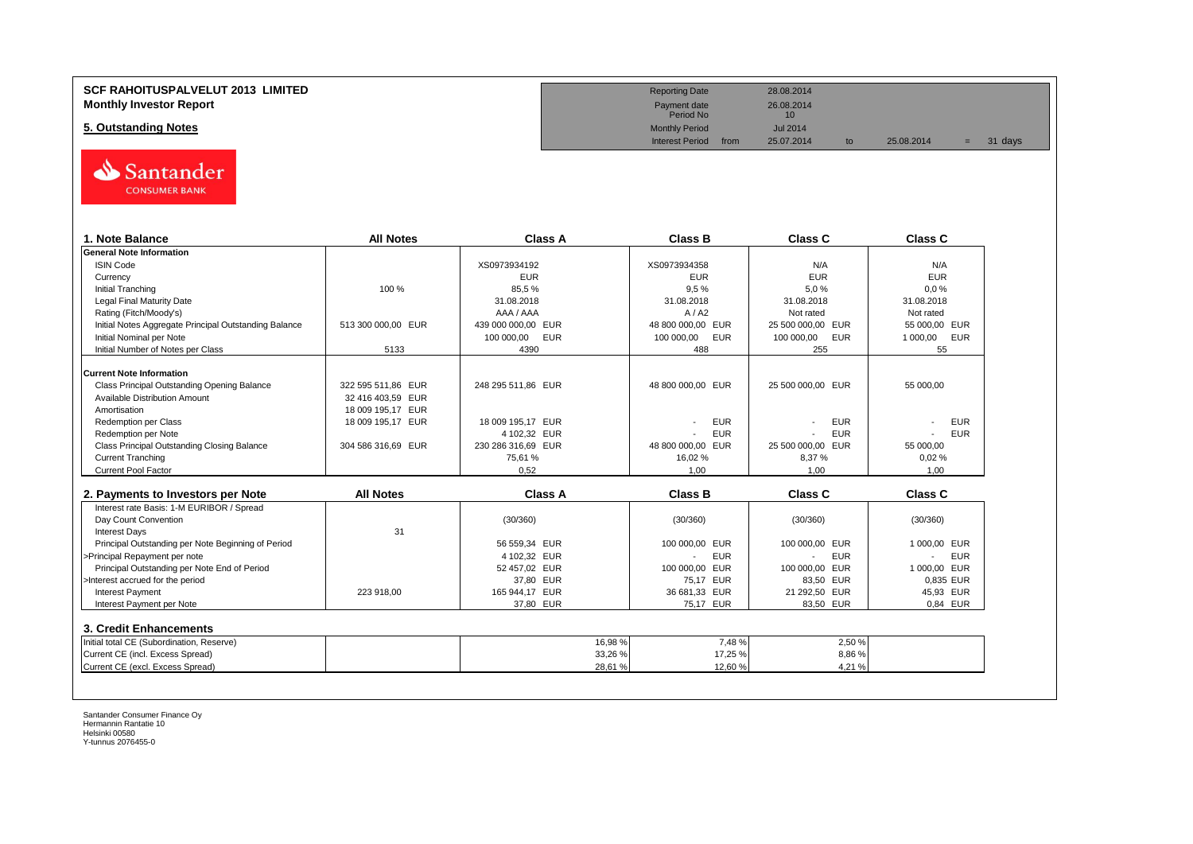#### **SCF RAHOITUSPALVELUT 2013 LIMITED Monthly Investor Report**

**5. Outstanding Notes** 



| 1. Note Balance                                       | <b>All Notes</b>   | Class A            | <b>Class B</b>                         | Class C           | Class C                                |
|-------------------------------------------------------|--------------------|--------------------|----------------------------------------|-------------------|----------------------------------------|
| <b>General Note Information</b>                       |                    |                    |                                        |                   |                                        |
| <b>ISIN Code</b>                                      |                    | XS0973934192       | XS0973934358                           | N/A               | N/A                                    |
| Currency                                              |                    | <b>EUR</b>         | <b>EUR</b>                             | <b>EUR</b>        | <b>EUR</b>                             |
| <b>Initial Tranching</b>                              | 100 %              | 85,5%              | 9.5%                                   | 5.0%              | 0.0%                                   |
| <b>Legal Final Maturity Date</b>                      |                    | 31.08.2018         | 31.08.2018                             | 31.08.2018        | 31.08.2018                             |
| Rating (Fitch/Moody's)                                |                    | AAA / AAA          | A/ A2                                  | Not rated         | Not rated                              |
| Initial Notes Aggregate Principal Outstanding Balance | 513 300 000.00 EUR | 439 000 000.00 EUR | 48 800 000,00 EUR                      | 25 500 000.00 EUR | 55 000.00 EUR                          |
| Initial Nominal per Note                              |                    | 100 000,00<br>EUR  | 100 000,00<br>EUR                      | 100 000,00<br>EUR | 1 000,00<br>EUR                        |
| Initial Number of Notes per Class                     | 5133               | 4390               | 488                                    | 255               | 55                                     |
| <b>Current Note Information</b>                       |                    |                    |                                        |                   |                                        |
| Class Principal Outstanding Opening Balance           | 322 595 511,86 EUR | 248 295 511.86 EUR | 48 800 000,00 EUR                      | 25 500 000,00 EUR | 55 000.00                              |
| <b>Available Distribution Amount</b>                  | 32 416 403.59 EUR  |                    |                                        |                   |                                        |
| Amortisation                                          | 18 009 195,17 EUR  |                    |                                        |                   |                                        |
| <b>Redemption per Class</b>                           | 18 009 195,17 EUR  | 18 009 195.17 EUR  | <b>EUR</b>                             | <b>EUR</b>        | <b>EUR</b>                             |
| Redemption per Note                                   |                    | 4 102.32 EUR       | <b>EUR</b>                             | <b>EUR</b>        | <b>EUR</b>                             |
| Class Principal Outstanding Closing Balance           | 304 586 316.69 EUR | 230 286 316,69 EUR | 48 800 000.00 EUR                      | 25 500 000,00 EUR | 55 000.00                              |
| <b>Current Tranching</b>                              |                    | 75,61%             | 16,02%                                 | 8,37%             | 0.02%                                  |
| <b>Current Pool Factor</b>                            |                    | 0.52               | 1.00                                   | 1.00              | 1.00                                   |
|                                                       |                    |                    |                                        |                   |                                        |
| 2. Payments to Investors per Note                     | <b>All Notes</b>   | <b>Class A</b>     | <b>Class B</b>                         | Class C           | <b>Class C</b>                         |
| Interest rate Basis: 1-M EURIBOR / Spread             |                    |                    |                                        |                   |                                        |
| Day Count Convention                                  |                    | (30/360)           | (30/360)                               | (30/360)          | (30/360)                               |
| <b>Interest Days</b>                                  | 31                 |                    |                                        |                   |                                        |
| Principal Outstanding per Note Beginning of Period    |                    | 56 559.34 EUR      | 100 000.00 EUR                         | 100 000.00 EUR    | 1 000,00 EUR                           |
| >Principal Repayment per note                         |                    | 4 102.32 EUR       | <b>EUR</b><br>$\overline{\phantom{a}}$ | <b>EUR</b>        | <b>EUR</b><br>$\overline{\phantom{a}}$ |
| Principal Outstanding per Note End of Period          |                    | 52 457,02 EUR      | 100 000,00 EUR                         | 100 000,00 EUR    | 1 000,00 EUR                           |
| >Interest accrued for the period                      |                    | 37,80 EUR          | 75.17 EUR                              | 83,50 EUR         | 0.835 EUR                              |
| <b>Interest Payment</b>                               | 223 918,00         | 165 944,17 EUR     | 36 681,33 EUR                          | 21 292,50 EUR     | 45,93 EUR                              |
| Interest Payment per Note                             |                    | 37,80 EUR          | 75,17 EUR                              | 83,50 EUR         | 0.84 EUR                               |
| 3. Credit Enhancements                                |                    |                    |                                        |                   |                                        |
| Initial total CE (Subordination, Reserve)             |                    | 16,98 %            | 7,48%                                  | 2,50 %            |                                        |
| Current CE (incl. Excess Spread)                      |                    | 33,26 %            | 17,25 %                                | 8,86%             |                                        |
| Current CE (excl. Excess Spread)                      |                    | 28.61 %            | 12.60%                                 | 4.21%             |                                        |

| <b>Reporting Date</b>     |      | 28.08.2014       |    |            |    |         |  |
|---------------------------|------|------------------|----|------------|----|---------|--|
| Payment date<br>Period No |      | 26.08.2014<br>10 |    |            |    |         |  |
| <b>Monthly Period</b>     |      | Jul 2014         |    |            |    |         |  |
| <b>Interest Period</b>    | from | 25.07.2014       | to | 25.08.2014 | E. | 31 days |  |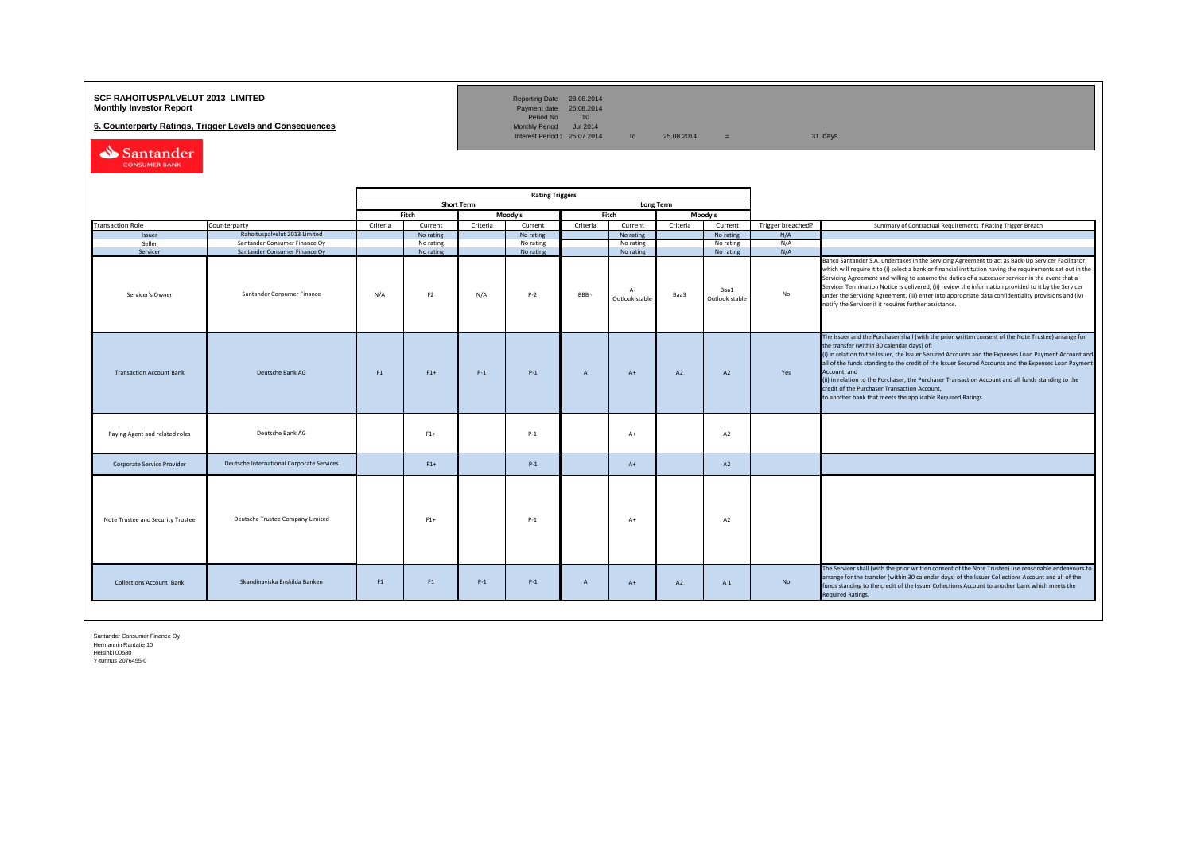## **SCF RAHOITUSPALVELUT 2013 LIMITED**<br>**Monthly Investor Report** Payment date 26.08.2014

**6. Counterparty Ratings, Trigger Levels and Consequences** 

Reporting Date 28.08.2014<br>Payment date 26.08.2014<br>Period No 10<br>Monthly Period Jul 2014

Interest Period:  $25.07.2014$  to  $25.08.2014$  = 31 days

Santander

|                                   |                                                                |          | <b>Rating Triggers</b>                |          |                        |                |                                     |          |                                     |                   |                                                                                                                                                                                                                                                                                                                                                                                                                                                                                                                                                                                                        |
|-----------------------------------|----------------------------------------------------------------|----------|---------------------------------------|----------|------------------------|----------------|-------------------------------------|----------|-------------------------------------|-------------------|--------------------------------------------------------------------------------------------------------------------------------------------------------------------------------------------------------------------------------------------------------------------------------------------------------------------------------------------------------------------------------------------------------------------------------------------------------------------------------------------------------------------------------------------------------------------------------------------------------|
|                                   |                                                                |          | <b>Short Term</b><br><b>Long Term</b> |          |                        |                |                                     |          |                                     |                   |                                                                                                                                                                                                                                                                                                                                                                                                                                                                                                                                                                                                        |
|                                   |                                                                | Fitch    |                                       | Moodv's  |                        | Fitch          |                                     | Moody's  |                                     |                   |                                                                                                                                                                                                                                                                                                                                                                                                                                                                                                                                                                                                        |
| <b>Transaction Role</b>           | Counterparty                                                   | Criteria | Current                               | Criteria | Current                | Criteria       | Current                             | Criteria | Current                             | Trigger breached? | Summary of Contractual Requirements if Rating Trigger Breach                                                                                                                                                                                                                                                                                                                                                                                                                                                                                                                                           |
| Issuer                            | Rahoituspalvelut 2013 Limited                                  |          | No rating                             |          | No rating              |                | No rating                           |          | No rating                           | N/A               |                                                                                                                                                                                                                                                                                                                                                                                                                                                                                                                                                                                                        |
| Seller                            | Santander Consumer Finance Oy<br>Santander Consumer Finance Oy |          | No rating                             |          | No rating<br>No rating |                | No rating                           |          | No rating                           | N/A<br>N/A        |                                                                                                                                                                                                                                                                                                                                                                                                                                                                                                                                                                                                        |
| Servicer<br>Servicer's Owner      | Santander Consumer Finance                                     | N/A      | No rating<br>F <sub>2</sub>           | N/A      | $P-2$                  | <b>BBB</b>     | No rating<br>$A-$<br>Outlook stable | Baa3     | No rating<br>Baa1<br>Outlook stable | No                | Banco Santander S.A. undertakes in the Servicing Agreement to act as Back-Up Servicer Facilitator,<br>which will require it to (i) select a bank or financial institution having the requirements set out in the<br>Servicing Agreement and willing to assume the duties of a successor servicer in the event that a<br>Servicer Termination Notice is delivered, (ii) review the information provided to it by the Servicer<br>under the Servicing Agreement, (iii) enter into appropriate data confidentiality provisions and (iv)<br>notify the Servicer if it requires further assistance.         |
| <b>Transaction Account Bank</b>   | Deutsche Bank AG                                               | F1       | $F1+$                                 | $P-1$    | $P-1$                  | $\overline{A}$ | $A+$                                | A2       | A2                                  | Yes               | The Issuer and the Purchaser shall (with the prior written consent of the Note Trustee) arrange for<br>the transfer (within 30 calendar days) of:<br>(i) in relation to the Issuer, the Issuer Secured Accounts and the Expenses Loan Payment Account and<br>all of the funds standing to the credit of the Issuer Secured Accounts and the Expenses Loan Payment<br>Account; and<br>(ii) in relation to the Purchaser, the Purchaser Transaction Account and all funds standing to the<br>credit of the Purchaser Transaction Account,<br>to another bank that meets the applicable Required Ratings. |
| Paying Agent and related roles    | Deutsche Bank AG                                               |          | $F1+$                                 |          | $P-1$                  |                | $A+$                                |          | A2                                  |                   |                                                                                                                                                                                                                                                                                                                                                                                                                                                                                                                                                                                                        |
| Corporate Service Provider        | Deutsche International Corporate Services                      |          | $F1+$                                 |          | $P-1$                  |                | $A+$                                |          | A2                                  |                   |                                                                                                                                                                                                                                                                                                                                                                                                                                                                                                                                                                                                        |
| Note Trustee and Security Trustee | Deutsche Trustee Company Limited                               |          | $F1+$                                 |          | $P-1$                  |                | $A+$                                |          | A2                                  |                   |                                                                                                                                                                                                                                                                                                                                                                                                                                                                                                                                                                                                        |
| <b>Collections Account Bank</b>   | Skandinaviska Enskilda Banken                                  | F1       | F1                                    | $P-1$    | $P-1$                  | $\overline{A}$ | $A+$                                | A2       | A1                                  | No                | The Servicer shall (with the prior written consent of the Note Trustee) use reasonable endeavours to<br>arrange for the transfer (within 30 calendar days) of the Issuer Collections Account and all of the<br>funds standing to the credit of the Issuer Collections Account to another bank which meets the<br><b>Required Ratings.</b>                                                                                                                                                                                                                                                              |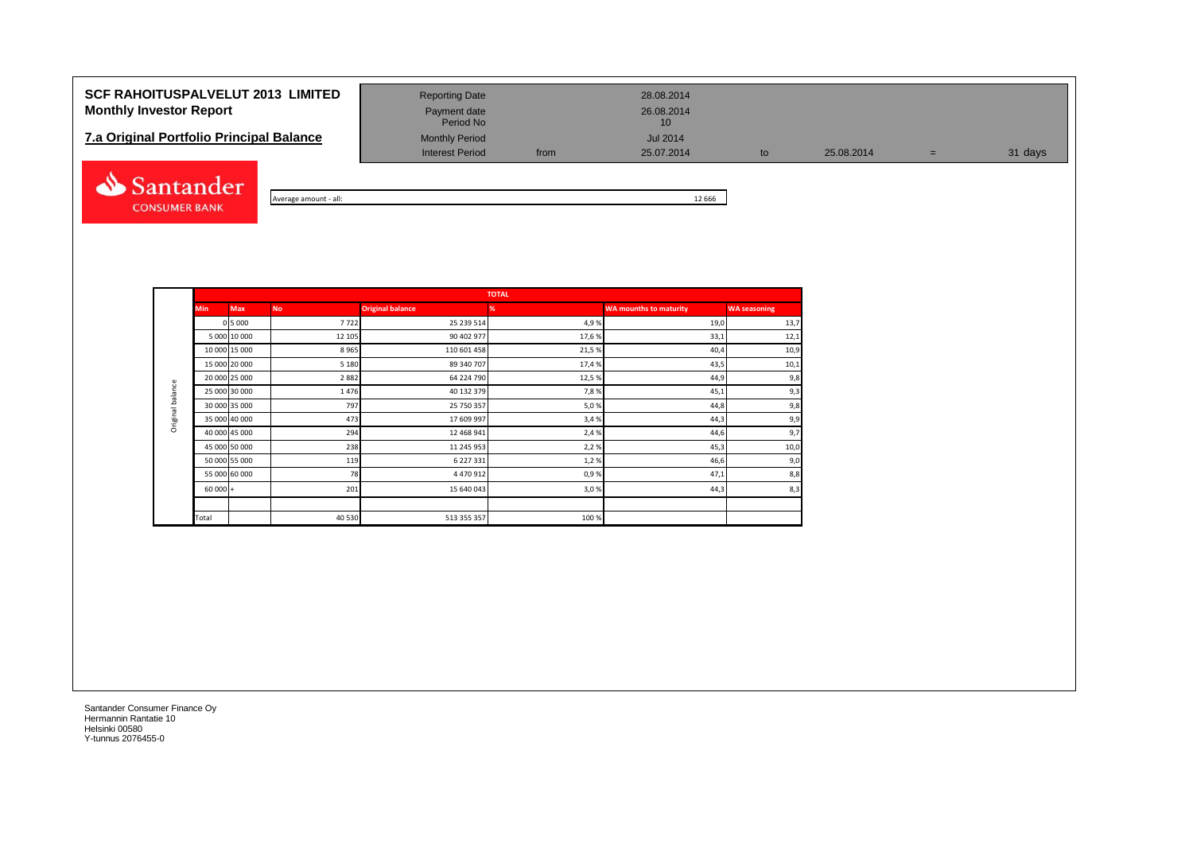# **SCF RAHOITUSPALVELUT 2013 LIMITED** Reporting Date 28.08.2014 **Monthly Investor Report Payment date** Payment date 26.08.2014

| <b>7.a Original Portfolio Principal Balance</b> | <b>Monthly Period</b> | Jul 2014 |
|-------------------------------------------------|-----------------------|----------|
|-------------------------------------------------|-----------------------|----------|



Average amount - all: 12 666

**TOTALMin Max No Original balance % WA mounths to maturity WA seasoning** 0 | 7722 | 25 239 514 | 4,9 % | 13,7  $\,$  19,0 | 13,7  $\,$ 5 000 10 000 12 105 90 402 977 17,6 % 33,1 12,1 10 000 15 000 8 965 110 601 458 21,5 % 40,4 10,9 15 000 20 000 5 180 89 340 707 17,4 % 43,5 10,1 20 000 25 000 2 882 64 224 790 12,5 % 44,9 9,8 Original balance Original balance 25 000 30 000 1 476 40 132 379 7,8 % 45,1 9,3 30 000 35 000 797 25 750 357 5,0 % 44,8 9,8 35 000 | 473 | 17 609 997 | 3,4 % | 44,3 | 9,9 40 000 45 000 294 12 468 941 2,4 % 44,6 9,7 45 000 50 000 238 238 238 11 245 953 2,2 % 2,2 % 2,2 % 45,3 10,0 50 000 55 000 119 6 227 331 1,2 % 46,6 9,0 55 000 60 000 | 78 78 4470 912 200 120 50 99% 47,1 47,1 8,8  $60\,000$  + 201 201 201 3,06 3,0% 3,0% 44,3 44,3 Total 100 % and 100 % 40 530 513 355 357 513 355 357 513 355 357 513 355 357 513 355 357 510 % 510 % 510 % 510

Period No

Interest Period from 25.07.2014 to 25.08.2014 = 31 days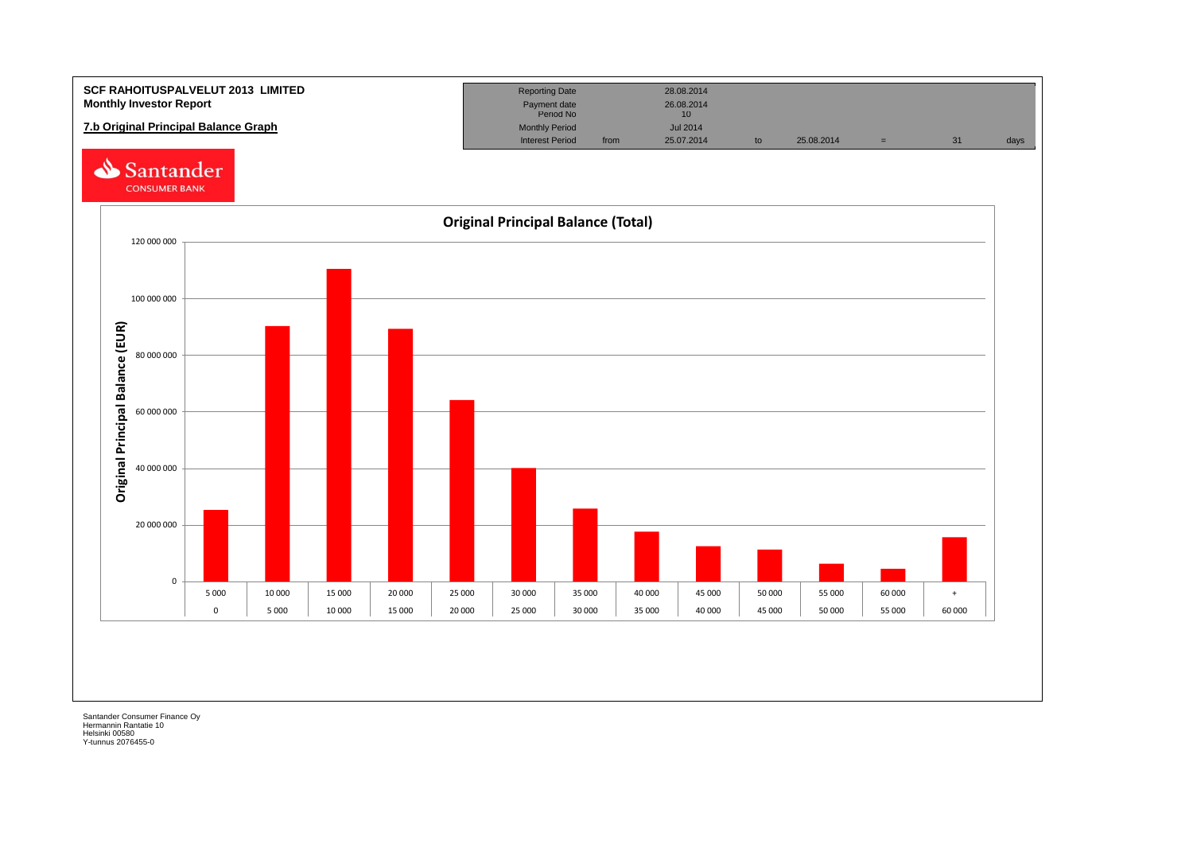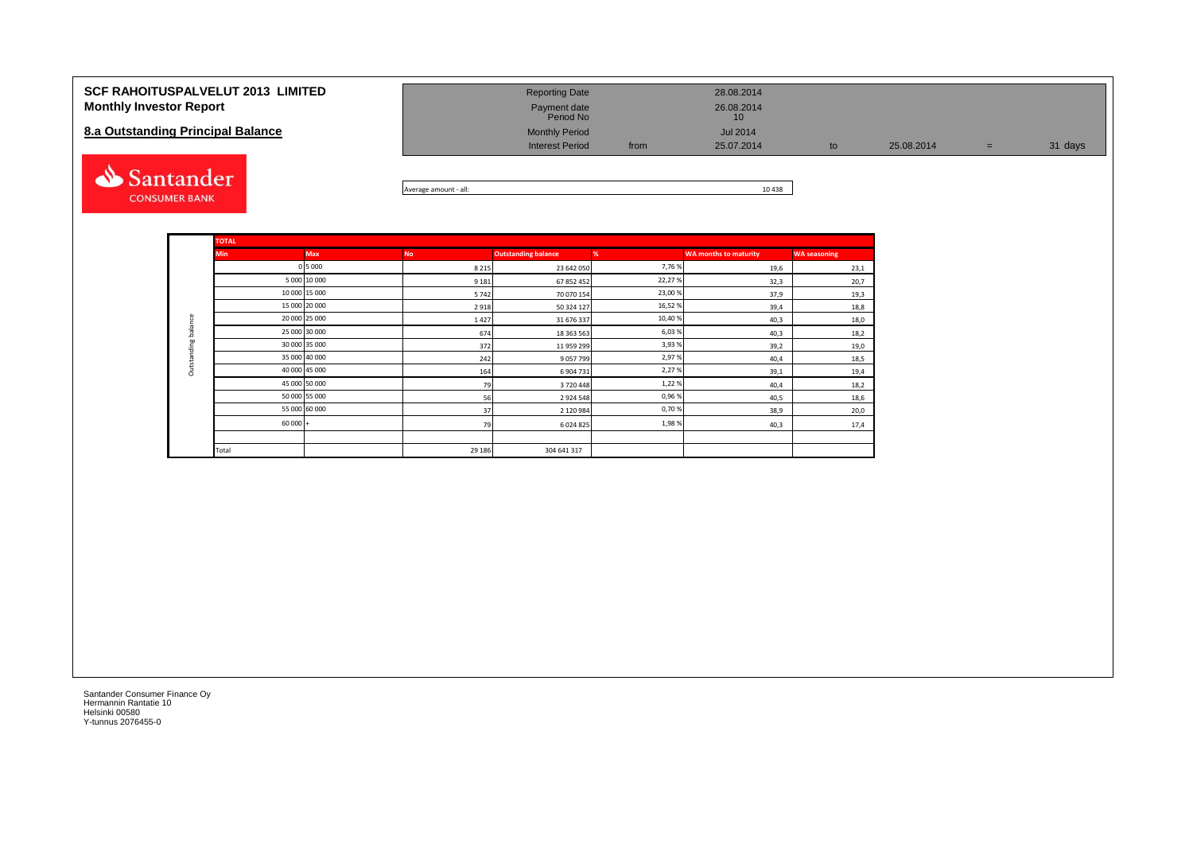| <b>SCF RAHOITUSPALVELUT 2013 LIMITED</b><br><b>Monthly Investor Report</b><br>8.a Outstanding Principal Balance | <b>Reporting Date</b><br>Payment date<br>Period No<br><b>Monthly Period</b><br><b>Interest Period</b> | from | 28.08.2014<br>26.08.2014<br>10<br><b>Jul 2014</b><br>25.07.2014 | to | 25.08.2014 | $=$ | 31 days |
|-----------------------------------------------------------------------------------------------------------------|-------------------------------------------------------------------------------------------------------|------|-----------------------------------------------------------------|----|------------|-----|---------|
| Santander                                                                                                       |                                                                                                       |      | 10.100                                                          |    |            |     |         |



|                     | <b>TOTAL</b>  |               |           |                            |        |                              |                     |
|---------------------|---------------|---------------|-----------|----------------------------|--------|------------------------------|---------------------|
|                     | <b>Min</b>    | <b>Max</b>    | <b>No</b> | <b>Outstanding balance</b> | %      | <b>WA months to maturity</b> | <b>WA seasoning</b> |
|                     |               | 0 5 0 0 0     | 8 2 1 5   | 23 642 050                 | 7,76%  | 19,6                         | 23,1                |
|                     |               | 5 000 10 000  | 9 1 8 1   | 67 852 452                 | 22,27% | 32,3                         | 20,7                |
|                     |               | 10 000 15 000 | 5742      | 70 070 154                 | 23,00% | 37,9                         | 19,3                |
|                     |               | 15 000 20 000 | 2918      | 50 324 127                 | 16,52% | 39,4                         | 18,8                |
|                     |               | 20 000 25 000 | 1427      | 31 676 337                 | 10,40% | 40,3                         | 18,0                |
|                     | 25 000 30 000 |               | 674       | 18 363 563                 | 6,03%  | 40,3                         | 18,2                |
| Outstanding balance |               | 30 000 35 000 | 372       | 11 959 299                 | 3,93%  | 39,2                         | 19,0                |
|                     |               | 35 000 40 000 | 242       | 9057799                    | 2,97%  | 40,4                         | 18,5                |
|                     | 40 000 45 000 |               | 164       | 6 904 731                  | 2,27%  | 39,1                         | 19,4                |
|                     | 45 000 50 000 |               | 79        | 3720448                    | 1,22%  | 40,4                         | 18,2                |
|                     |               | 50 000 55 000 | 56        | 2924548                    | 0,96%  | 40,5                         | 18,6                |
|                     |               | 55 000 60 000 | 37        | 2 120 984                  | 0,70%  | 38,9                         | 20,0                |
|                     | $60000 +$     |               | 79        | 6024825                    | 1,98%  | 40,3                         | 17,4                |
|                     |               |               |           |                            |        |                              |                     |
|                     | Total         |               | 29 18 6   | 304 641 317                |        |                              |                     |

**CONSUMER BANK**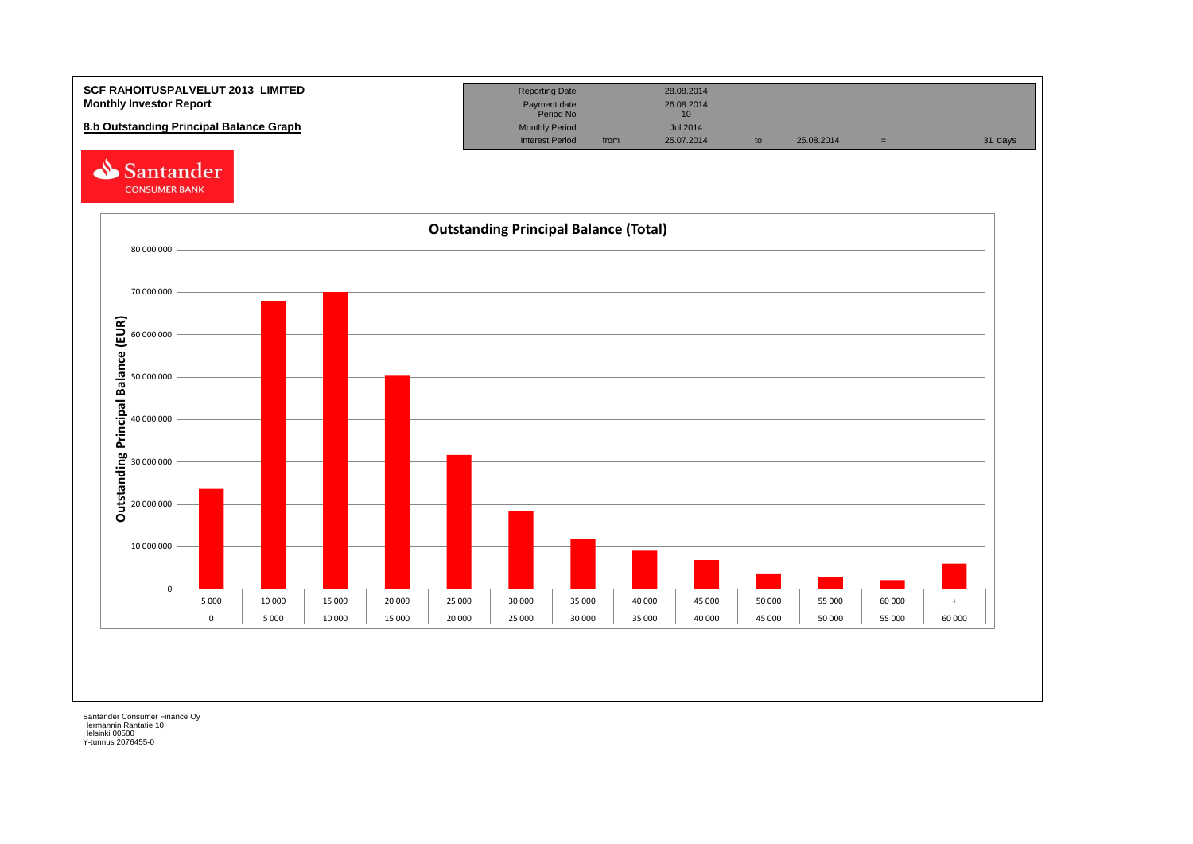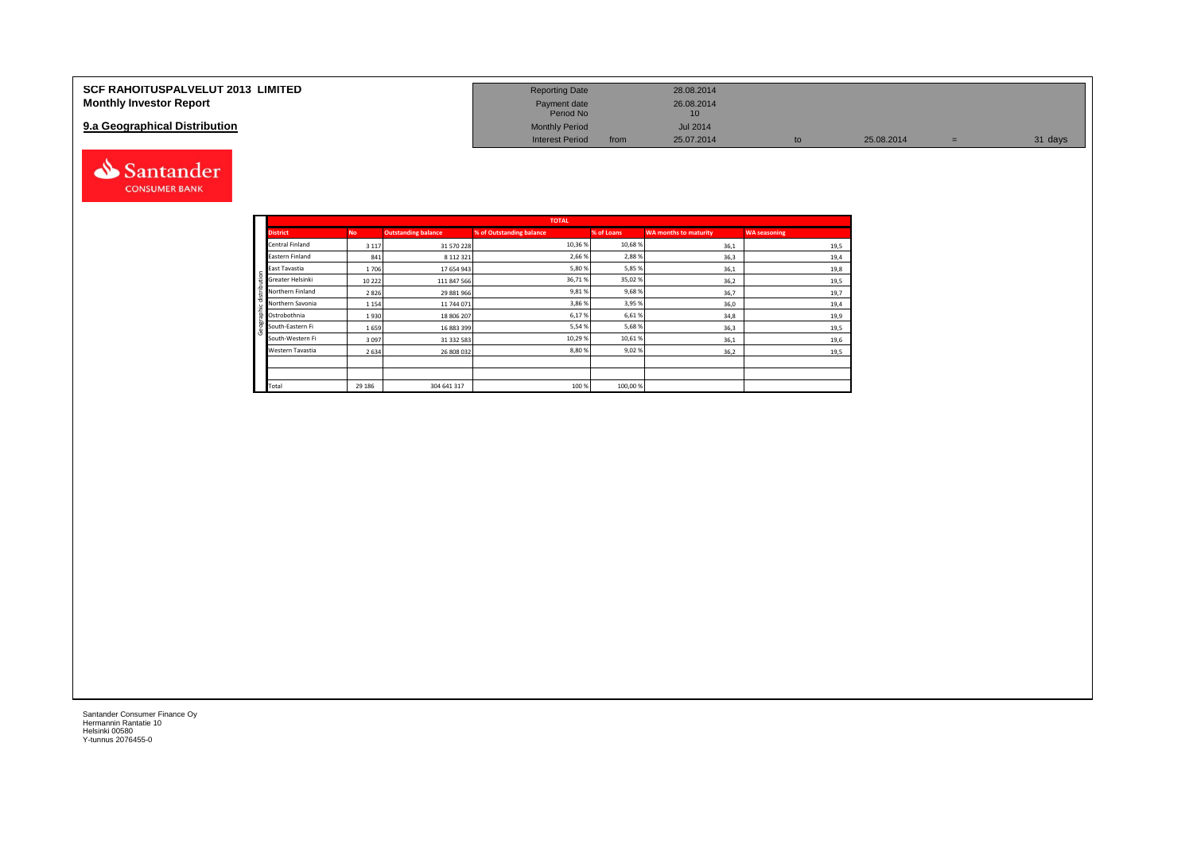| <b>SCF RAHOITUSPALVELUT 2013 LIMITED</b> | <b>Reporting Date</b>     |      | 28.08.2014      |    |            |         |
|------------------------------------------|---------------------------|------|-----------------|----|------------|---------|
| <b>Monthly Investor Report</b>           | Payment date<br>Period No |      | 26.08.2014      |    |            |         |
| 9.a Geographical Distribution            | <b>Monthly Period</b>     |      | <b>Jul 2014</b> |    |            |         |
|                                          | <b>Interest Period</b>    | from | 25.07.2014      | to | 25.08.2014 | 31 days |



|              |                  |           |                            | <b>TOTAL</b>             |            |                       |                     |
|--------------|------------------|-----------|----------------------------|--------------------------|------------|-----------------------|---------------------|
|              | <b>District</b>  | <b>No</b> | <b>Outstanding balance</b> | % of Outstanding balance | % of Loans | WA months to maturity | <b>WA seasoning</b> |
|              | Central Finland  | 3 1 1 7   | 31 570 228                 | 10,36 %                  | 10,68%     | 36,1                  | 19,5                |
|              | Eastern Finland  | 841       | 8 112 321                  | 2,66%                    | 2,88%      | 36,3                  | 19,4                |
|              | East Tavastia    | 1706      | 17 654 943                 | 5,80%                    | 5,85%      | 36,1                  | 19,8                |
| distribution | Greater Helsinki | 10 2 22   | 111 847 566                | 36,71%                   | 35,02%     | 36,2                  | 19,5                |
|              | Northern Finland | 2826      | 29 881 966                 | 9,81%                    | 9,68%      | 36,7                  | 19,7                |
|              | Northern Savonia | 1 1 5 4   | 11 744 071                 | 3,86%                    | 3,95%      | 36,0                  | 19,4                |
|              | Ostrobothnia     | 1930      | 18 806 207                 | 6,17%                    | 6,61%      | 34,8                  | 19,9                |
| Geographic   | South-Eastern Fi | 1659      | 16 883 399                 | 5,54%                    | 5,68%      | 36,3                  | 19,5                |
|              | South-Western Fi | 3097      | 31 332 583                 | 10,29%                   | 10,61%     | 36,1                  | 19,6                |
|              | Western Tavastia | 2634      | 26 808 032                 | 8,80%                    | 9,02%      | 36,2                  | 19,5                |
|              |                  |           |                            |                          |            |                       |                     |
|              |                  |           |                            |                          |            |                       |                     |
|              | Total            | 29 18 6   | 304 641 317                | 100 %                    | 100,00%    |                       |                     |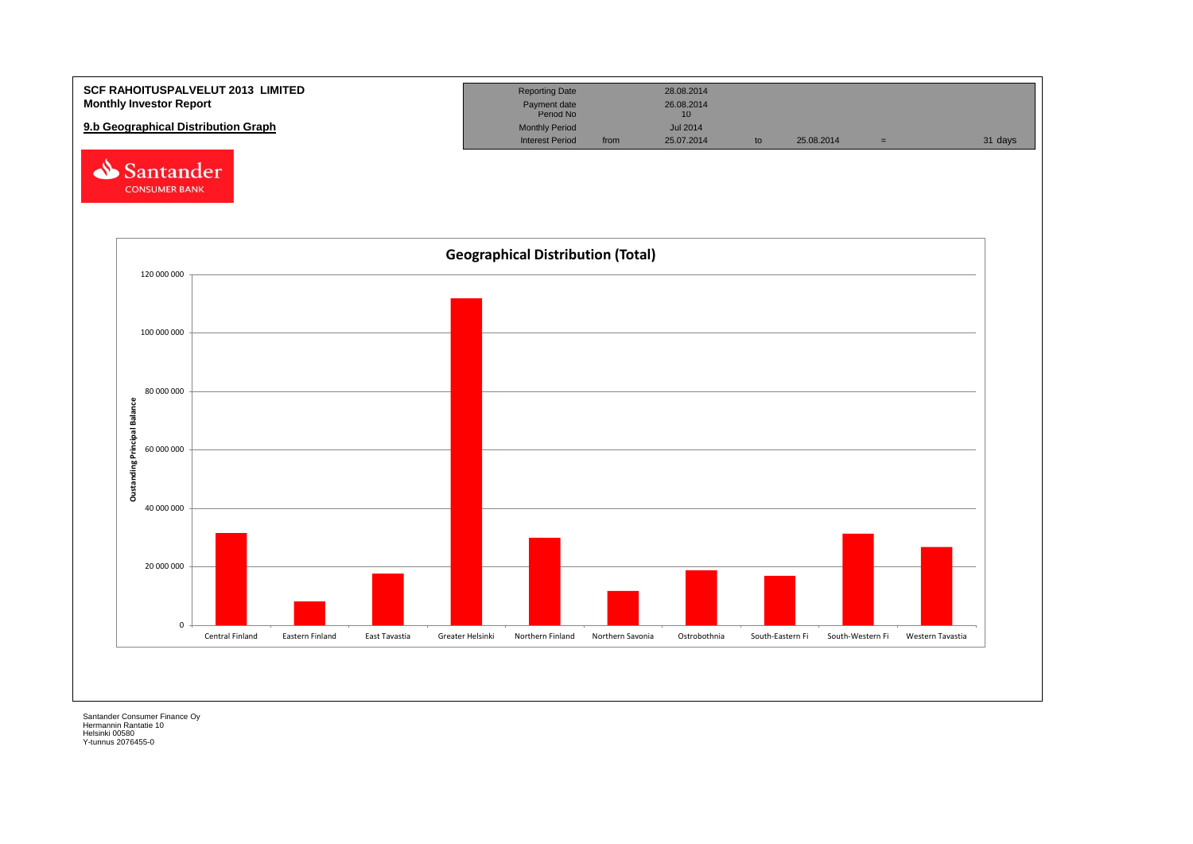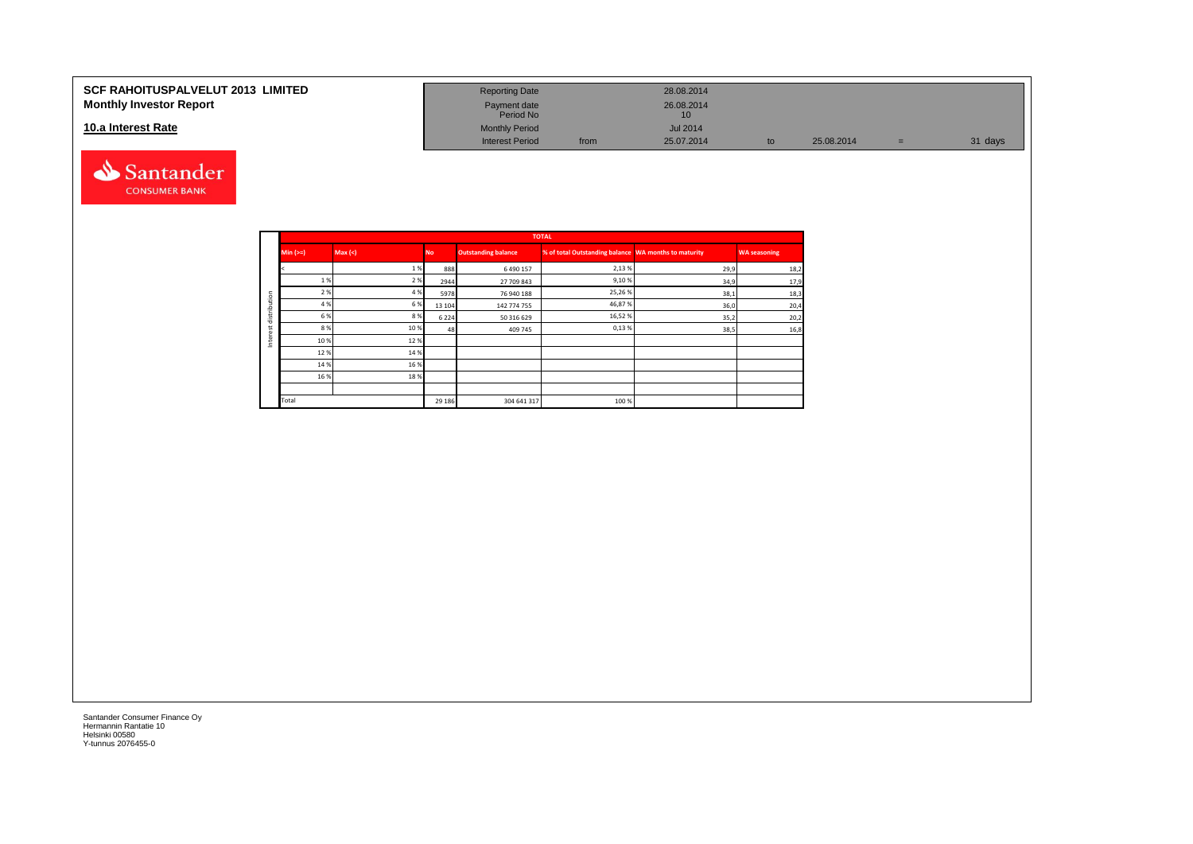#### **SCF RAHOITUSPALVELUT 2013 LIMITED Monthly Investor Report**

### **10.a Interest Rate**



| <b>Reporting Date</b>     |      | 28.08.2014       |    |            |     |         |
|---------------------------|------|------------------|----|------------|-----|---------|
| Payment date<br>Period No |      | 26.08.2014<br>10 |    |            |     |         |
| <b>Monthly Period</b>     |      | <b>Jul 2014</b>  |    |            |     |         |
| <b>Interest Period</b>    | from | 25.07.2014       | to | 25.08.2014 | $=$ | 31 days |

|         |            |         |           |                            | <b>TOTAL</b>                                         |      |                     |
|---------|------------|---------|-----------|----------------------------|------------------------------------------------------|------|---------------------|
|         | Min $(>=)$ | Max (<) | <b>No</b> | <b>Outstanding balance</b> | % of total Outstanding balance WA months to maturity |      | <b>WA seasoning</b> |
|         |            | 1%      | 888       | 6490157                    | 2,13%                                                | 29,9 | 18,2                |
|         | 1%         | 2 %     | 2944      | 27 709 843                 | 9,10%                                                | 34,9 | 17,9                |
| tion    | 2 %        | 4 %     | 5978      | 76 940 188                 | 25,26%                                               | 38,1 | 18,3                |
| ∍       | 4 %        | 6 %     | 13 10 4   | 142 774 755                | 46,87%                                               | 36,0 | 20,4                |
| distrib | 6 %        | 8%      | 6224      | 50 316 629                 | 16,52%                                               | 35,2 | 20,2                |
|         | 8%         | 10 %    | 48        | 409 745                    | 0,13%                                                | 38,5 | 16,8                |
| 亘<br>Ξ  | 10%        | 12%     |           |                            |                                                      |      |                     |
|         | 12%        | 14 %    |           |                            |                                                      |      |                     |
|         | 14 %       | 16%     |           |                            |                                                      |      |                     |
|         | 16 %       | 18%     |           |                            |                                                      |      |                     |
|         |            |         |           |                            |                                                      |      |                     |
|         | Total      |         | 29 18 6   | 304 641 317                | 100 %                                                |      |                     |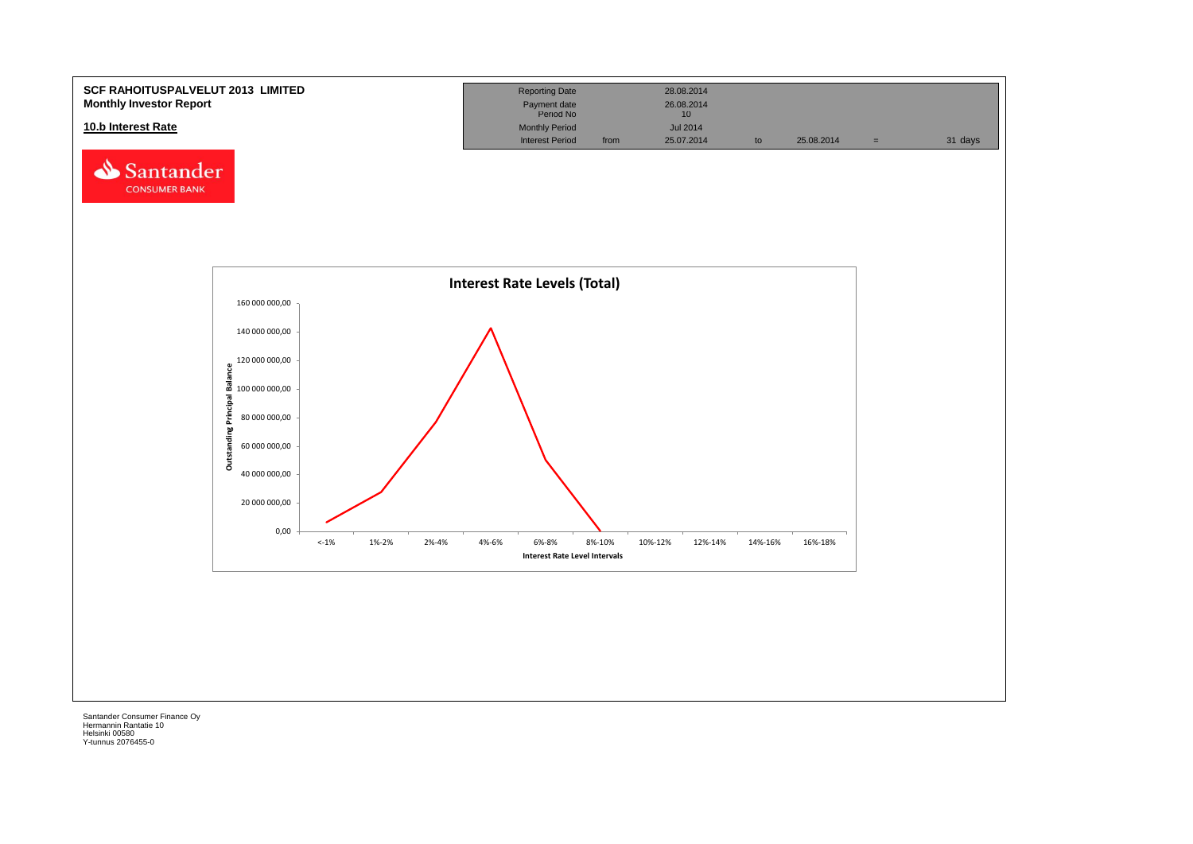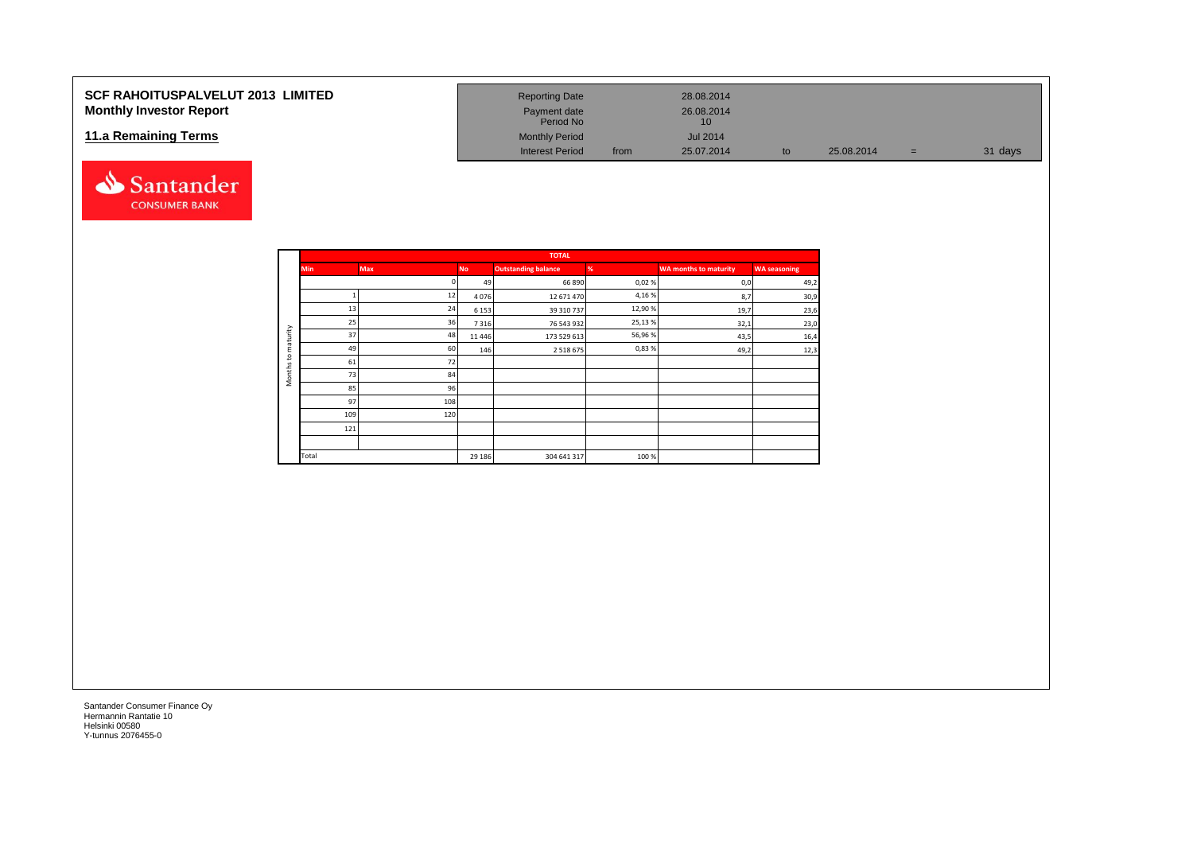## **SCF RAHOITUSPALVELUT 2013 LIMITED Monthly Investor Report**

### **11.a Remaining Terms**



| <b>Reporting Date</b>     |      | 28.08.2014       |    |            |     |         |
|---------------------------|------|------------------|----|------------|-----|---------|
| Payment date<br>Period No |      | 26.08.2014<br>10 |    |            |     |         |
| <b>Monthly Period</b>     |      | <b>Jul 2014</b>  |    |            |     |         |
| <b>Interest Period</b>    | from | 25.07.2014       | to | 25.08.2014 | $=$ | 31 days |

|                     | <b>Min</b><br>Max<br>13<br>25<br>37<br>49<br>61<br>73<br>85<br>97 |     |           | <b>TOTAL</b>               |        |                              |                     |
|---------------------|-------------------------------------------------------------------|-----|-----------|----------------------------|--------|------------------------------|---------------------|
|                     |                                                                   |     | <b>No</b> | <b>Outstanding balance</b> | %      | <b>WA months to maturity</b> | <b>WA seasoning</b> |
|                     |                                                                   |     | 49        | 66 890                     | 0,02%  | 0,0                          | 49,2                |
|                     |                                                                   | 12  | 4076      | 12 671 470                 | 4,16%  | 8,7                          | 30,9                |
|                     |                                                                   | 24  | 6 1 5 3   | 39 310 737                 | 12,90% | 19,7                         | 23,6                |
|                     |                                                                   | 36  | 7316      | 76 543 932                 | 25,13% | 32,1                         | 23,0                |
| maturity            |                                                                   | 48  | 11 4 4 6  | 173 529 613                | 56,96% | 43,5                         | 16,4                |
|                     |                                                                   | 60  | 146       | 2 5 1 8 6 7 5              | 0,83%  | 49,2                         | 12,3                |
| 5                   |                                                                   | 72  |           |                            |        |                              |                     |
| Months <sub>1</sub> |                                                                   | 84  |           |                            |        |                              |                     |
|                     |                                                                   | 96  |           |                            |        |                              |                     |
|                     |                                                                   | 108 |           |                            |        |                              |                     |
|                     | 109                                                               | 120 |           |                            |        |                              |                     |
|                     | 121                                                               |     |           |                            |        |                              |                     |
|                     |                                                                   |     |           |                            |        |                              |                     |
|                     | Total                                                             |     | 29 18 6   | 304 641 317                | 100 %  |                              |                     |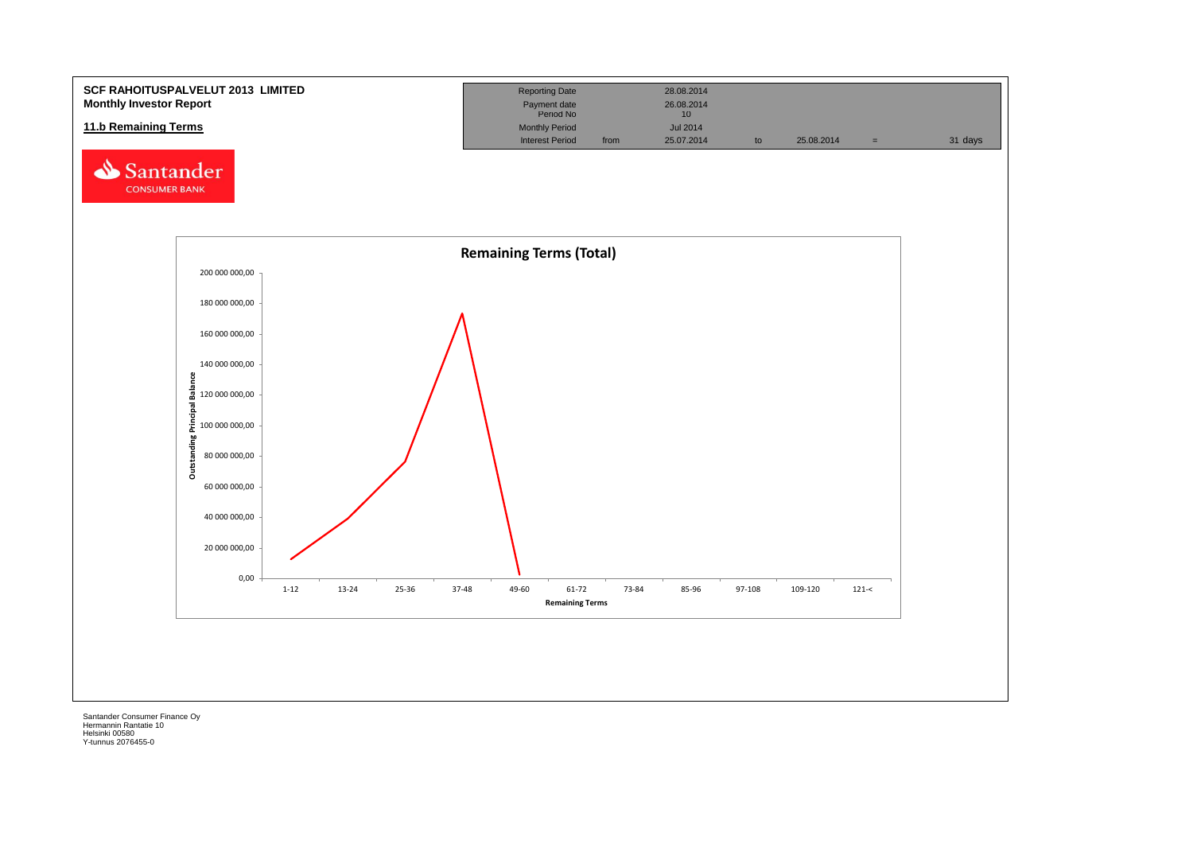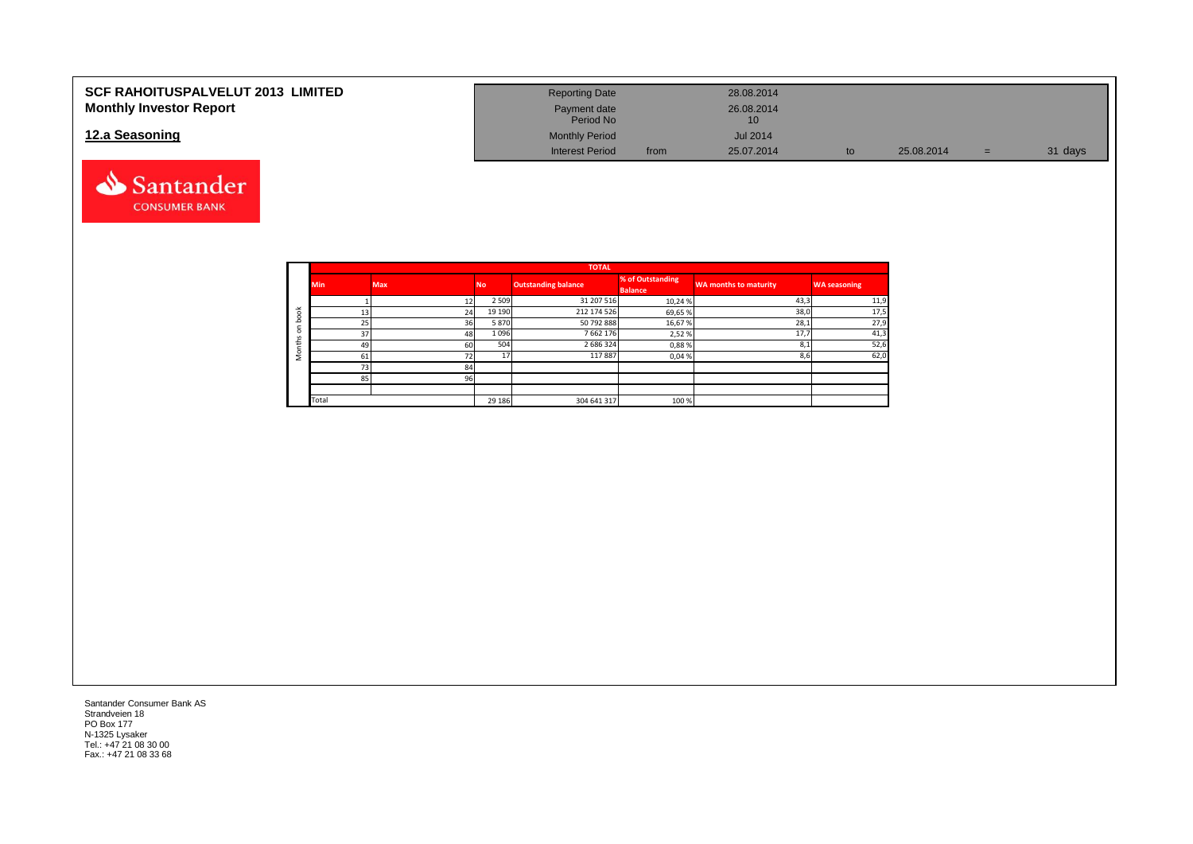| <b>SCF RAHOITUSPALVELUT 2013 LIMITED</b> | <b>Reporting Date</b>     |      | 28.08.2014      |            |    |         |
|------------------------------------------|---------------------------|------|-----------------|------------|----|---------|
| <b>Monthly Investor Report</b>           | Payment date<br>Period No |      | 26.08.2014      |            |    |         |
| 12.a Seasoning                           | <b>Monthly Period</b>     |      | <b>Jul 2014</b> |            |    |         |
|                                          | <b>Interest Period</b>    | from | 25.07.2014      | 25.08.2014 | ÷. | 31 days |



|            |            |            |           | <b>TOTAL</b>               |                                    |                       |                     |
|------------|------------|------------|-----------|----------------------------|------------------------------------|-----------------------|---------------------|
|            | <b>Min</b> | <b>Max</b> | <b>No</b> | <b>Outstanding balance</b> | % of Outstanding<br><b>Balance</b> | WA months to maturity | <b>WA seasoning</b> |
|            |            |            | 2 5 0 9   | 31 207 516                 | 10,24%                             | 43,3                  | 11,9                |
| $\breve{}$ | 13         | 24         | 19 19 0   | 212 174 526                | 69,65%                             | 38,0                  | 17,5                |
| $\circ$    | 25         | 36         | 5870      | 50 792 888                 | 16,67%                             | 28,1                  | 27,9                |
| $\Omega$   | 37         | 48         | 1096      | 7662176                    | 2,52%                              | 17.7                  | 41,3                |
| £          | 49         | <b>60</b>  | 504       | 2 686 324                  | 0,88%                              | 8,1                   | 52,6                |
|            | 61         | 72         | 17        | 117887                     | 0,04%                              | 8,6                   | 62,0                |
|            | 73         | 84         |           |                            |                                    |                       |                     |
|            | 85         | 96         |           |                            |                                    |                       |                     |
|            |            |            |           |                            |                                    |                       |                     |
|            | Total      |            | 29 18 6   | 304 641 317                | 100%                               |                       |                     |

Santander Consumer Bank AS Strandveien 18 PO Box 177 N-1325 Lysaker Tel.: +47 21 08 30 00 Fax.: +47 21 08 33 68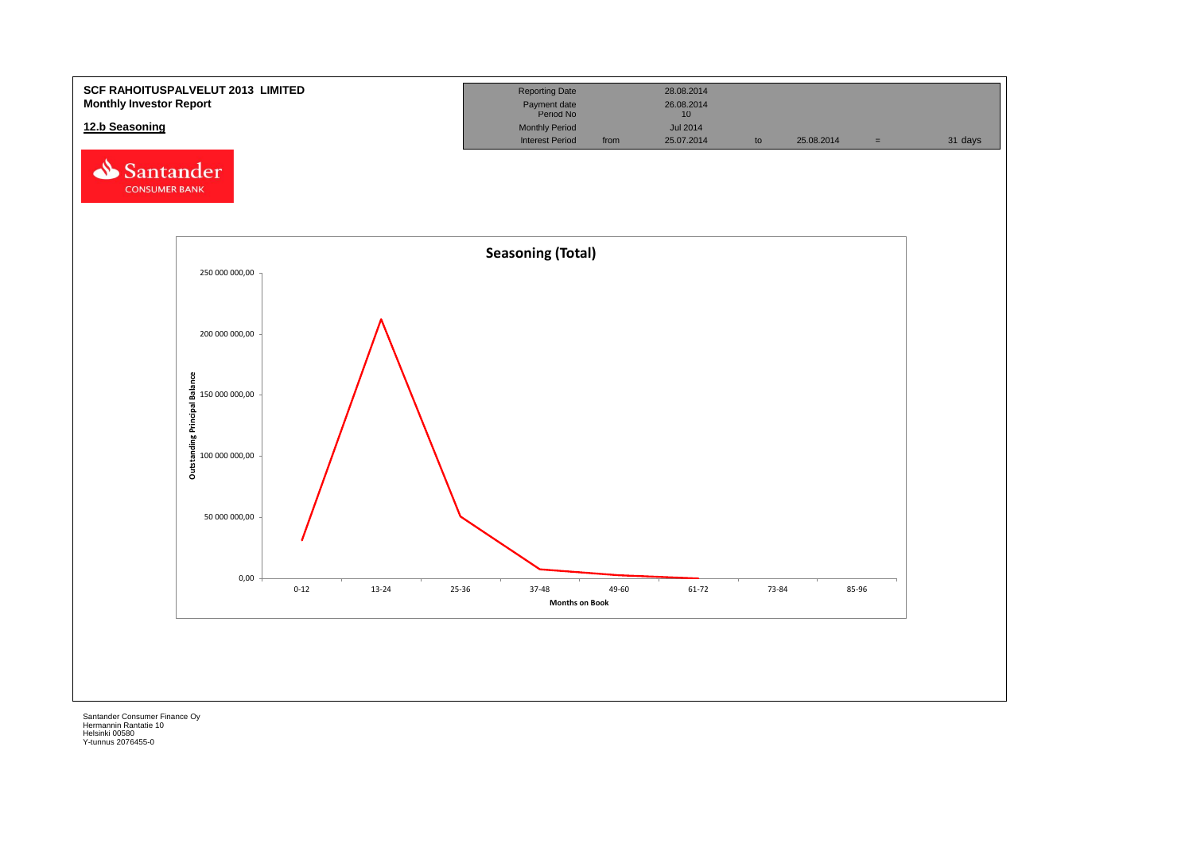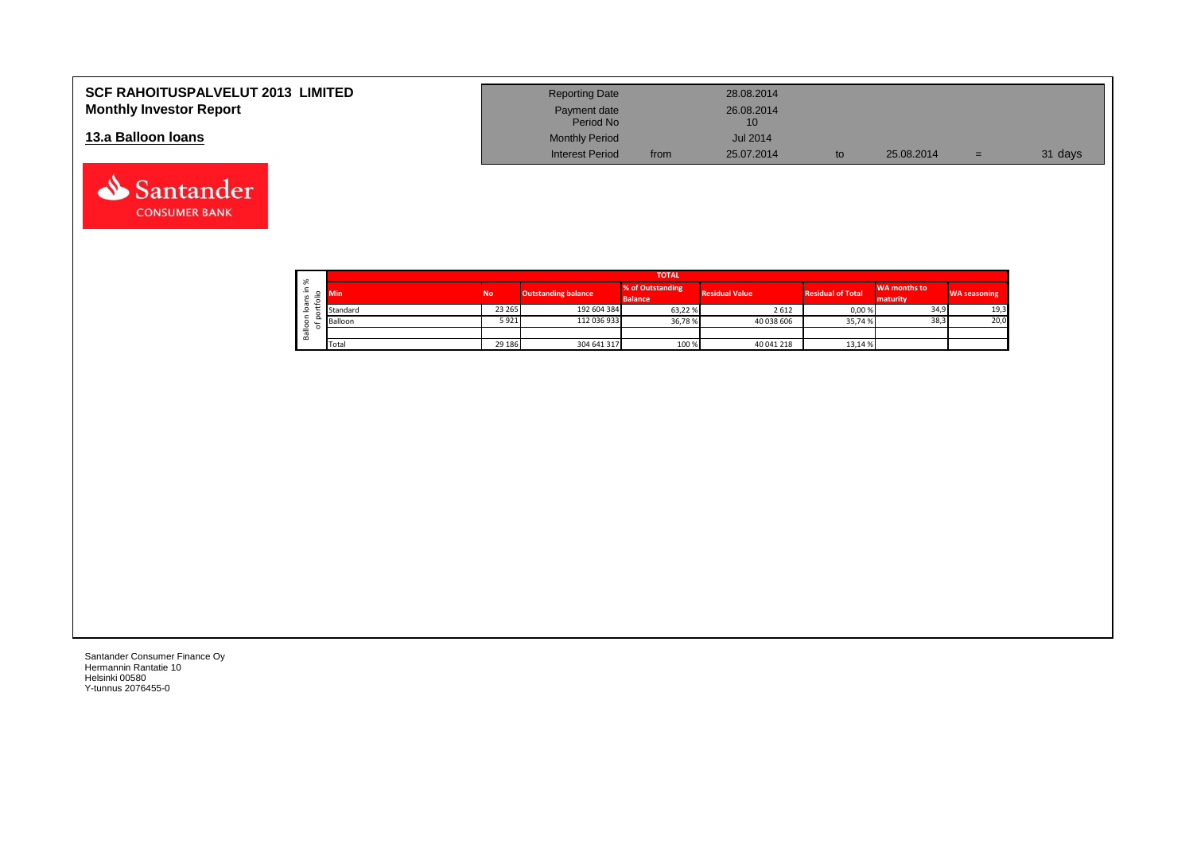| <b>SCF RAHOITUSPALVELUT 2013 LIMITED</b> | <b>Reporting Date</b>     |      | 28.08.2014       |            |     |         |
|------------------------------------------|---------------------------|------|------------------|------------|-----|---------|
| <b>Monthly Investor Report</b>           | Payment date<br>Period No |      | 26.08.2014<br>10 |            |     |         |
| 13.a Balloon Ioans                       | <b>Monthly Period</b>     |      | <b>Jul 2014</b>  |            |     |         |
|                                          | <b>Interest Period</b>    | from | 25.07.2014       | 25.08.2014 | $=$ | 31 days |

|  |                     | <b>TOTAL</b>            |         |                            |                                    |                       |                          |                          |                     |  |  |  |  |  |
|--|---------------------|-------------------------|---------|----------------------------|------------------------------------|-----------------------|--------------------------|--------------------------|---------------------|--|--|--|--|--|
|  | వి<br>∸.<br>≔       | <b>No</b><br><b>Min</b> |         | <b>Outstanding balance</b> | % of Outstanding<br><b>Balance</b> | <b>Residual Value</b> | <b>Residual of Total</b> | WA months to<br>maturity | <b>WA seasoning</b> |  |  |  |  |  |
|  | $\overline{ }$<br>ത | Standard                | 23 265  | 192 604 384                | 63,22%                             | 2612                  | 0,00%                    | 34,9                     | 19,3                |  |  |  |  |  |
|  | ਨ                   | Balloon                 | 5 9 2 1 | 112 036 933                | 36,78%                             | 40 038 606            | 35,74 %                  | 38,3                     | 20,0                |  |  |  |  |  |
|  | 을<br>≃              |                         |         |                            |                                    |                       |                          |                          |                     |  |  |  |  |  |
|  |                     | Total                   | 29 18 6 | 304 641 317                | 100 %                              | 40 041 218            | 13,14 %                  |                          |                     |  |  |  |  |  |

┑

Santander Consumer Finance Oy Hermannin Rantatie 10 Helsinki 00580 Y-tunnus 2076455-0

Santander **CONSUMER BANK**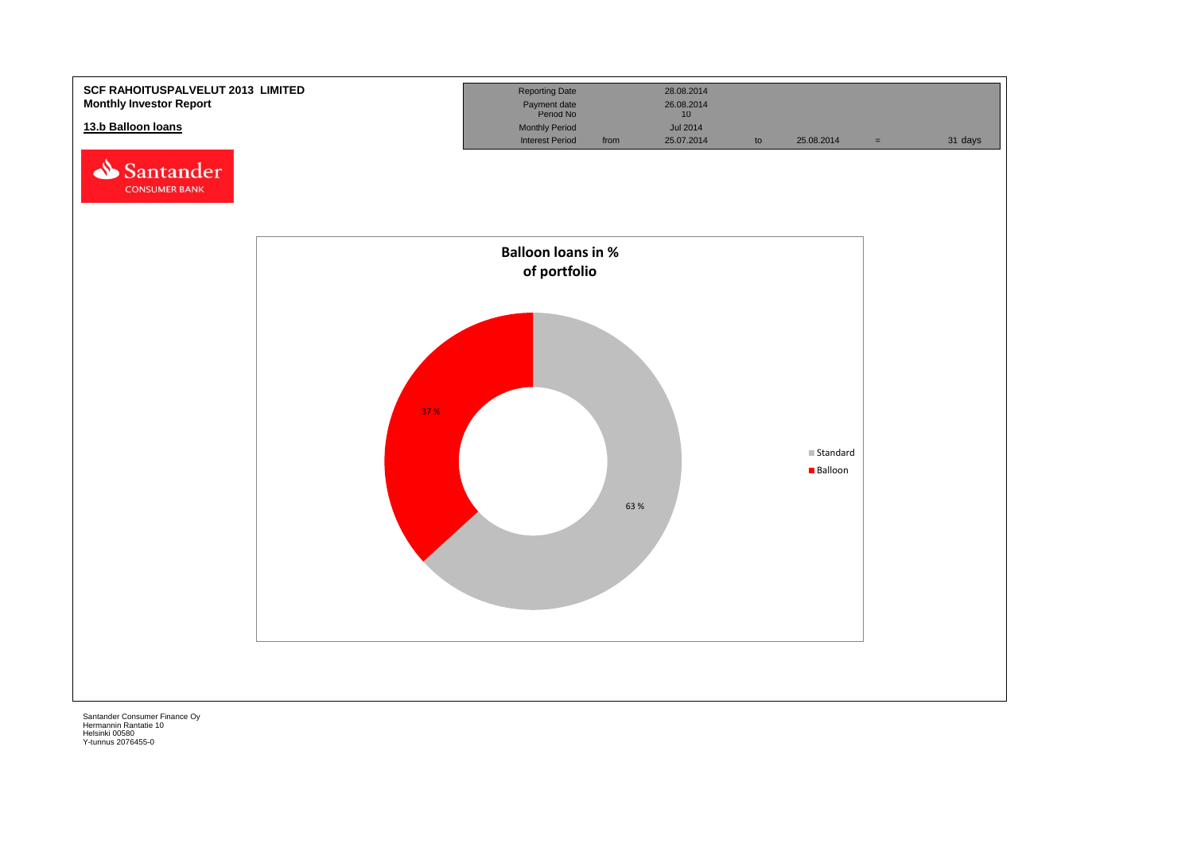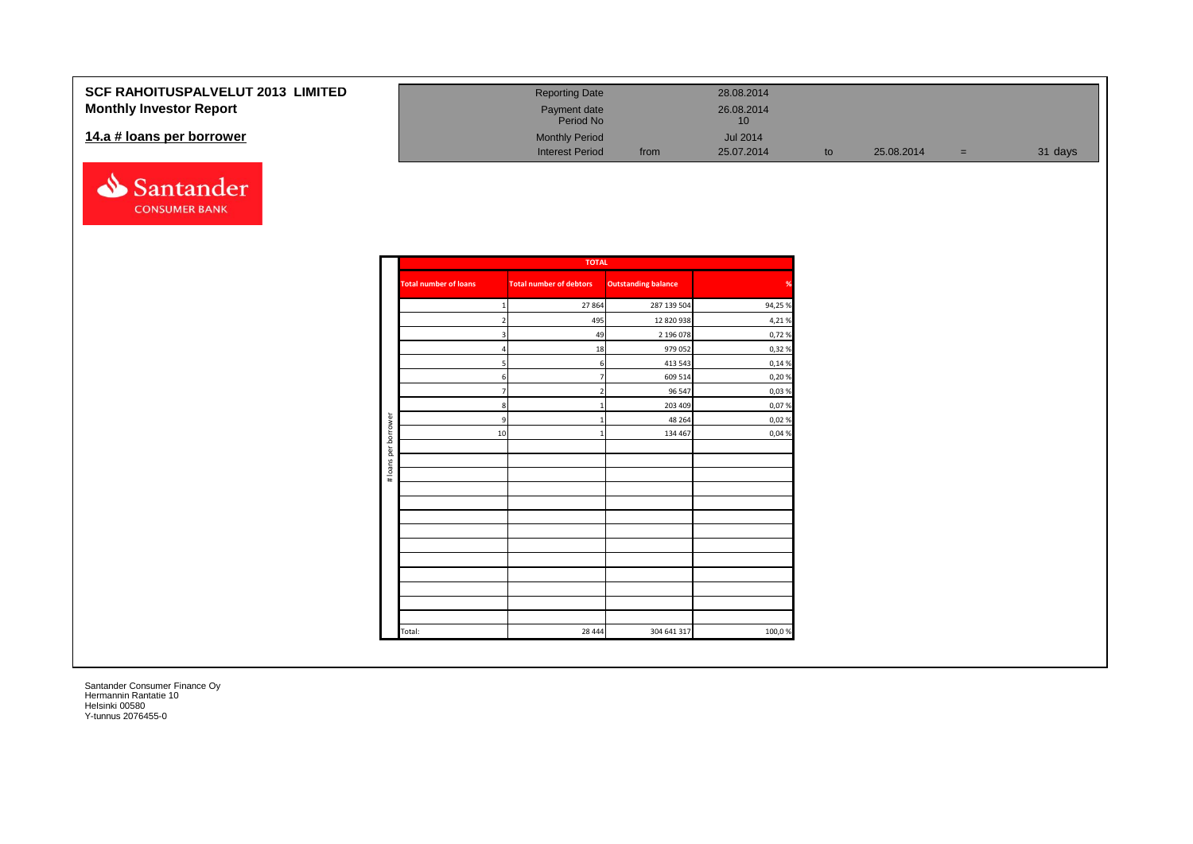| <b>SCF RAHOITUSPALVELUT 2013 LIMITED</b> | <b>Reporting Date</b>     |      | 28.08.2014       |            |     |         |
|------------------------------------------|---------------------------|------|------------------|------------|-----|---------|
| <b>Monthly Investor Report</b>           | Payment date<br>Period No |      | 26.08.2014<br>10 |            |     |         |
| 14.a # loans per borrower                | <b>Monthly Period</b>     |      | <b>Jul 2014</b>  |            |     |         |
|                                          | <b>Interest Period</b>    | from | 25.07.2014       | 25.08.2014 | $=$ | 31 days |



|                      |                              | <b>TOTAL</b>                   |                            |               |
|----------------------|------------------------------|--------------------------------|----------------------------|---------------|
|                      | <b>Total number of loans</b> | <b>Total number of debtors</b> | <b>Outstanding balance</b> | $\frac{9}{6}$ |
|                      | $\mathbf{1}$                 | 27864                          | 287 139 504                | 94,25 %       |
|                      | $2 \overline{ }$             | 495                            | 12 820 938                 | 4,21%         |
|                      | 3                            | 49                             | 2 196 078                  | 0,72%         |
|                      | $\overline{a}$               | 18                             | 979 052                    | 0,32%         |
|                      | 5                            | 6                              | 413 543                    | 0,14 %        |
|                      | 6                            | $\overline{7}$                 | 609 514                    | 0,20%         |
|                      | 7 <sup>1</sup>               | $\overline{2}$                 | 96 547                     | 0,03%         |
|                      | 8                            | $\mathbf{1}$                   | 203 409                    | 0,07%         |
|                      | 9                            | $\mathbf{1}$                   | 48 264                     | 0,02%         |
| # loans per borrower | 10                           | $\mathbf{1}$                   | 134 467                    | 0,04 %        |
|                      |                              |                                |                            |               |
|                      |                              |                                |                            |               |
|                      |                              |                                |                            |               |
|                      |                              |                                |                            |               |
|                      |                              |                                |                            |               |
|                      |                              |                                |                            |               |
|                      |                              |                                |                            |               |
|                      |                              |                                |                            |               |
|                      |                              |                                |                            |               |
|                      |                              |                                |                            |               |
|                      |                              |                                |                            |               |
|                      |                              |                                |                            |               |
|                      |                              |                                |                            |               |
|                      | Total:                       | 28 4 44                        | 304 641 317                | 100,0%        |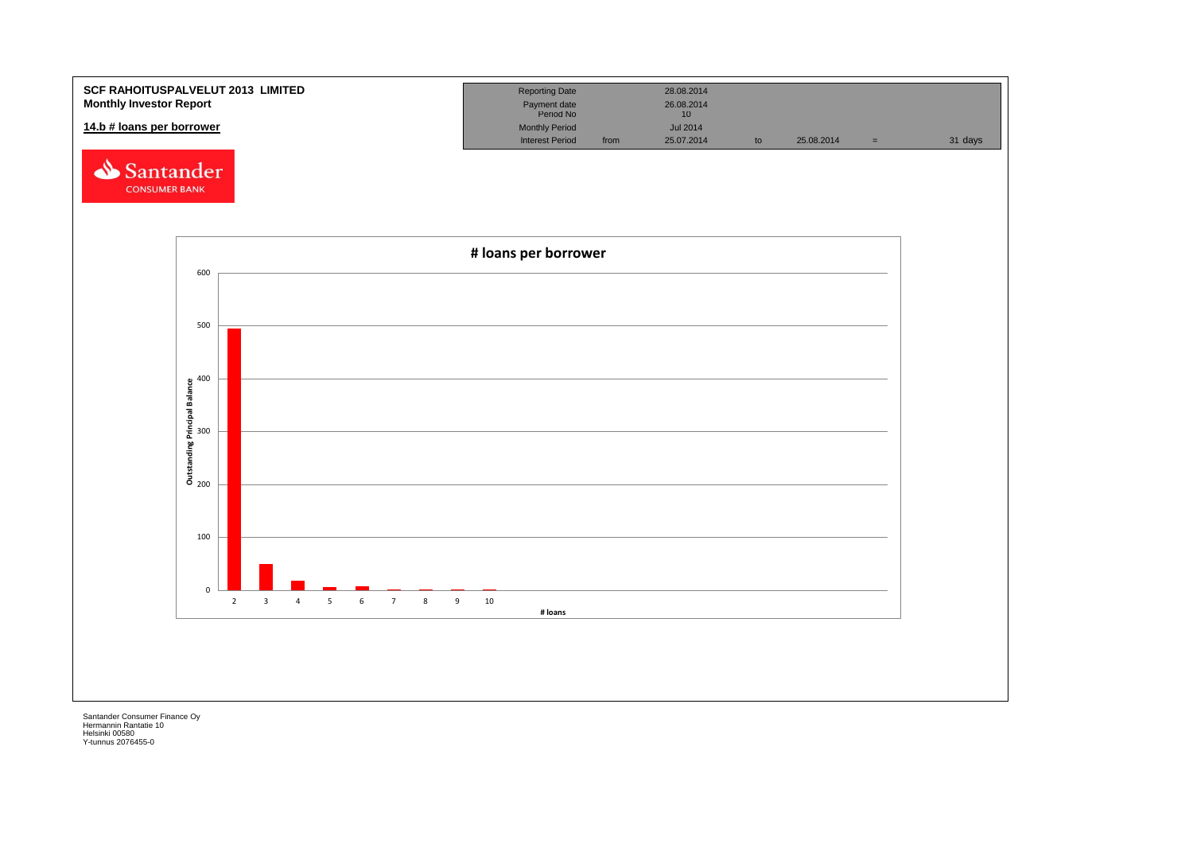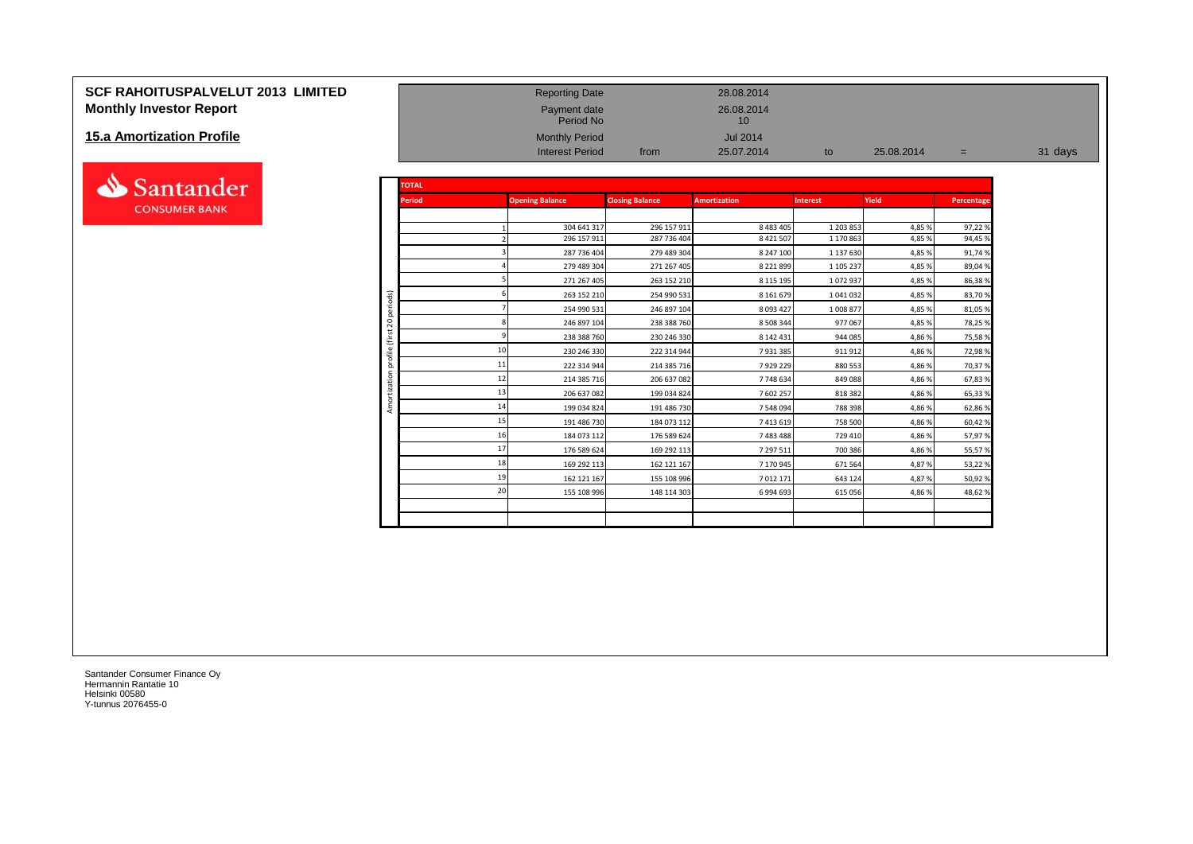# **SCF RAHOITUSPALVELUT 2013 LIMITED** Reporting Date 28.08.2014 **Monthly Investor Report Payment date** 26.08.2014<br>
Period No Payment date 26.08.2014

### **15.a Amortization Profile**



| <b>15.a Amortization Profile</b> |                            |               | <b>Monthly Period</b><br><b>Interest Period</b> | from                       | <b>Jul 2014</b><br>25.07.2014 | to                   | 25.08.2014      | $=$              | 31 days |
|----------------------------------|----------------------------|---------------|-------------------------------------------------|----------------------------|-------------------------------|----------------------|-----------------|------------------|---------|
| Santander                        |                            | <b>TOTAL</b>  |                                                 |                            |                               |                      |                 |                  |         |
| <b>CONSUMER BANK</b>             |                            | <b>Period</b> | <b>Opening Balance</b>                          | <b>Closing Balance</b>     | <b>Amortization</b>           | <b>Interest</b>      | Yield           | Percentage       |         |
|                                  |                            |               | 304 641 317                                     | 296 157 911                | 8 4 8 3 4 0 5                 | 1 203 853            | 4,85 %          | 97,22%           |         |
|                                  |                            |               | 296 157 911                                     | 287 736 404                | 8 4 2 1 5 0 7                 | 1 170 863            | 4,85%           | 94,45 %          |         |
|                                  |                            |               | 287 736 404<br>279 489 304                      | 279 489 304<br>271 267 405 | 8 247 100<br>8 2 2 1 8 9 9    | 1 137 630            | 4,85%           | 91,74%<br>89,04% |         |
|                                  |                            |               | 271 267 405                                     | 263 152 210                | 8 1 1 5 1 9 5                 | 1 105 237<br>1072937 | 4,85%<br>4,85 % | 86,38%           |         |
|                                  |                            |               | 263 152 210                                     | 254 990 531                | 8 1 6 1 6 7 9                 | 1 041 032            | 4,85%           | 83,70%           |         |
|                                  | iods)<br>Tieri             |               | 254 990 531                                     | 246 897 104                | 8 0 9 3 4 2 7                 | 1 008 877            | 4,85%           | 81,05 %          |         |
|                                  | 20                         |               | 246 897 104                                     | 238 388 760                | 8 508 344                     | 977067               | 4,85%           | 78,25 %          |         |
|                                  |                            |               | 238 388 760                                     | 230 246 330                | 8 142 431                     | 944 085              | 4,86%           | 75,58%           |         |
|                                  | $\mathfrak{S}$<br>$\omega$ |               | 230 246 330                                     | 222 314 944                | 7931385                       | 911912               | 4,86%           | 72,98%           |         |
|                                  | 'ন<br>ਠ                    |               | 11<br>222 314 944                               | 214 385 716                | 7929229                       | 880 553              | 4,86%           | 70,37%           |         |
|                                  | ਨ                          |               | 12<br>214 385 716                               | 206 637 082                | 7748634                       | 849 088              | 4,86%           | 67,83%           |         |
|                                  |                            |               | 13<br>206 637 082                               | 199 034 824                | 7 602 257                     | 818 382              | 4,86%           | 65,33%           |         |
|                                  | ⋖                          |               | 14<br>199 034 824                               | 191 486 730                | 7 548 094                     | 788 398              | 4,86%           | 62,86%           |         |
|                                  |                            |               | 15<br>191 486 730                               | 184 073 112                | 7 413 619                     | 758 500              | 4,86%           | 60,42%           |         |
|                                  |                            |               | 184 073 112                                     | 176 589 624                | 7 483 488                     | 729 410              | 4,86%           | 57,97%           |         |
|                                  |                            |               | 17<br>176 589 624                               | 169 292 113                | 7 297 511                     | 700 386              | 4,86%           | 55,57 %          |         |
|                                  |                            |               | 18<br>169 292 113                               | 162 121 167                | 7 170 945                     | 671 564              | 4,87%           | 53,22%           |         |
|                                  |                            |               | 1 <sup>c</sup><br>162 121 167                   | 155 108 996                | 7 012 171                     | 643 124              | 4,87%           | 50,92 %          |         |
|                                  |                            |               | 20<br>155 108 996                               | 148 114 303                | 6 994 693                     | 615 056              | 4,86%           | 48,62%           |         |
|                                  |                            |               |                                                 |                            |                               |                      |                 |                  |         |

Payment date<br>Period No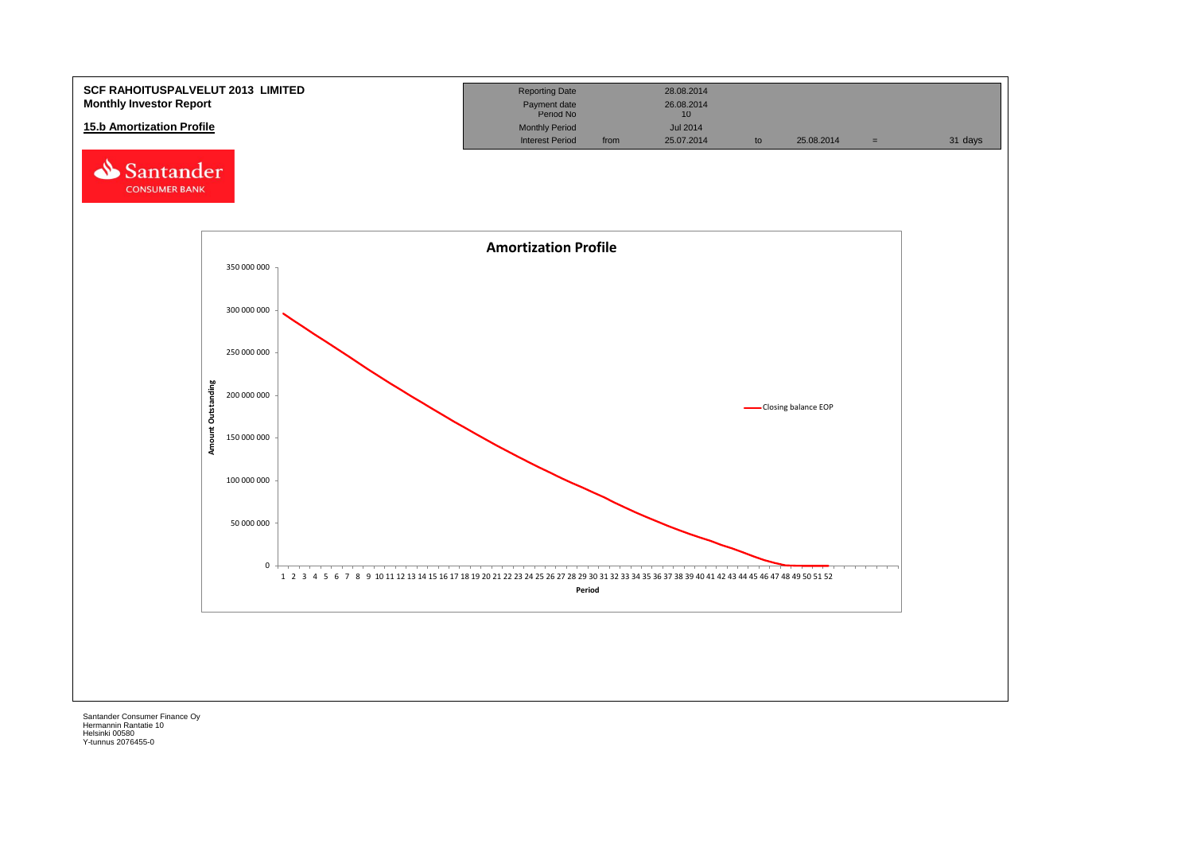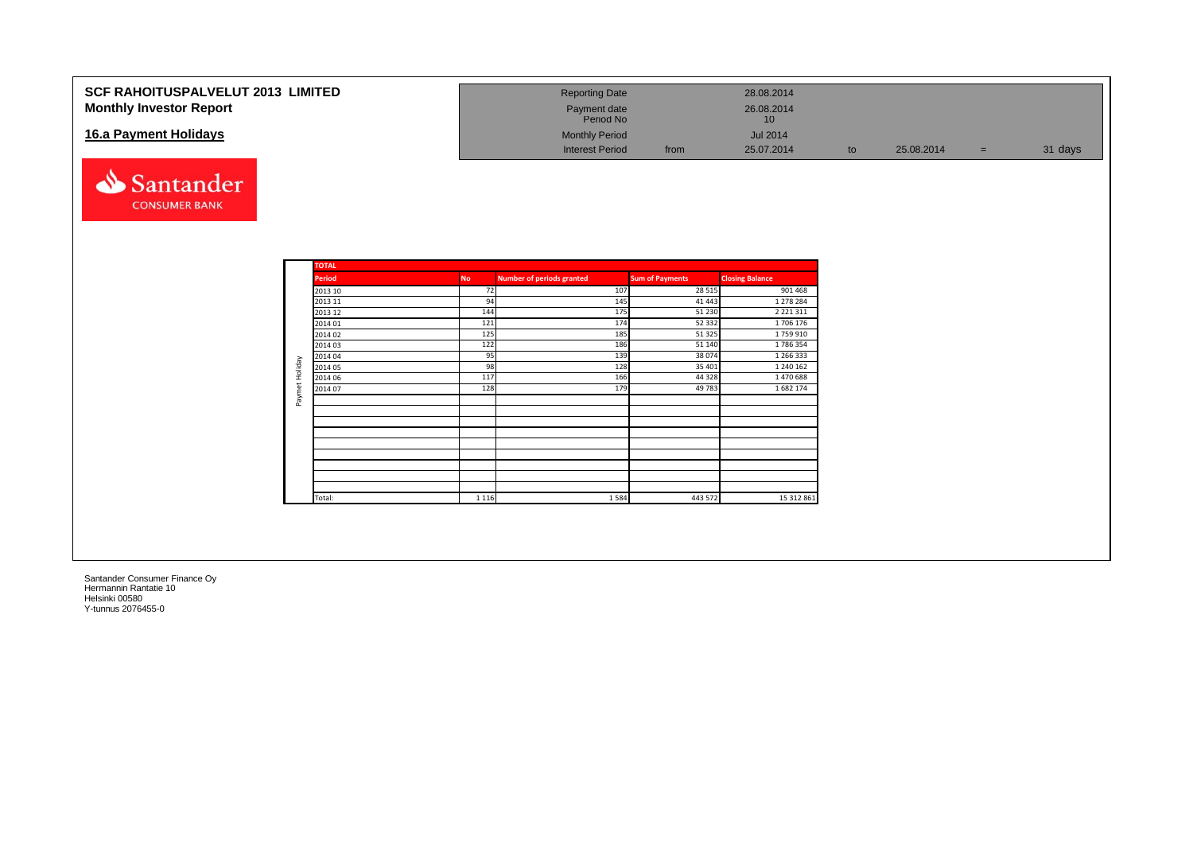| <b>SCF RAHOITUSPALVELUT 2013 LIMITED</b><br><b>Monthly Investor Report</b> | <b>Reporting Date</b><br>Payment date<br>Period No |      | 28.08.2014<br>26.08.2014<br>10 |    |            |     |         |
|----------------------------------------------------------------------------|----------------------------------------------------|------|--------------------------------|----|------------|-----|---------|
| 16.a Payment Holidays                                                      | <b>Monthly Period</b><br>Interest Period           | from | <b>Jul 2014</b><br>25.07.2014  | to | 25.08.2014 | $=$ | 31 days |

![](_page_25_Picture_1.jpeg)

|                | <b>TOTAL</b>  |           |                                  |                        |                        |
|----------------|---------------|-----------|----------------------------------|------------------------|------------------------|
|                | <b>Period</b> | <b>No</b> | <b>Number of periods granted</b> | <b>Sum of Payments</b> | <b>Closing Balance</b> |
|                | 2013 10       | 72        | 107                              | 28 5 15                | 901 468                |
|                | 2013 11       | 94        | 145                              | 41 4 43                | 1 278 284              |
|                | 2013 12       | 144       | 175                              | 51 230                 | 2 2 2 1 3 1 1          |
|                | 2014 01       | 121       | 174                              | 52 332                 | 1706 176               |
|                | 2014 02       | 125       | 185                              | 51 325                 | 1759910                |
|                | 2014 03       | 122       | 186                              | 51 140                 | 1786354                |
|                | 2014 04       | 95        | 139                              | 38 0 74                | 1 266 333              |
|                | 2014 05       | 98        | 128                              | 35 401                 | 1 240 162              |
|                | 2014 06       | 117       | 166                              | 44 3 28                | 1 470 688              |
| Paymet Holiday | 2014 07       | 128       | 179                              | 49 783                 | 1682 174               |
|                |               |           |                                  |                        |                        |
|                |               |           |                                  |                        |                        |
|                |               |           |                                  |                        |                        |
|                |               |           |                                  |                        |                        |
|                |               |           |                                  |                        |                        |
|                |               |           |                                  |                        |                        |
|                |               |           |                                  |                        |                        |
|                |               |           |                                  |                        |                        |
|                |               |           |                                  |                        |                        |
|                | Total:        | 1 1 1 6   | 1584                             | 443 572                | 15 312 861             |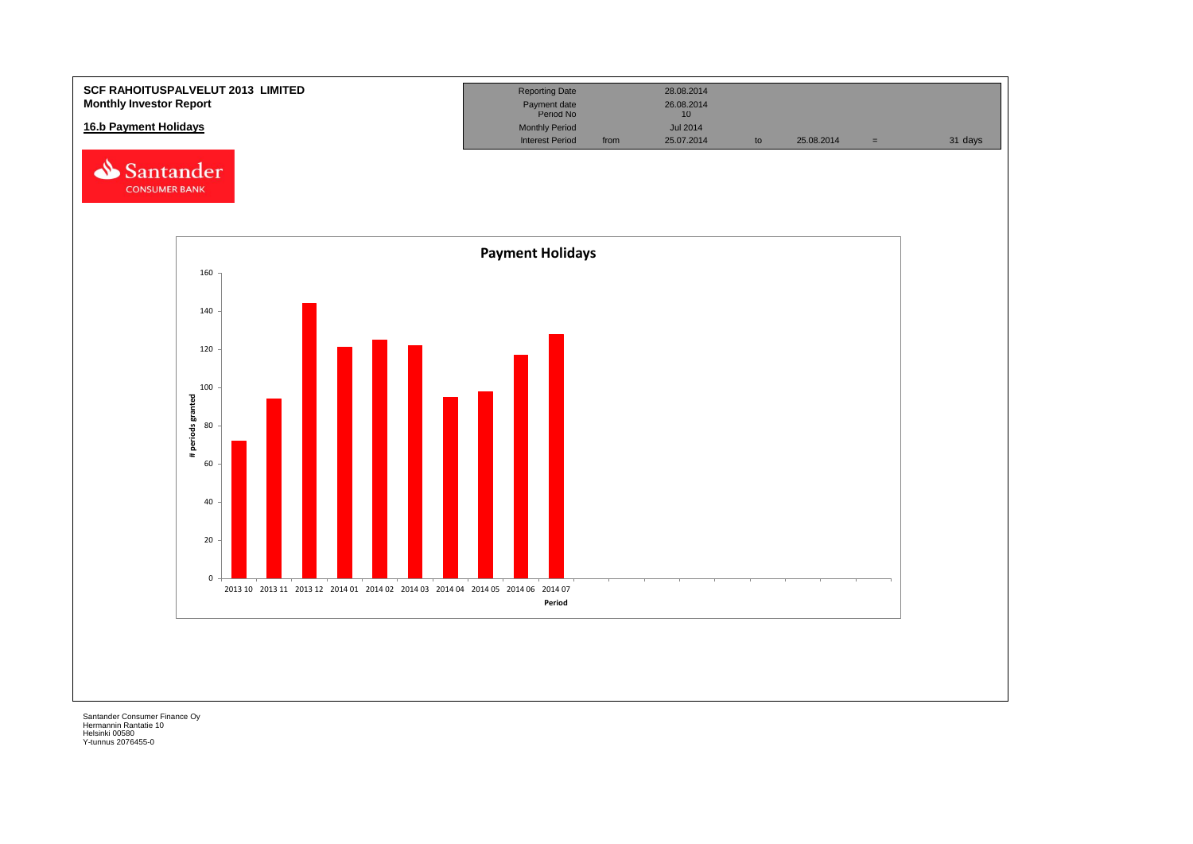![](_page_26_Figure_0.jpeg)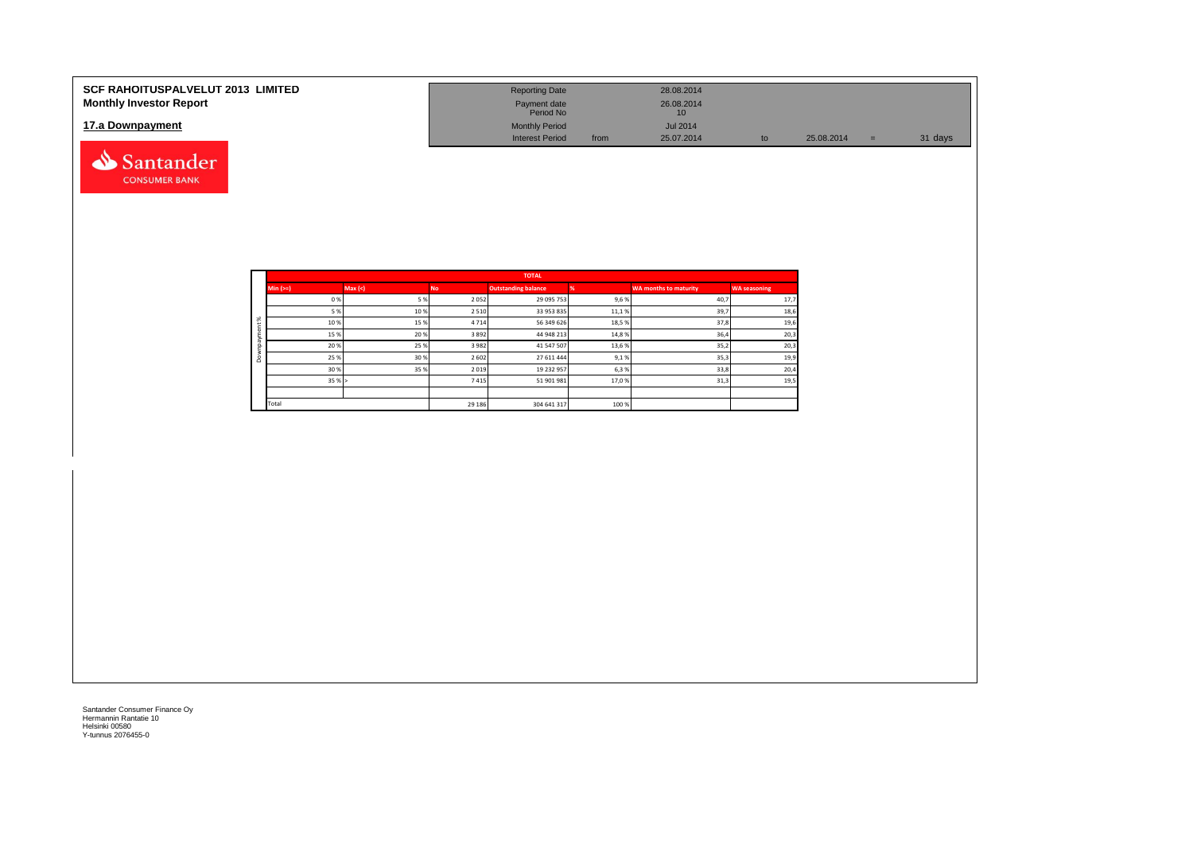| <b>SCF RAHOITUSPALVELUT 2013 LIMITED</b><br><b>Monthly Investor Report</b> | <b>Reporting Date</b><br>Payment date                        |      | 28.08.2014<br>26.08.2014            |    |            |     |         |
|----------------------------------------------------------------------------|--------------------------------------------------------------|------|-------------------------------------|----|------------|-----|---------|
| 17.a Downpayment                                                           | Period No<br><b>Monthly Period</b><br><b>Interest Period</b> | from | 10<br><b>Jul 2014</b><br>25.07.2014 | tc | 25.08.2014 | $=$ | 31 days |
| Santander                                                                  |                                                              |      |                                     |    |            |     |         |

|          |            |        |           | <b>TOTAL</b>               |       |                              |                     |
|----------|------------|--------|-----------|----------------------------|-------|------------------------------|---------------------|
|          | $Min (==)$ | Max(<) | <b>No</b> | <b>Outstanding balance</b> |       | <b>WA months to maturity</b> | <b>WA seasoning</b> |
|          | 0%         | 5%     | 2052      | 29 095 753                 | 9,6%  | 40,7                         | 17,7                |
|          | 5 %        | 10%    | 2 5 1 0   | 33 953 835                 | 11,1% | 39,7                         | 18,6                |
| $\aleph$ | 10%        | 15%    | 4 7 1 4   | 56 349 626                 | 18,5% | 37,8                         | 19,6                |
|          | 15%        | 20%    | 3892      | 44 948 213                 | 14,8% | 36,4                         | 20,3                |
|          | 20%        | 25%    | 3 9 8 2   | 41 547 507                 | 13,6% | 35,2                         | 20,3                |
| ۵        | 25 %       | 30%    | 2 6 0 2   | 27 611 444                 | 9,1%  | 35,3                         | 19,9                |
|          | 30%        | 35%    | 2019      | 19 232 957                 | 6,3%  | 33,8                         | 20,4                |
|          | 35%        |        | 7415      | 51 901 981                 | 17,0% | 31,3                         | 19,5                |
|          |            |        |           |                            |       |                              |                     |
|          | Total      |        | 29 18 6   | 304 641 317                | 100 % |                              |                     |

**CONSUMER BANK**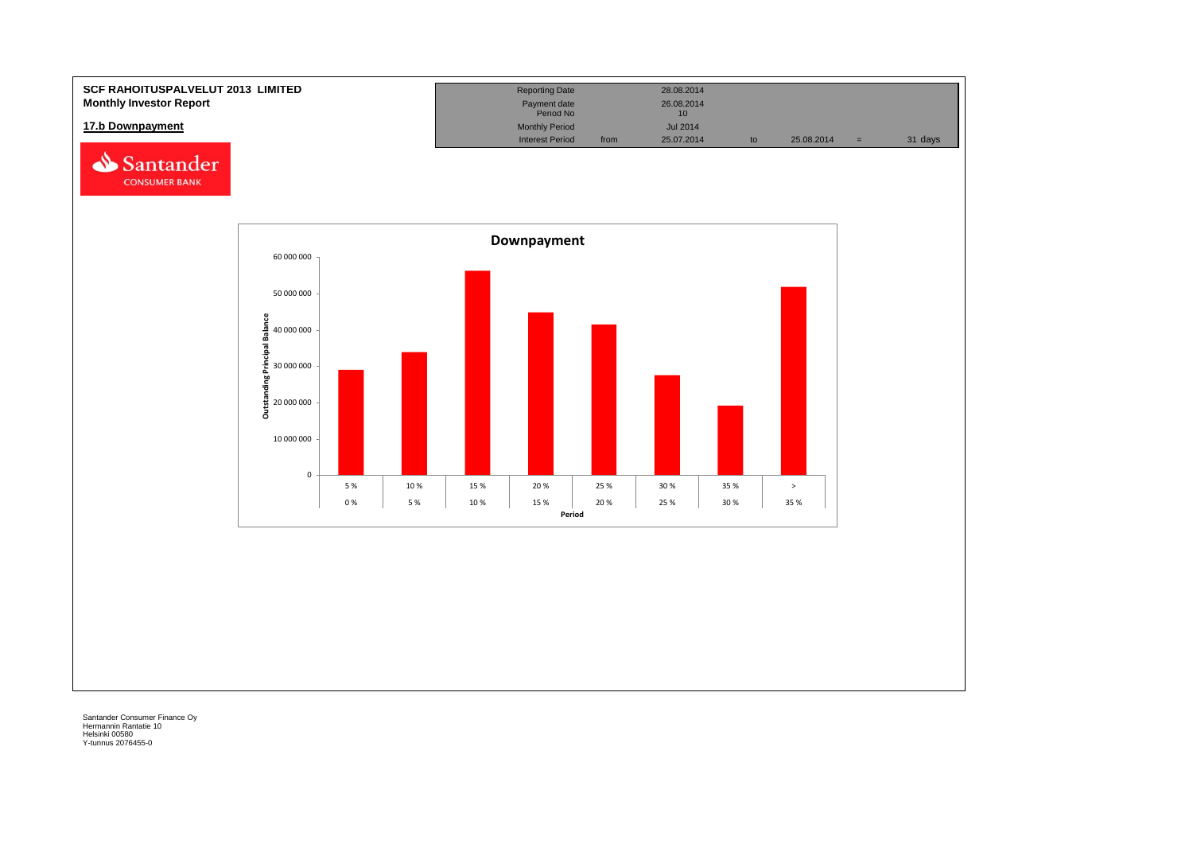![](_page_28_Figure_0.jpeg)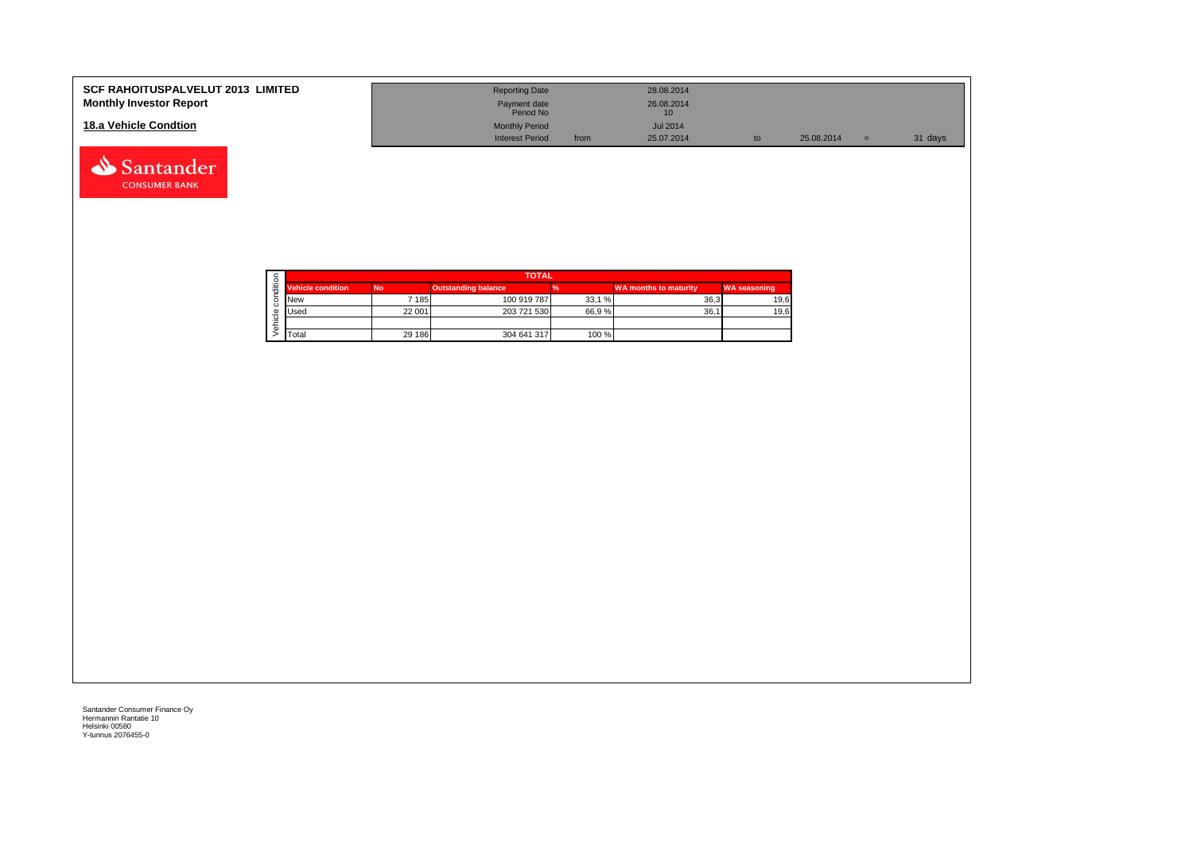| <b>SCF RAHOITUSPALVELUT 2013 LIMITED</b> | <b>Reporting Date</b>     |      | 28.08.2014      |    |            |         |
|------------------------------------------|---------------------------|------|-----------------|----|------------|---------|
| <b>Monthly Investor Report</b>           | Payment date<br>Period No |      | 26.08.2014      |    |            |         |
| 18.a Vehicle Condtion                    | <b>Monthly Period</b>     |      | <b>Jul 2014</b> |    |            |         |
|                                          | <b>Interest Period</b>    | from | 25.07.2014      | to | 25.08.2014 | 31 days |

|  |                          | <b>TOTAL</b> |                            |       |                              |                     |  |  |  |  |
|--|--------------------------|--------------|----------------------------|-------|------------------------------|---------------------|--|--|--|--|
|  | <b>Vehicle condition</b> | <b>No</b>    | <b>Outstanding balance</b> |       | <b>WA months to maturity</b> | <b>WA seasoning</b> |  |  |  |  |
|  | <b>INew</b>              | * 1851       | 100 919 787                | 33,1% | 36.3                         | 19,6                |  |  |  |  |
|  | <b>I</b> Used            | 22 001       | 203 721 530                | 66.9% | 36.7                         | 19,6                |  |  |  |  |
|  |                          |              |                            |       |                              |                     |  |  |  |  |
|  | <b>T</b> otal            | 29 186       | 304 641 317                | 100 % |                              |                     |  |  |  |  |

Santander **CONSUMER BANK**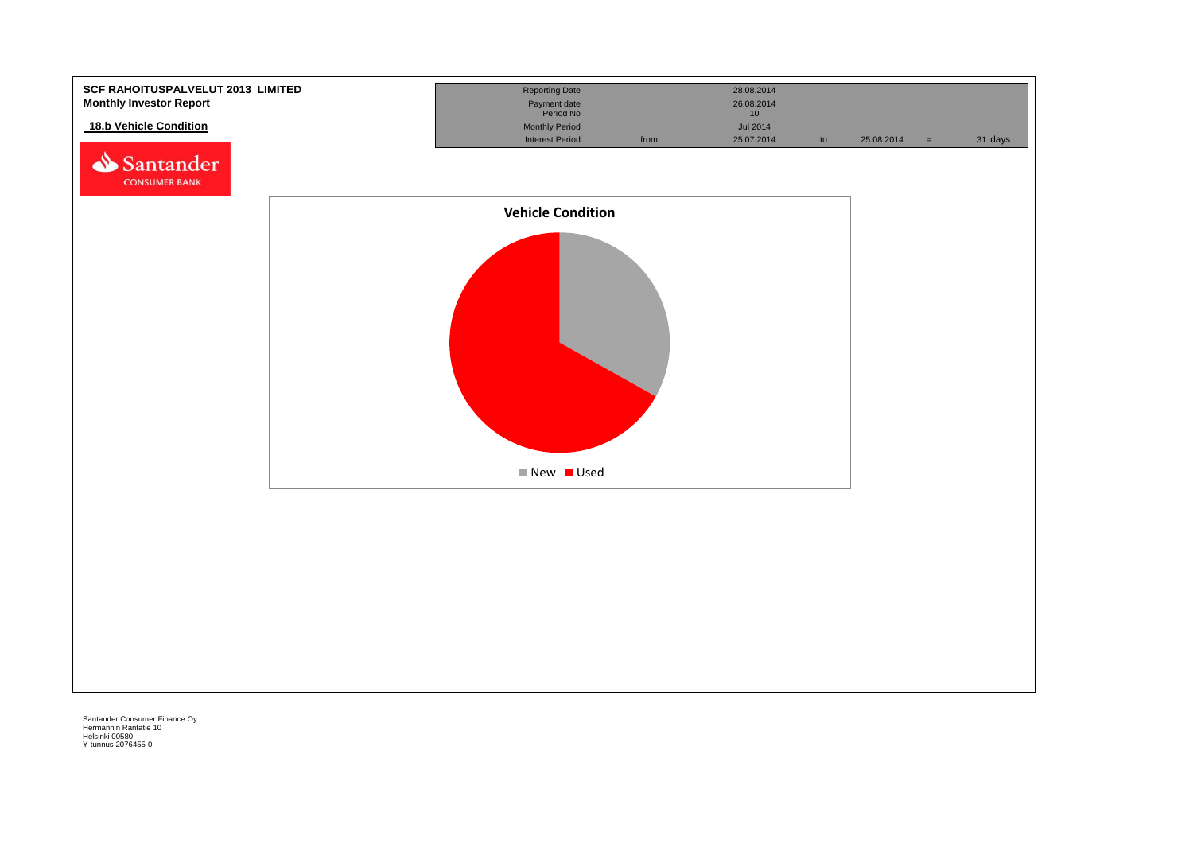![](_page_30_Figure_0.jpeg)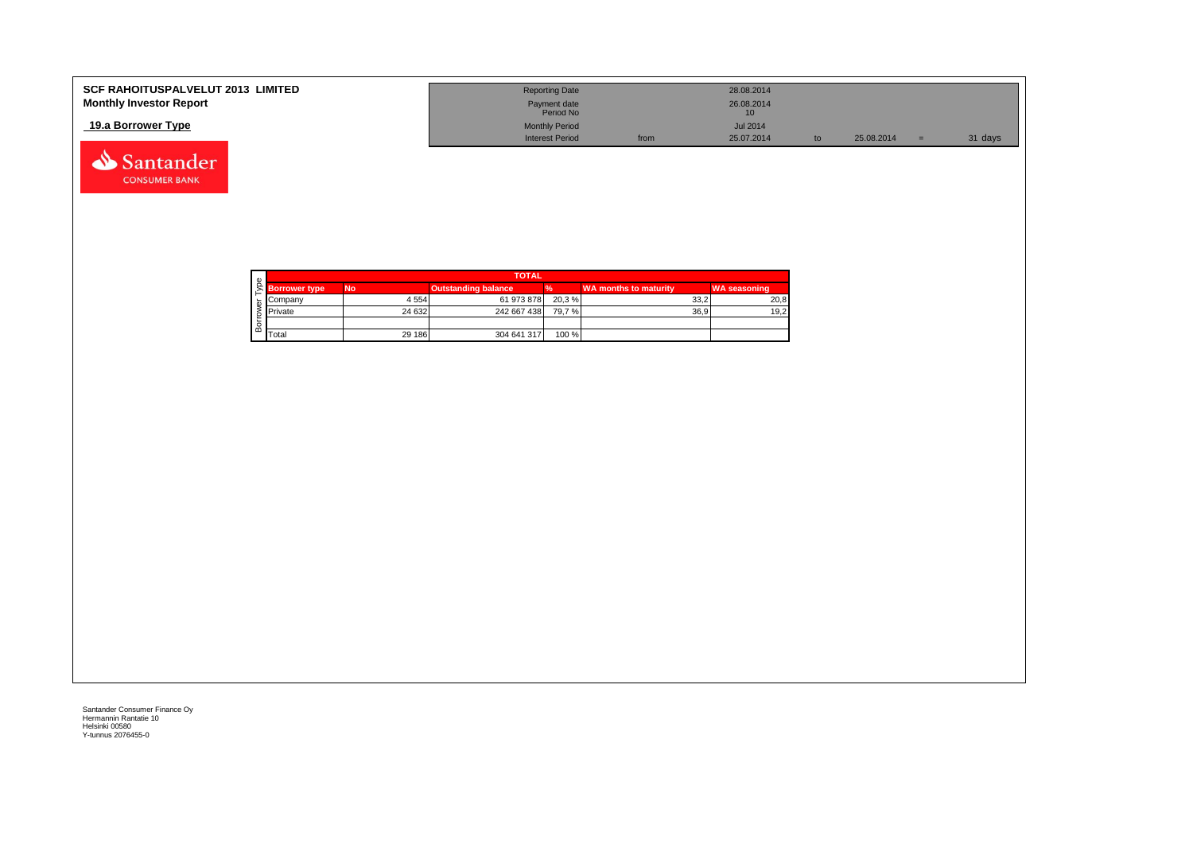| <b>SCF RAHOITUSPALVELUT 2013 LIMITED</b> | <b>Reporting Date</b>     |      | 28.08.2014      |    |            |         |
|------------------------------------------|---------------------------|------|-----------------|----|------------|---------|
| <b>Monthly Investor Report</b>           | Payment date<br>Period No |      | 26.08.2014      |    |            |         |
| 19.a Borrower Type                       | <b>Monthly Period</b>     |      | <b>Jul 2014</b> |    |            |         |
|                                          | <b>Interest Period</b>    | from | 25.07.2014      | to | 25.08.2014 | 31 days |

![](_page_31_Picture_1.jpeg)

Santander **CONSUMER BANK**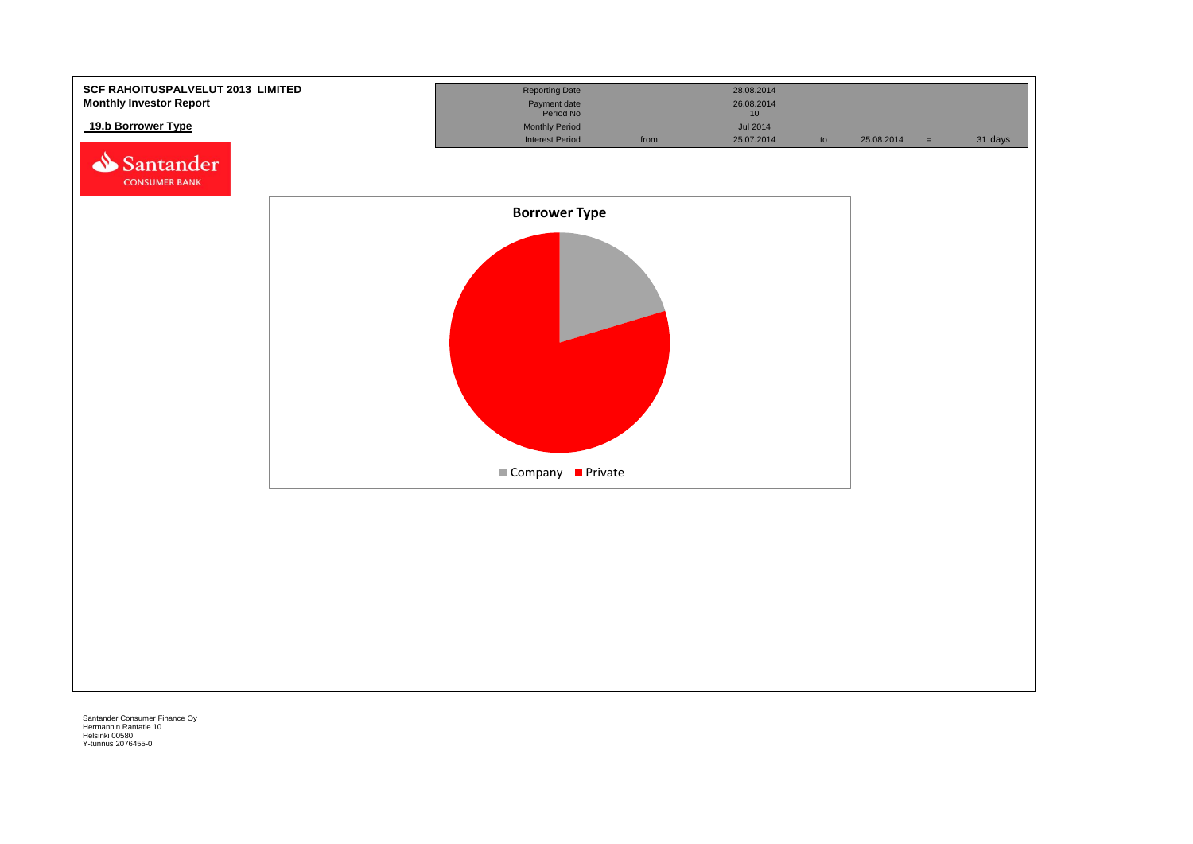![](_page_32_Figure_0.jpeg)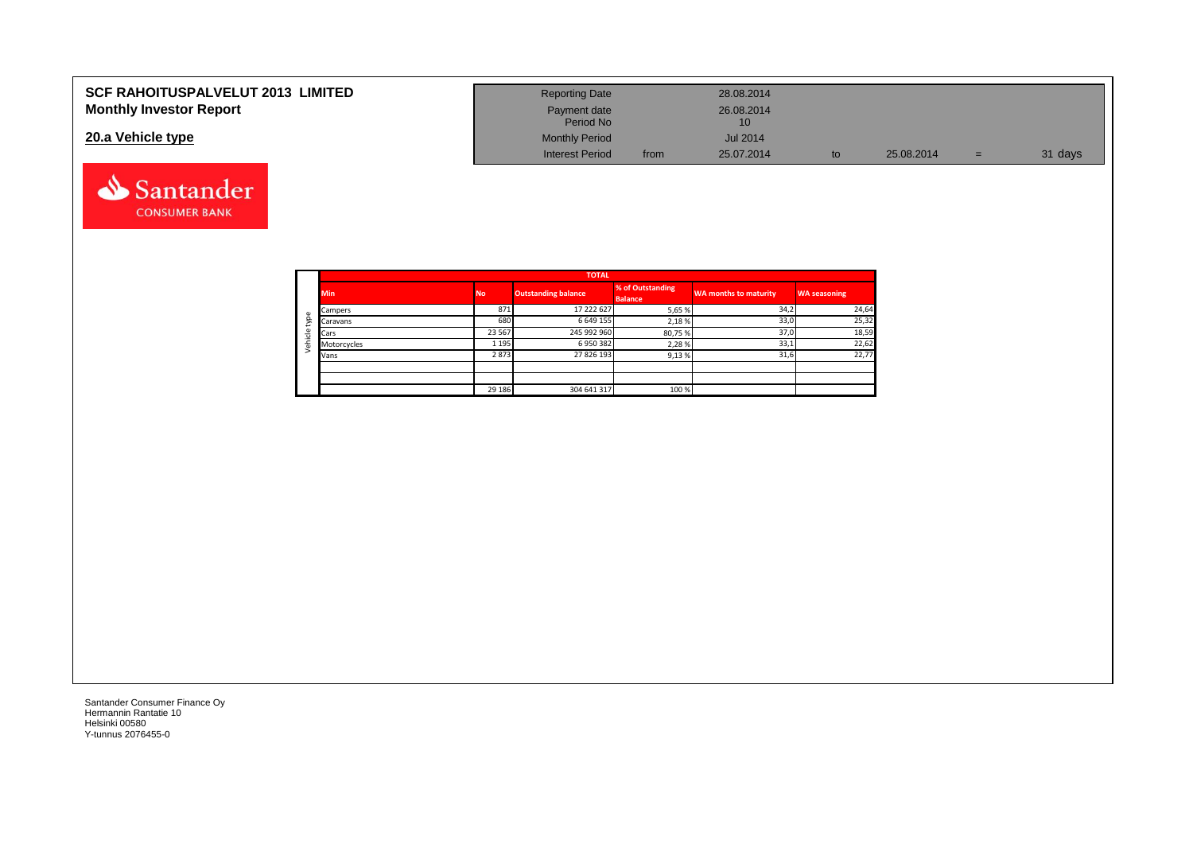| <b>SCF RAHOITUSPALVELUT 2013 LIMITED</b> | <b>Reporting Date</b>     |      | 28.08.2014       |    |            |     |         |
|------------------------------------------|---------------------------|------|------------------|----|------------|-----|---------|
| <b>Monthly Investor Report</b>           | Payment date<br>Period No |      | 26.08.2014<br>10 |    |            |     |         |
| 20.a Vehicle type                        | <b>Monthly Period</b>     |      | <b>Jul 2014</b>  |    |            |     |         |
|                                          | <b>Interest Period</b>    | from | 25.07.2014       | to | 25.08.2014 | $=$ | 31 days |

![](_page_33_Picture_1.jpeg)

Santander **CONSUMER BANK**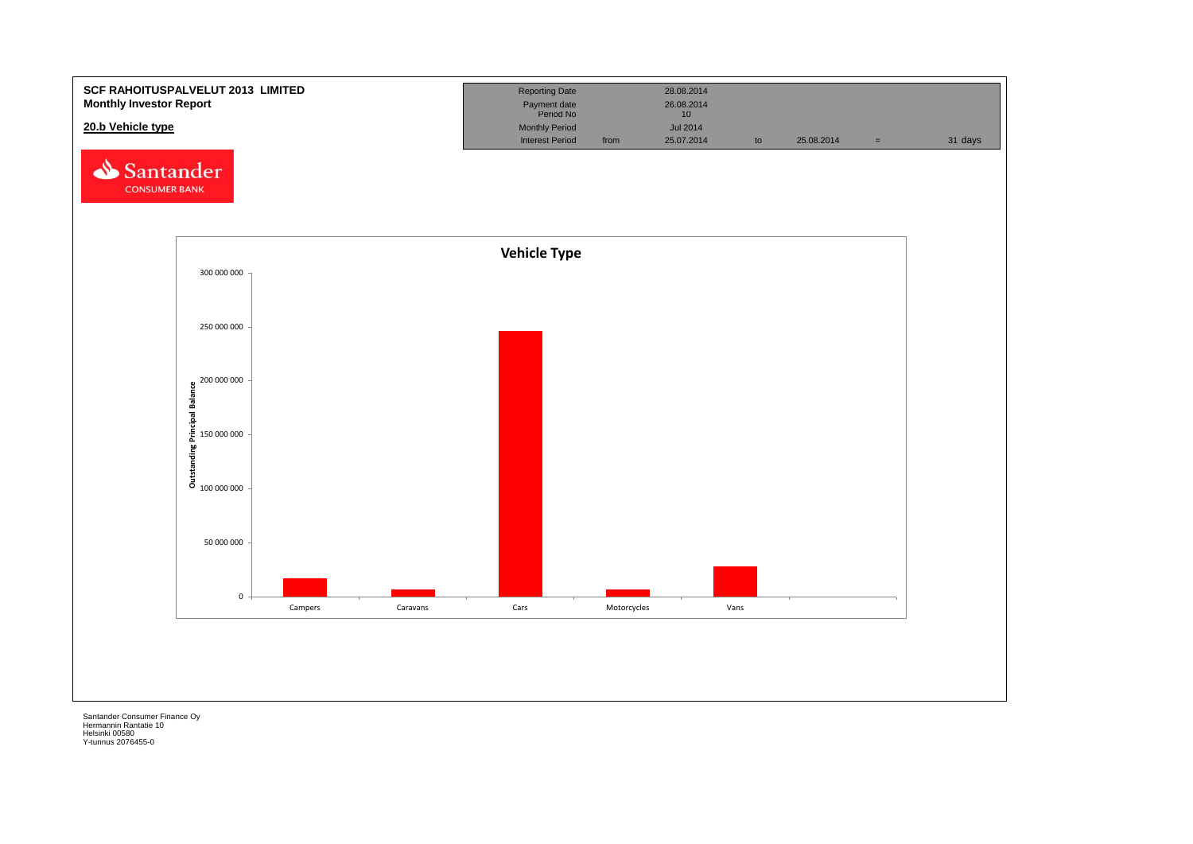![](_page_34_Figure_0.jpeg)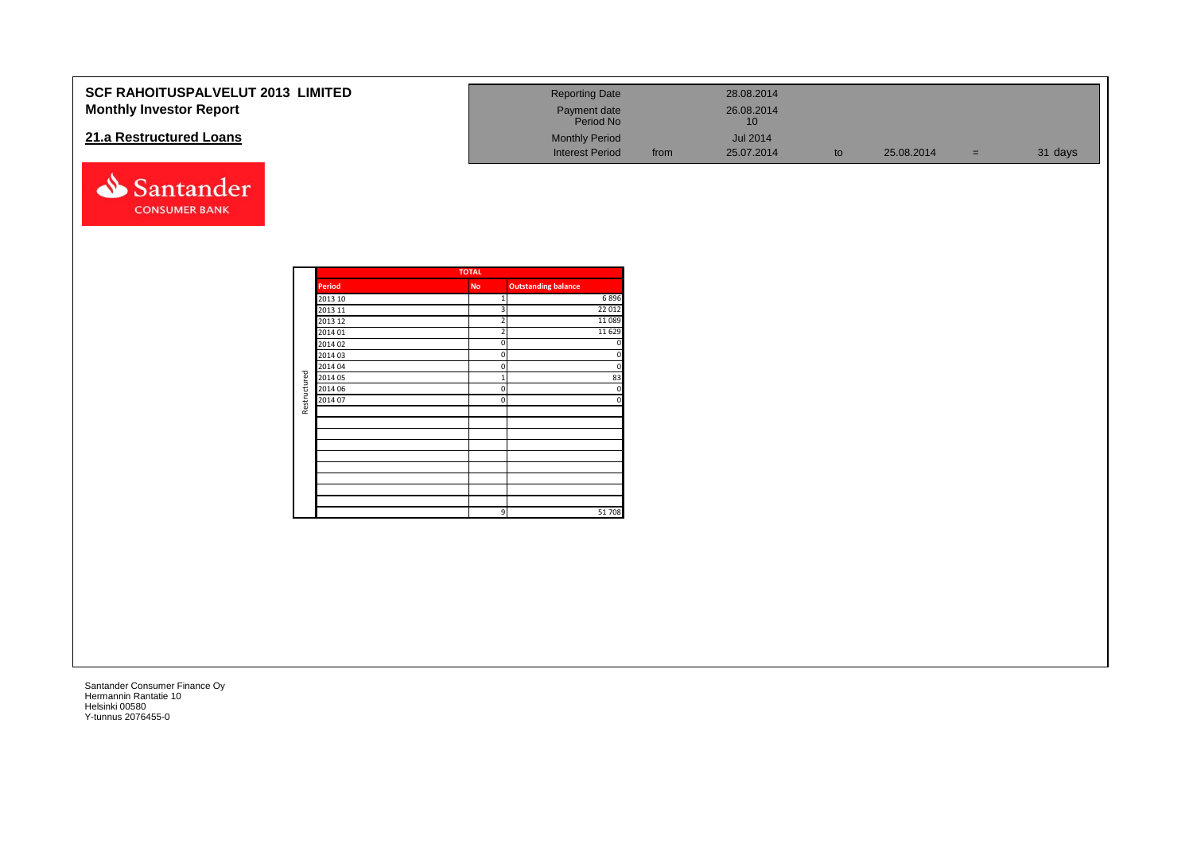| <b>SCF RAHOITUSPALVELUT 2013 LIMITED</b><br><b>Monthly Investor Report</b><br>21.a Restructured Loans<br>Santander<br><b>CONSUMER BANK</b> |              |                                                                                                                      |                                                       | <b>Reporting Date</b><br>Payment date<br>Period No<br><b>Monthly Period</b><br><b>Interest Period</b> | from | 28.08.2014<br>26.08.2014<br>$10$<br><b>Jul 2014</b><br>25.07.2014 | to | 25.08.2014 | $\equiv$ | 31 days |
|--------------------------------------------------------------------------------------------------------------------------------------------|--------------|----------------------------------------------------------------------------------------------------------------------|-------------------------------------------------------|-------------------------------------------------------------------------------------------------------|------|-------------------------------------------------------------------|----|------------|----------|---------|
|                                                                                                                                            | Restructured | Period<br>2013 10<br>2013 11<br>2013 12<br>2014 01<br>2014 02<br>2014 03<br>2014 04<br>2014 05<br>2014 06<br>2014 07 | <b>TOTAL</b><br><b>No</b><br>$\mathbf{1}$<br>$\Omega$ | <b>Outstanding balance</b><br>6896<br>22 012<br>11089<br>11 6 29<br>83<br>$\Omega$<br>£<br>51708      |      |                                                                   |    |            |          |         |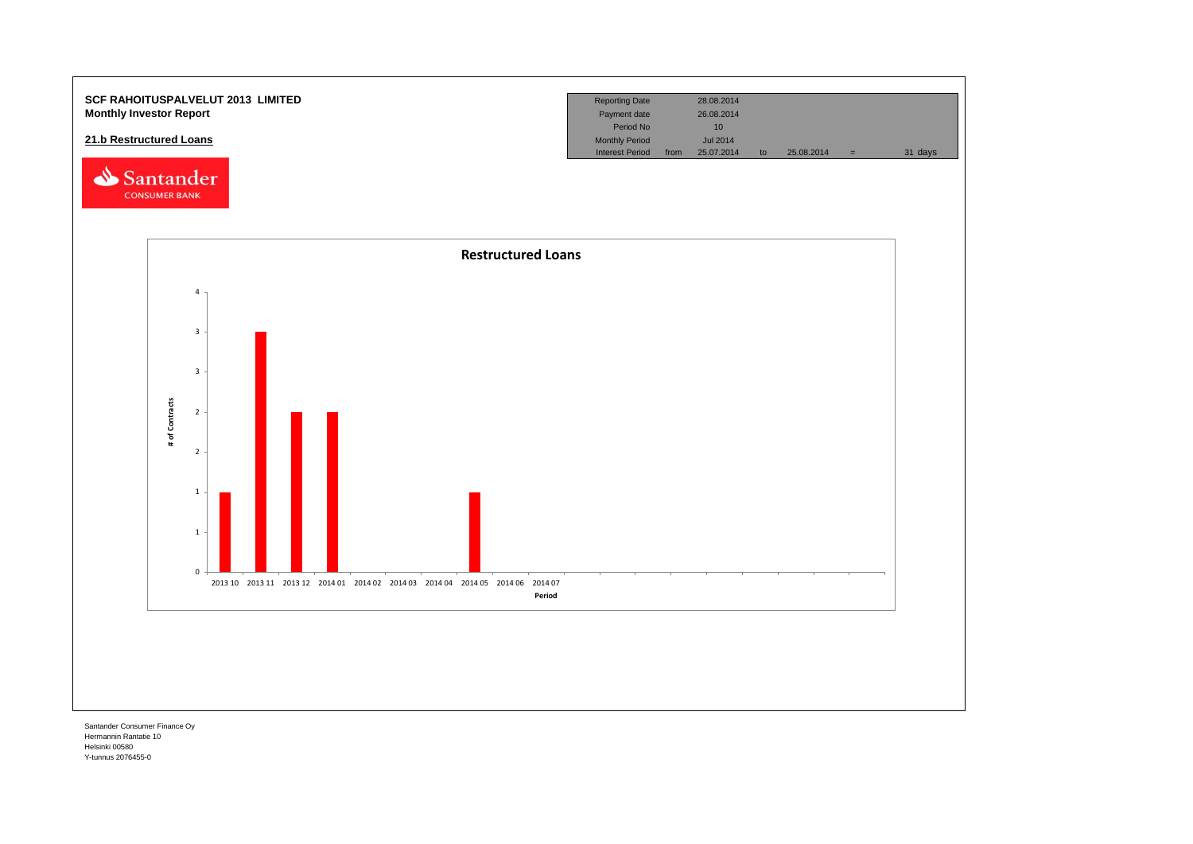![](_page_36_Figure_0.jpeg)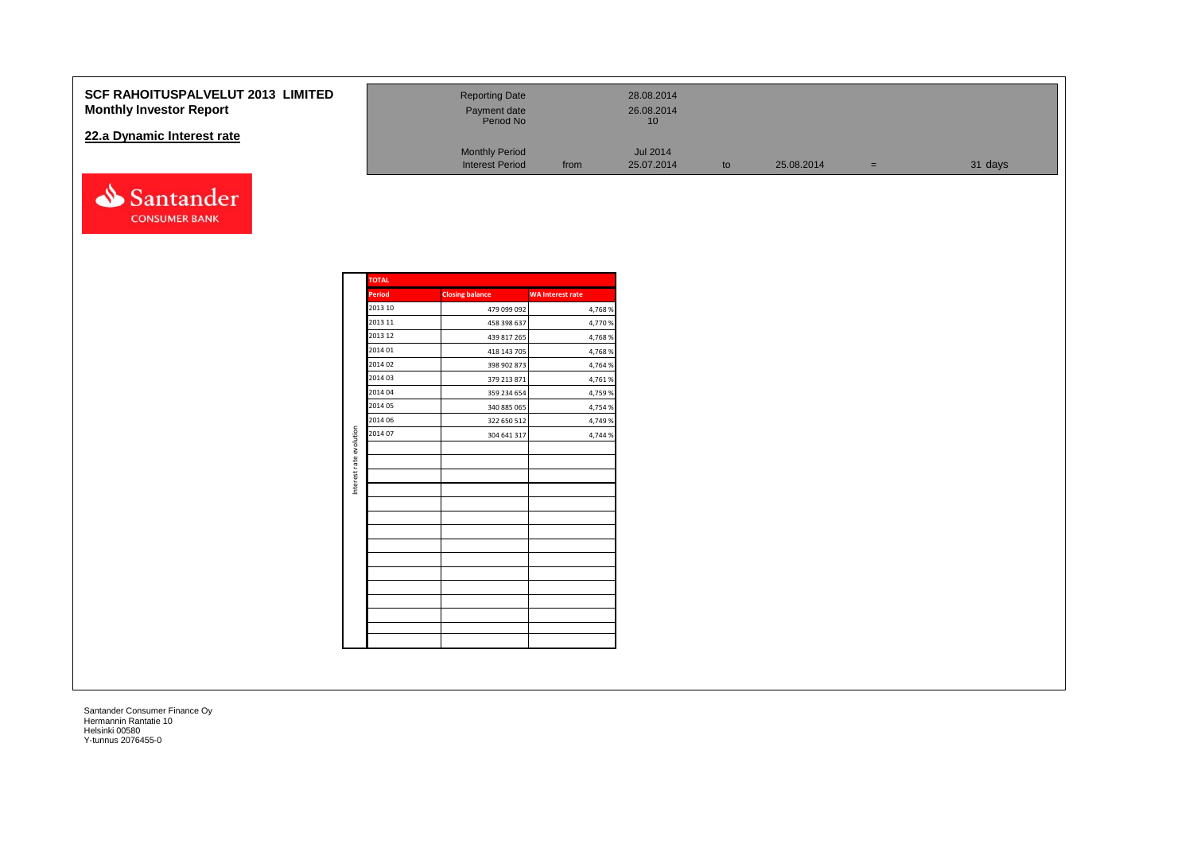### **SCF RAHOITUSPALVELUT 2013 Monthly Investor Report**

### **22.a Dynamic Interest rate**

![](_page_37_Picture_2.jpeg)

| <b>LIMITED</b> | <b>Reporting Date</b><br>Payment date<br>Period No |      | 28.08.2014<br>26.08.2014<br>10 |    |            |     |         |
|----------------|----------------------------------------------------|------|--------------------------------|----|------------|-----|---------|
|                | <b>Monthly Period</b><br><b>Interest Period</b>    | from | <b>Jul 2014</b><br>25.07.2014  | to | 25.08.2014 | $=$ | 31 days |

|                         | <b>TOTAL</b>  |                        |                         |
|-------------------------|---------------|------------------------|-------------------------|
|                         | <b>Period</b> | <b>Closing balance</b> | <b>WA Interest rate</b> |
|                         | 2013 10       | 479 099 092            | 4,768%                  |
|                         | 2013 11       | 458 398 637            | 4,770 %                 |
|                         | 2013 12       | 439 817 265            | 4,768%                  |
|                         | 2014 01       | 418 143 705            | 4,768%                  |
|                         | 2014 02       | 398 902 873            | 4,764 %                 |
|                         | 2014 03       | 379 213 871            | 4,761%                  |
|                         | 2014 04       | 359 234 654            | 4,759 %                 |
|                         | 2014 05       | 340 885 065            | 4,754 %                 |
|                         | 2014 06       | 322 650 512            | 4,749 %                 |
| Interest rate evolution | 2014 07       | 304 641 317            | 4,744 %                 |
|                         |               |                        |                         |
|                         |               |                        |                         |
|                         |               |                        |                         |
|                         |               |                        |                         |
|                         |               |                        |                         |
|                         |               |                        |                         |
|                         |               |                        |                         |
|                         |               |                        |                         |
|                         |               |                        |                         |
|                         |               |                        |                         |
|                         |               |                        |                         |
|                         |               |                        |                         |
|                         |               |                        |                         |
|                         |               |                        |                         |
|                         |               |                        |                         |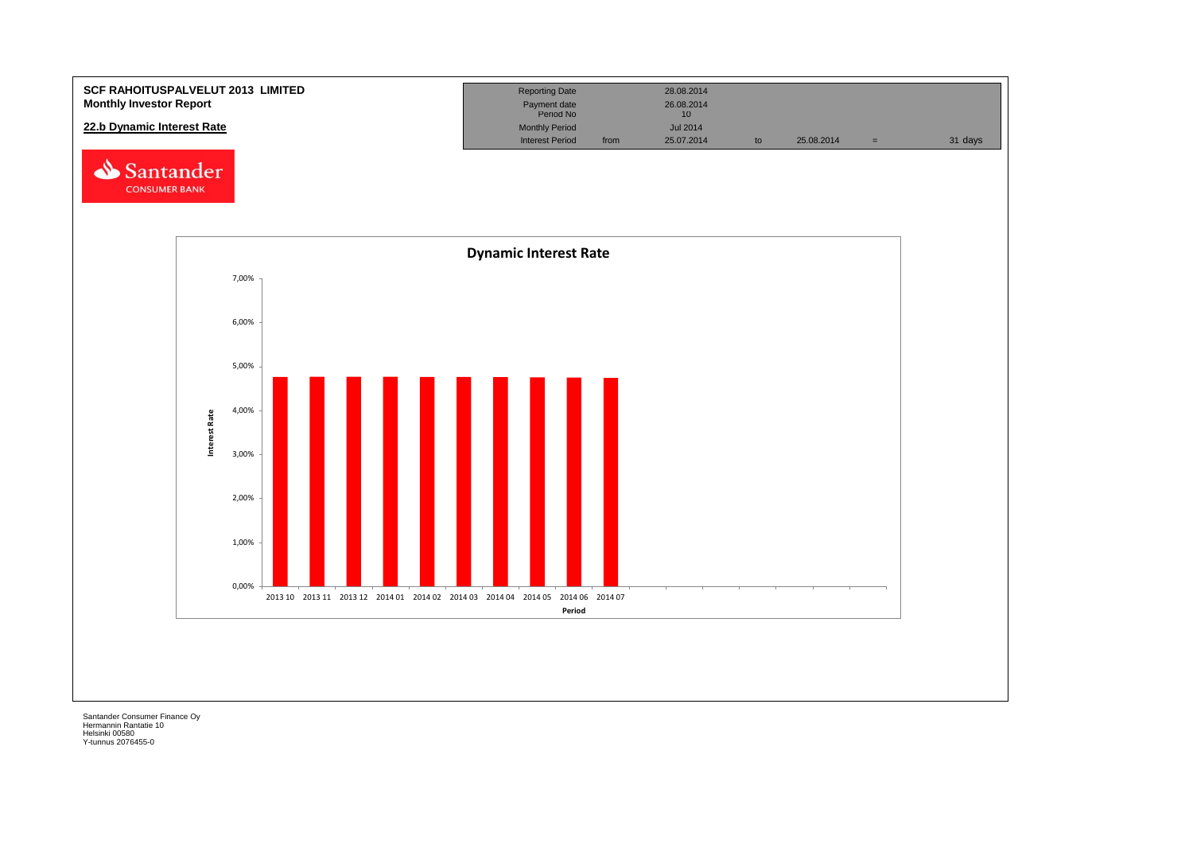![](_page_38_Figure_0.jpeg)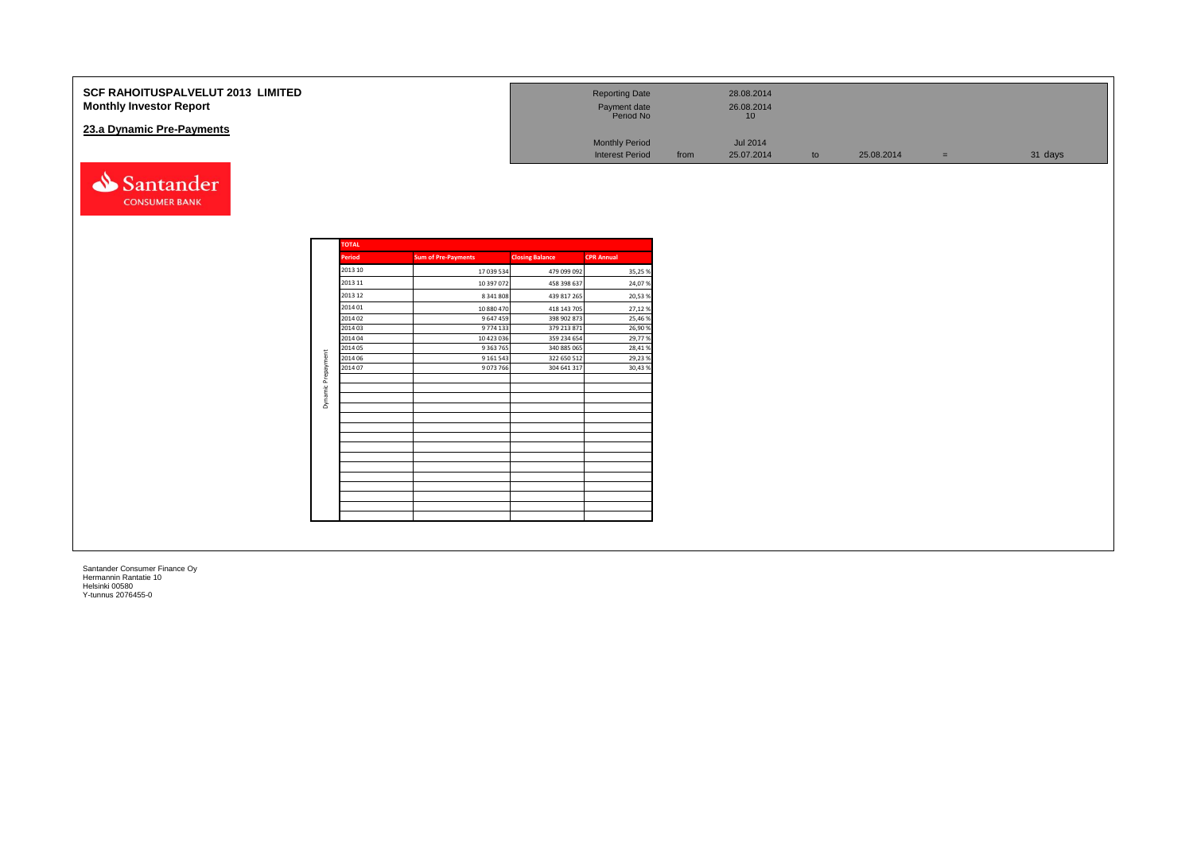| <b>SCF RAHOITUSPALVELUT 2013 LIMITED</b><br><b>Monthly Investor Report</b> |                    |                            |                            | <b>Reporting Date</b><br>Payment date<br>Period No |      | 28.08.2014<br>26.08.2014<br>10 <sup>°</sup> |    |            |     |         |
|----------------------------------------------------------------------------|--------------------|----------------------------|----------------------------|----------------------------------------------------|------|---------------------------------------------|----|------------|-----|---------|
| 23.a Dynamic Pre-Payments                                                  |                    |                            |                            | <b>Monthly Period</b><br><b>Interest Period</b>    | from | Jul 2014<br>25.07.2014                      | to | 25.08.2014 | $=$ | 31 days |
| Santander<br><b>CONSUMER BANK</b>                                          |                    |                            |                            |                                                    |      |                                             |    |            |     |         |
|                                                                            | <b>TOTAL</b>       |                            |                            |                                                    |      |                                             |    |            |     |         |
|                                                                            | Period             | <b>Sum of Pre-Payments</b> | <b>Closing Balance</b>     | <b>CPR</b> Annual                                  |      |                                             |    |            |     |         |
|                                                                            | 2013 10            | 17 039 534                 | 479 099 092                | 35,25 %                                            |      |                                             |    |            |     |         |
|                                                                            | 2013 11            | 10 397 072                 | 458 398 637                | 24,07%                                             |      |                                             |    |            |     |         |
|                                                                            | 2013 12<br>2014 01 | 8 341 808                  | 439 817 265                | 20,53%                                             |      |                                             |    |            |     |         |
|                                                                            | 2014 02            | 10 880 470<br>9 647 459    | 418 143 705<br>398 902 873 | 27,12%<br>25,46%                                   |      |                                             |    |            |     |         |
|                                                                            | 2014 03            | 9 7 7 4 1 3 3              | 379 213 871                | 26,90%                                             |      |                                             |    |            |     |         |
|                                                                            | 2014 04            | 10 423 036                 | 359 234 654                | 29,77%                                             |      |                                             |    |            |     |         |
|                                                                            | 2014 05<br>2014 06 | 9 3 63 7 65<br>9 161 543   | 340 885 065<br>322 650 512 | 28,41%<br>29,23%                                   |      |                                             |    |            |     |         |
|                                                                            | 2014 07            | 9 0 73 766                 | 304 641 317                | 30,43%                                             |      |                                             |    |            |     |         |
|                                                                            |                    |                            |                            |                                                    |      |                                             |    |            |     |         |
|                                                                            | Dynamic Prepayment |                            |                            |                                                    |      |                                             |    |            |     |         |
|                                                                            |                    |                            |                            |                                                    |      |                                             |    |            |     |         |
|                                                                            |                    |                            |                            |                                                    |      |                                             |    |            |     |         |
|                                                                            |                    |                            |                            |                                                    |      |                                             |    |            |     |         |
|                                                                            |                    |                            |                            |                                                    |      |                                             |    |            |     |         |
|                                                                            |                    |                            |                            |                                                    |      |                                             |    |            |     |         |
|                                                                            |                    |                            |                            |                                                    |      |                                             |    |            |     |         |
|                                                                            |                    |                            |                            |                                                    |      |                                             |    |            |     |         |
|                                                                            |                    |                            |                            |                                                    |      |                                             |    |            |     |         |
|                                                                            |                    |                            |                            |                                                    |      |                                             |    |            |     |         |
|                                                                            |                    |                            |                            |                                                    |      |                                             |    |            |     |         |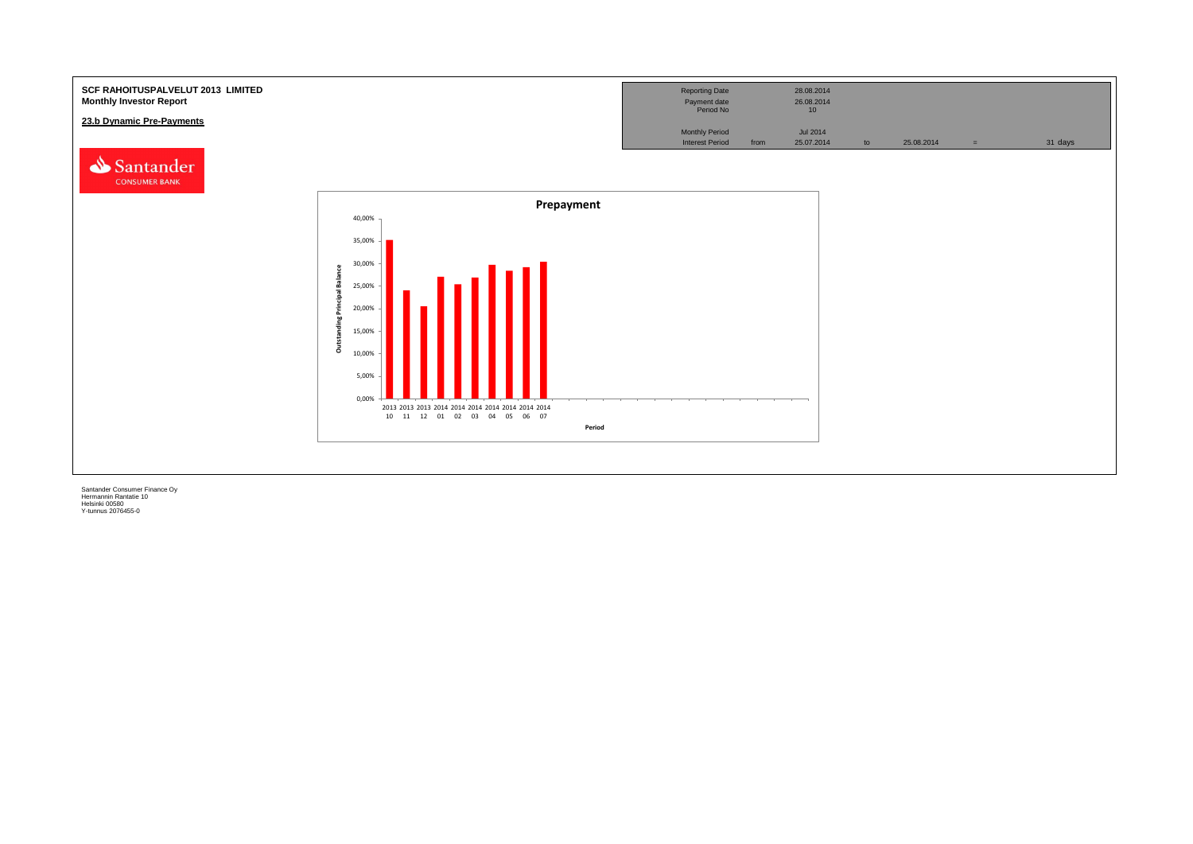![](_page_40_Figure_0.jpeg)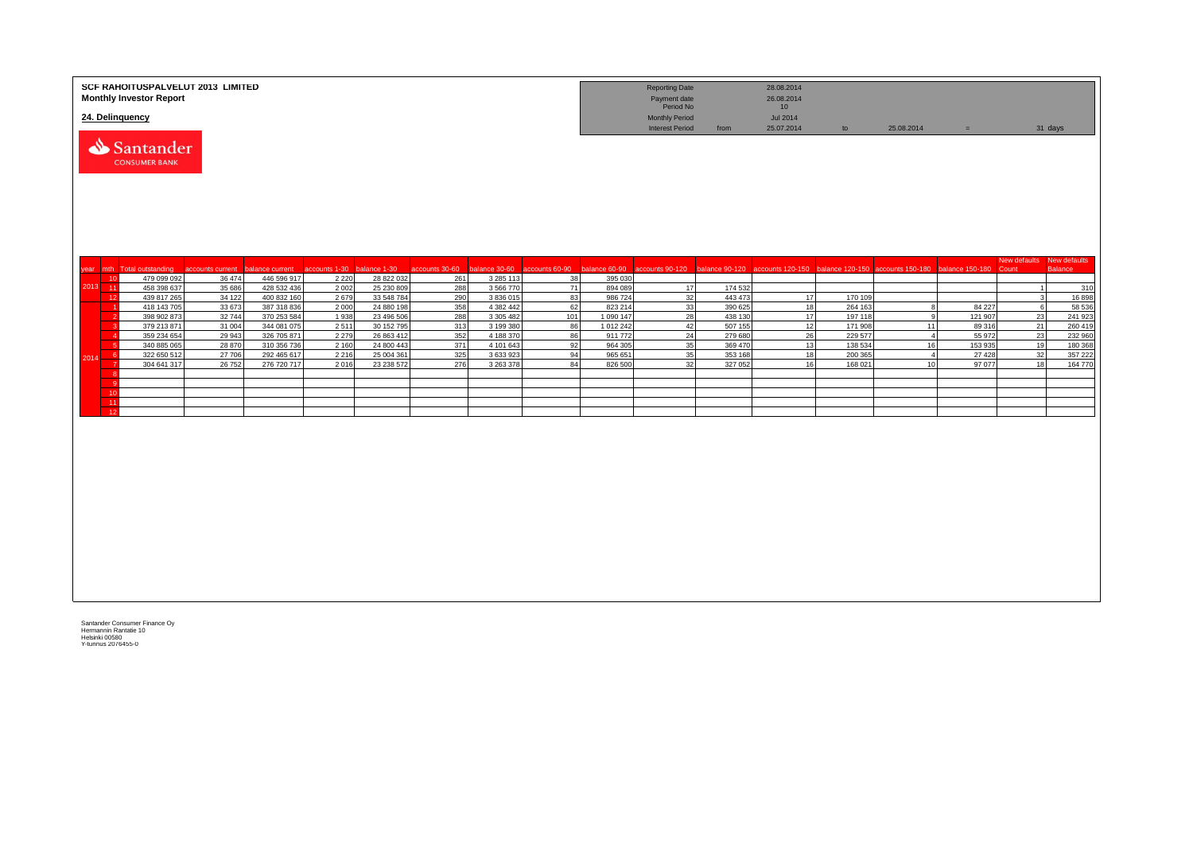|                 | SCF RAHOITUSPALVELUT 2013 LIMITED<br><b>Monthly Investor Report</b> |                  |                            |               |                          |                |                        |                |                        | <b>Reporting Date</b><br>Payment date<br>Period No |                    | 28.08.2014<br>26.08.2014<br>10 |                    |                                                                   |                   |                       |                                |
|-----------------|---------------------------------------------------------------------|------------------|----------------------------|---------------|--------------------------|----------------|------------------------|----------------|------------------------|----------------------------------------------------|--------------------|--------------------------------|--------------------|-------------------------------------------------------------------|-------------------|-----------------------|--------------------------------|
| 24. Delinquency |                                                                     |                  |                            |               |                          |                |                        |                |                        | <b>Monthly Period</b><br><b>Interest Period</b>    | from               | <b>Jul 2014</b><br>25.07.2014  | to                 | 25.08.2014                                                        | $=$               |                       | 31 days                        |
|                 | Santander<br><b>CONSUMER BANK</b>                                   |                  |                            |               |                          |                |                        |                |                        |                                                    |                    |                                |                    |                                                                   |                   |                       |                                |
|                 | year mth Total outstanding                                          | accounts current | balance current            | accounts 1-30 | balance 1-30             | accounts 30-60 | palance 30-60          | accounts 60-90 | balance 60-90          | accounts 90-120                                    | balance 90-120     |                                |                    | accounts 120-150 balance 120-150 accounts 150-180 balance 150-180 |                   | New defaults<br>Count | New defaults<br><b>Balance</b> |
| 10              | 479 099 092                                                         | 36 474           | 446 596 917                | 2 2 2 0       | 28 822 032               | 261            | 3 2 8 5 1 1 3          | 38             | 395 030                |                                                    |                    |                                |                    |                                                                   |                   |                       |                                |
| $2013 - 11$     | 458 398 637                                                         | 35 686           | 428 532 436                | 2 0 0 2       | 25 230 809               | 288            | 3 566 770              | 71             | 894 089                | 17                                                 | 174 532            |                                |                    |                                                                   |                   |                       | 310                            |
| 12              | 439 817 265                                                         | 34 122           | 400 832 160                | 2679          | 33 548 784               | 290            | 3 836 015              | 83             | 986 724                | 32                                                 | 443 473            | 17                             | 170 109            |                                                                   |                   |                       | 16 898                         |
|                 | 418 143 705                                                         | 33 673           | 387 318 836                | 2000          | 24 880 198               | 358            | 4 382 442              | 62             | 823 214                | 33                                                 | 390 625            | 18                             | 264 163            | 8                                                                 | 84 227            | 6                     | 58 536                         |
|                 | 398 902 873<br>379 213 871                                          | 32744<br>31 004  | 370 253 584<br>344 081 075 | 1938<br>2511  | 23 496 506<br>30 152 795 | 288<br>313     | 3 305 482<br>3 199 380 | 101<br>86      | 1 090 147<br>1 012 242 | 28<br>42                                           | 438 130<br>507 155 | 17<br>12                       | 197 118<br>171 908 | 9<br>11                                                           | 121 907<br>89 316 | 23<br>21              | 241 923<br>260 419             |
|                 | 359 234 654                                                         | 29 943           | 326 705 871                | 2 2 7 9       | 26 863 412               | 352            | 4 188 370              | 86             | 911772                 | 24                                                 | 279 680            | 26                             | 229 577            | $\overline{4}$                                                    | 55 972            | 23                    | 232 960                        |
|                 | 340 885 065                                                         | 28 870           | 310 356 736                | 2 1 6 0       | 24 800 443               | 371            | 4 101 643              | 92             | 964 305                | 35                                                 | 369 470            | 13                             | 138 534            | 16                                                                | 153 935           | 19                    | 180 368                        |
| -6<br>2014      | 322 650 512                                                         | 27 706           | 292 465 617                | 2 2 1 6       | 25 004 361               | 325            | 3 633 923              | 94             | 965 651                | 35                                                 | 353 168            | 18                             | 200 365            | $\overline{4}$                                                    | 27 4 28           | 32                    | 357 222                        |
|                 | 304 641 317                                                         | 26 752           | 276 720 717                | 2016          | 23 238 572               | 276            | 3 263 378              | 84             | 826 500                | 32                                                 | 327 052            | 16                             | 168 021            | 10 <sup>1</sup>                                                   | 97 077            | 18                    | 164 770                        |
|                 |                                                                     |                  |                            |               |                          |                |                        |                |                        |                                                    |                    |                                |                    |                                                                   |                   |                       |                                |
| 10              |                                                                     |                  |                            |               |                          |                |                        |                |                        |                                                    |                    |                                |                    |                                                                   |                   |                       |                                |
| 11              |                                                                     |                  |                            |               |                          |                |                        |                |                        |                                                    |                    |                                |                    |                                                                   |                   |                       |                                |
| 12              |                                                                     |                  |                            |               |                          |                |                        |                |                        |                                                    |                    |                                |                    |                                                                   |                   |                       |                                |
|                 |                                                                     |                  |                            |               |                          |                |                        |                |                        |                                                    |                    |                                |                    |                                                                   |                   |                       |                                |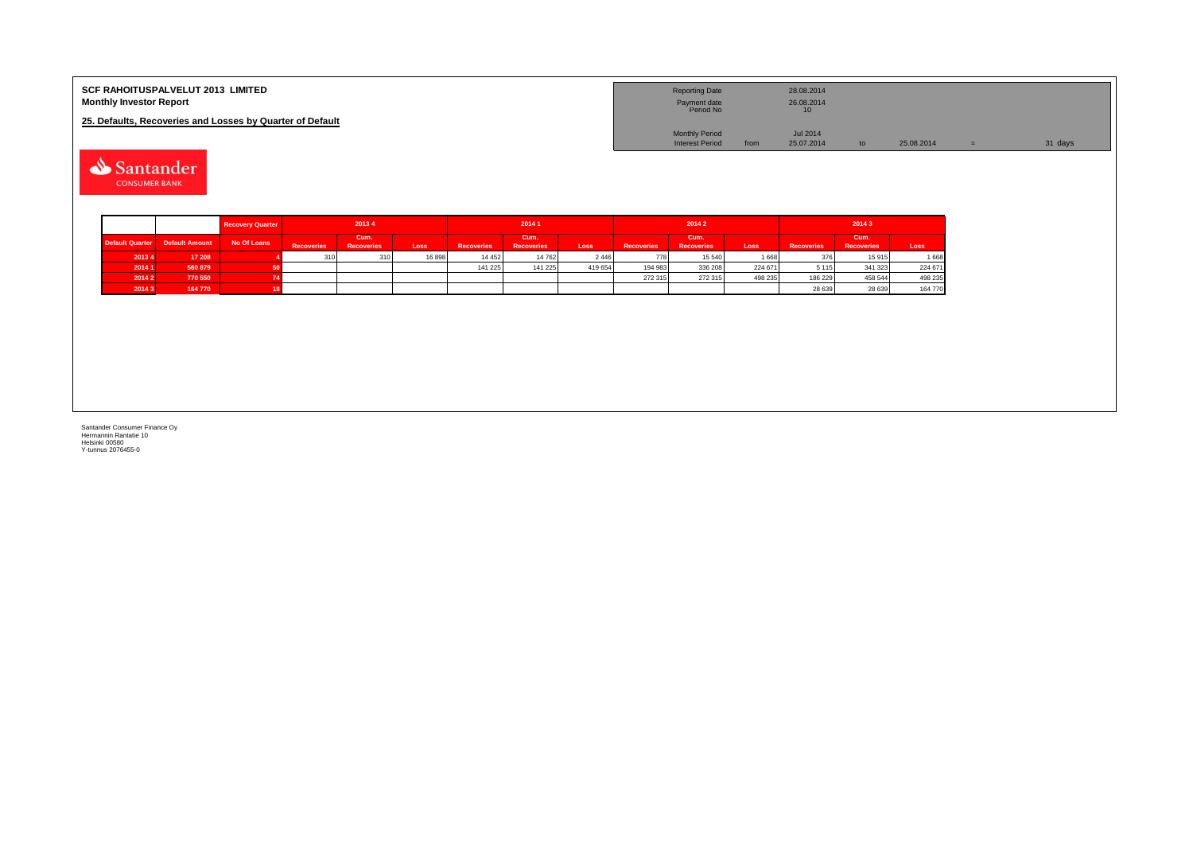| <b>SCF RAHOITUSPALVELUT 2013 LIMITED</b><br><b>Monthly Investor Report</b> | <b>Reporting Date</b><br>Payment date<br>Period No | 28.08.2014<br>26.08.2014 |            |         |
|----------------------------------------------------------------------------|----------------------------------------------------|--------------------------|------------|---------|
| 25. Defaults, Recoveries and Losses by Quarter of Default                  |                                                    |                          |            |         |
|                                                                            | <b>Monthly Period</b>                              | <b>Jul 2014</b>          |            |         |
|                                                                            | <b>Interest Period</b>                             | 25.07.2014<br>from       | 25.08.2014 | 31 days |

Santander **CONSUMER BANK** 

|                        |                       | <b>Recovery Quarter</b> | 20134                                          |     |       | 20141             |                           |         |                   | 20142                     |         | 2014 3            |                           |         |  |
|------------------------|-----------------------|-------------------------|------------------------------------------------|-----|-------|-------------------|---------------------------|---------|-------------------|---------------------------|---------|-------------------|---------------------------|---------|--|
| <b>Default Quarter</b> | <b>Default Amount</b> | No Of Loans             | Cum.<br><b>Recoveries</b><br><b>Recoveries</b> |     | Loss  | <b>Recoveries</b> | Cum.<br><b>Recoveries</b> | Loss    | <b>Recoveries</b> | Cum.<br><b>Recoveries</b> | Loss    | <b>Recoveries</b> | Cum.<br><b>Recoveries</b> | Loss    |  |
| 20134                  | 17 208                |                         | 310                                            | 310 | 16898 | 14 4 5 2          | 14 762                    | 2 4 4 6 | 778               | 15 540                    | 1668    | 376               | 15 915                    | 1 6 6 8 |  |
| 2014 1                 | 560 879               |                         |                                                |     |       | 141 225           | 141 225                   | 419 654 | 194 983           | 336 208                   | 224 671 | 5 1 1 5           | 341 323                   | 224 671 |  |
| 20142                  | 770 550               |                         |                                                |     |       |                   |                           |         | 272 315           | 272 315                   | 498 235 | 186 229           | 458 544                   | 498 235 |  |
| 20143                  | 164 770               |                         |                                                |     |       |                   |                           |         |                   |                           |         | 28 639            | 28 639                    | 164 770 |  |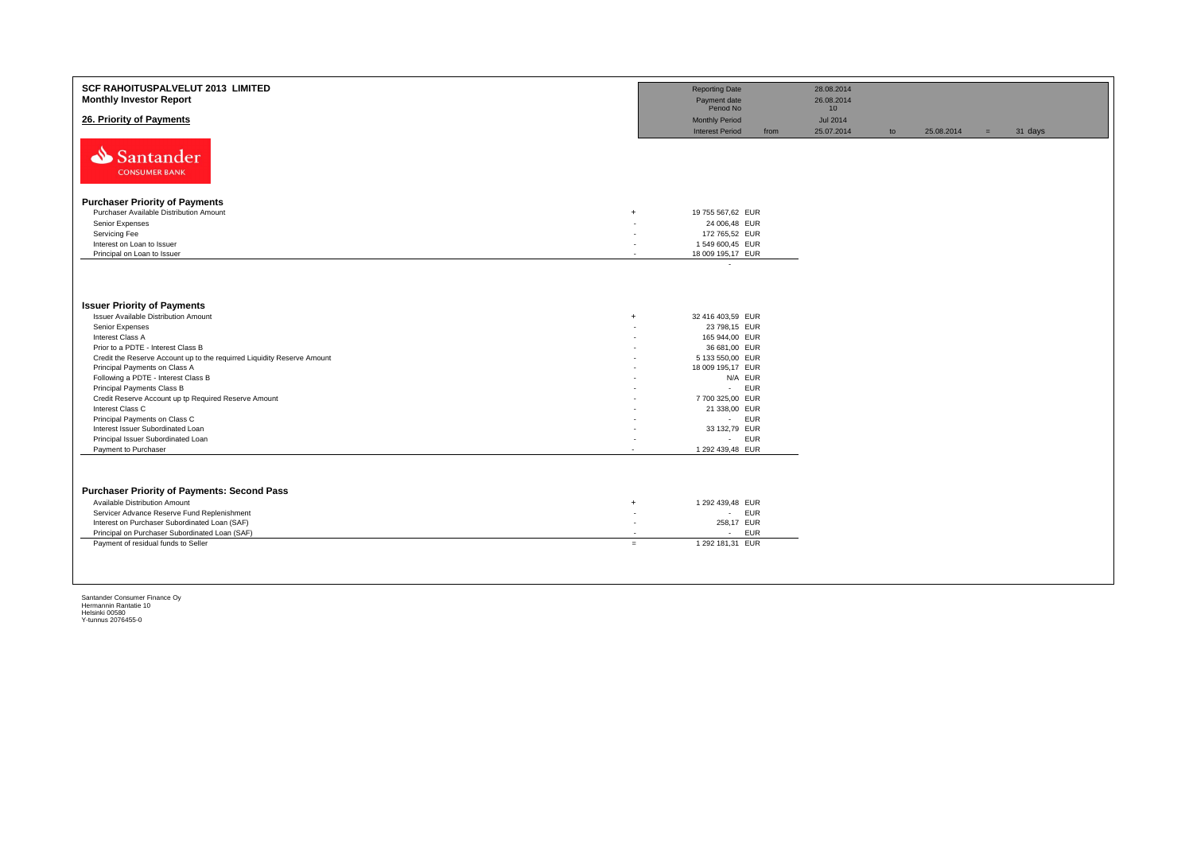| <b>SCF RAHOITUSPALVELUT 2013 LIMITED</b><br><b>Monthly Investor Report</b> |                          | <b>Reporting Date</b><br>Payment date<br>Period No |      | 28.08.2014<br>26.08.2014                         |    |            |     |         |
|----------------------------------------------------------------------------|--------------------------|----------------------------------------------------|------|--------------------------------------------------|----|------------|-----|---------|
| 26. Priority of Payments                                                   |                          | <b>Monthly Period</b><br><b>Interest Period</b>    | from | 10 <sup>1</sup><br><b>Jul 2014</b><br>25.07.2014 | to | 25.08.2014 | $=$ | 31 days |
| Santander<br><b>CONSUMER BANK</b>                                          |                          |                                                    |      |                                                  |    |            |     |         |
| <b>Purchaser Priority of Payments</b>                                      |                          |                                                    |      |                                                  |    |            |     |         |
| Purchaser Available Distribution Amount<br>$+$                             |                          | 19 755 567,62 EUR                                  |      |                                                  |    |            |     |         |
| Senior Expenses                                                            |                          | 24 006,48 EUR                                      |      |                                                  |    |            |     |         |
| Servicing Fee                                                              | ٠                        | 172 765,52 EUR                                     |      |                                                  |    |            |     |         |
| Interest on Loan to Issuer                                                 |                          | 1 549 600,45 EUR                                   |      |                                                  |    |            |     |         |
| Principal on Loan to Issuer                                                | $\overline{\phantom{a}}$ | 18 009 195,17 EUR                                  |      |                                                  |    |            |     |         |
|                                                                            |                          | $\lambda$                                          |      |                                                  |    |            |     |         |
|                                                                            |                          |                                                    |      |                                                  |    |            |     |         |
|                                                                            |                          |                                                    |      |                                                  |    |            |     |         |
|                                                                            |                          |                                                    |      |                                                  |    |            |     |         |
| <b>Issuer Priority of Payments</b>                                         |                          |                                                    |      |                                                  |    |            |     |         |
| <b>Issuer Available Distribution Amount</b><br>$+$                         |                          | 32 416 403.59 EUR                                  |      |                                                  |    |            |     |         |
| Senior Expenses                                                            | ٠                        | 23 798,15 EUR                                      |      |                                                  |    |            |     |         |
| Interest Class A                                                           |                          | 165 944,00 EUR                                     |      |                                                  |    |            |     |         |
| Prior to a PDTE - Interest Class B                                         |                          | 36 681,00 EUR                                      |      |                                                  |    |            |     |         |
| Credit the Reserve Account up to the requirred Liquidity Reserve Amount    |                          | 5 133 550,00 EUR                                   |      |                                                  |    |            |     |         |
| Principal Payments on Class A                                              |                          | 18 009 195,17 EUR                                  |      |                                                  |    |            |     |         |
| Following a PDTE - Interest Class B                                        |                          | N/A EUR                                            |      |                                                  |    |            |     |         |
| Principal Payments Class B                                                 |                          | <b>EUR</b><br>$\sim 100$                           |      |                                                  |    |            |     |         |
| Credit Reserve Account up tp Required Reserve Amount                       |                          | 7 700 325,00 EUR                                   |      |                                                  |    |            |     |         |
| Interest Class C                                                           | ٠                        | 21 338,00 EUR                                      |      |                                                  |    |            |     |         |
| Principal Payments on Class C                                              |                          | - EUR                                              |      |                                                  |    |            |     |         |
| Interest Issuer Subordinated Loan                                          |                          | 33 132,79 EUR                                      |      |                                                  |    |            |     |         |
| Principal Issuer Subordinated Loan                                         |                          | - EUR                                              |      |                                                  |    |            |     |         |
| Payment to Purchaser                                                       |                          | 1 292 439,48 EUR                                   |      |                                                  |    |            |     |         |
|                                                                            |                          |                                                    |      |                                                  |    |            |     |         |
|                                                                            |                          |                                                    |      |                                                  |    |            |     |         |
|                                                                            |                          |                                                    |      |                                                  |    |            |     |         |
| <b>Purchaser Priority of Payments: Second Pass</b>                         |                          |                                                    |      |                                                  |    |            |     |         |
| Available Distribution Amount<br>$+$                                       |                          | 1 292 439,48 EUR                                   |      |                                                  |    |            |     |         |
| Servicer Advance Reserve Fund Replenishment                                | ٠                        | - EUR                                              |      |                                                  |    |            |     |         |
| Interest on Purchaser Subordinated Loan (SAF)                              | $\overline{\phantom{a}}$ | 258,17 EUR                                         |      |                                                  |    |            |     |         |
| Principal on Purchaser Subordinated Loan (SAF)                             | $\overline{\phantom{a}}$ | <b>EUR</b><br>$\sim$                               |      |                                                  |    |            |     |         |
| Payment of residual funds to Seller<br>$=$                                 |                          | 1 292 181,31 EUR                                   |      |                                                  |    |            |     |         |
|                                                                            |                          |                                                    |      |                                                  |    |            |     |         |
|                                                                            |                          |                                                    |      |                                                  |    |            |     |         |
|                                                                            |                          |                                                    |      |                                                  |    |            |     |         |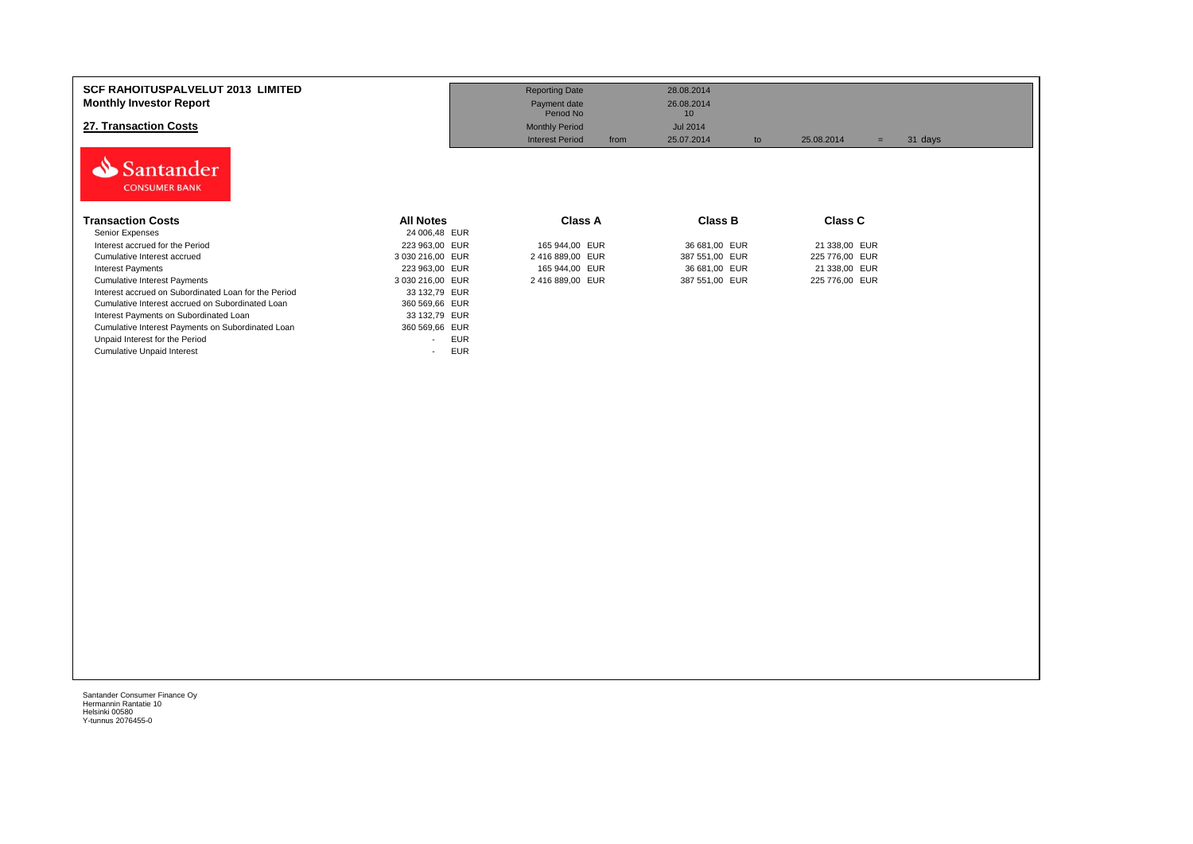| <b>SCF RAHOITUSPALVELUT 2013 LIMITED</b><br><b>Monthly Investor Report</b><br>27. Transaction Costs<br>Santander<br><b>CONSUMER BANK</b> |                  | <b>Reporting Date</b><br>Payment date<br>Period No<br><b>Monthly Period</b><br><b>Interest Period</b><br>from | 28.08.2014<br>26.08.2014<br>10<br><b>Jul 2014</b><br>25.07.2014<br>to | 25.08.2014<br>$=$ | 31 days |
|------------------------------------------------------------------------------------------------------------------------------------------|------------------|---------------------------------------------------------------------------------------------------------------|-----------------------------------------------------------------------|-------------------|---------|
| <b>Transaction Costs</b>                                                                                                                 | <b>All Notes</b> | <b>Class A</b>                                                                                                | <b>Class B</b>                                                        | Class C           |         |
| Senior Expenses                                                                                                                          | 24 006,48 EUR    |                                                                                                               |                                                                       |                   |         |
| Interest accrued for the Period                                                                                                          | 223 963,00 EUR   | 165 944,00 EUR                                                                                                | 36 681,00 EUR                                                         | 21 338,00 EUR     |         |
| Cumulative Interest accrued                                                                                                              | 3 030 216,00 EUR | 2 416 889,00 EUR                                                                                              | 387 551,00 EUR                                                        | 225 776,00 EUR    |         |
| <b>Interest Payments</b>                                                                                                                 | 223 963,00 EUR   | 165 944,00 EUR                                                                                                | 36 681,00 EUR                                                         | 21 338,00 EUR     |         |
| <b>Cumulative Interest Payments</b>                                                                                                      | 3 030 216,00 EUR | 2416889,00 EUR                                                                                                | 387 551,00 EUR                                                        | 225 776,00 EUR    |         |
| Interest accrued on Subordinated Loan for the Period                                                                                     | 33 132,79 EUR    |                                                                                                               |                                                                       |                   |         |
| Cumulative Interest accrued on Subordinated Loan                                                                                         | 360 569,66 EUR   |                                                                                                               |                                                                       |                   |         |
| Interest Payments on Subordinated Loan                                                                                                   | 33 132,79 EUR    |                                                                                                               |                                                                       |                   |         |
| Cumulative Interest Payments on Subordinated Loan                                                                                        | 360 569,66 EUR   |                                                                                                               |                                                                       |                   |         |
| Unpaid Interest for the Period                                                                                                           | <b>EUR</b>       |                                                                                                               |                                                                       |                   |         |
| <b>Cumulative Unpaid Interest</b>                                                                                                        | <b>EUR</b>       |                                                                                                               |                                                                       |                   |         |